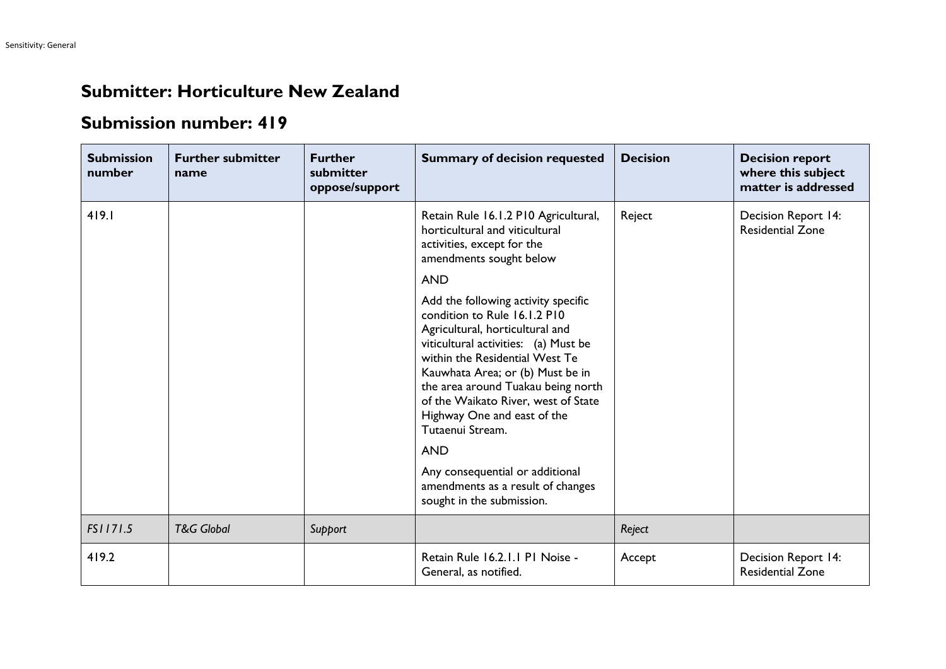## **Submitter: Horticulture New Zealand**

## **Submission number: 419**

| <b>Submission</b><br>number | <b>Further submitter</b><br>name | <b>Further</b><br>submitter<br>oppose/support | <b>Summary of decision requested</b>                                                                                                                                                                                                                                                                                                                                                                                                                                    | <b>Decision</b> | <b>Decision report</b><br>where this subject<br>matter is addressed |
|-----------------------------|----------------------------------|-----------------------------------------------|-------------------------------------------------------------------------------------------------------------------------------------------------------------------------------------------------------------------------------------------------------------------------------------------------------------------------------------------------------------------------------------------------------------------------------------------------------------------------|-----------------|---------------------------------------------------------------------|
| 419.1                       |                                  |                                               | Retain Rule 16.1.2 P10 Agricultural,<br>horticultural and viticultural<br>activities, except for the<br>amendments sought below<br><b>AND</b>                                                                                                                                                                                                                                                                                                                           | Reject          | Decision Report 14:<br><b>Residential Zone</b>                      |
|                             |                                  |                                               | Add the following activity specific<br>condition to Rule 16.1.2 P10<br>Agricultural, horticultural and<br>viticultural activities: (a) Must be<br>within the Residential West Te<br>Kauwhata Area; or (b) Must be in<br>the area around Tuakau being north<br>of the Waikato River, west of State<br>Highway One and east of the<br>Tutaenui Stream.<br><b>AND</b><br>Any consequential or additional<br>amendments as a result of changes<br>sought in the submission. |                 |                                                                     |
| FS1171.5                    | <b>T&amp;G Global</b>            | Support                                       |                                                                                                                                                                                                                                                                                                                                                                                                                                                                         | Reject          |                                                                     |
| 419.2                       |                                  |                                               | Retain Rule 16.2.1.1 P1 Noise -<br>General, as notified.                                                                                                                                                                                                                                                                                                                                                                                                                | Accept          | Decision Report 14:<br><b>Residential Zone</b>                      |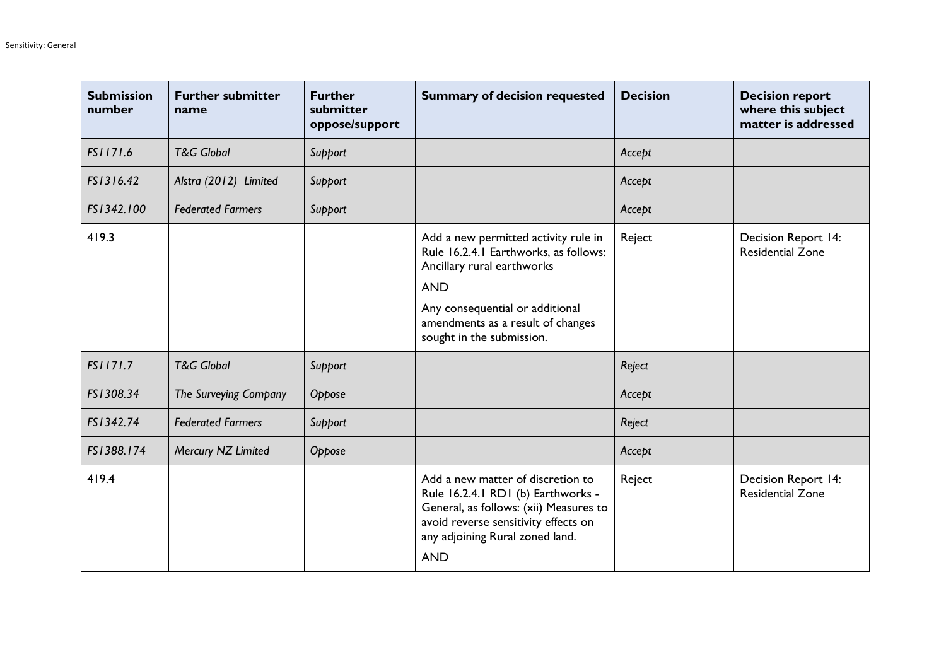| <b>Submission</b><br>number | <b>Further submitter</b><br>name | <b>Further</b><br>submitter<br>oppose/support | <b>Summary of decision requested</b>                                                                                                                                                                                           | <b>Decision</b> | <b>Decision report</b><br>where this subject<br>matter is addressed |
|-----------------------------|----------------------------------|-----------------------------------------------|--------------------------------------------------------------------------------------------------------------------------------------------------------------------------------------------------------------------------------|-----------------|---------------------------------------------------------------------|
| FS1171.6                    | <b>T&amp;G Global</b>            | Support                                       |                                                                                                                                                                                                                                | Accept          |                                                                     |
| FS1316.42                   | Alstra (2012) Limited            | Support                                       |                                                                                                                                                                                                                                | Accept          |                                                                     |
| FS1342.100                  | <b>Federated Farmers</b>         | Support                                       |                                                                                                                                                                                                                                | Accept          |                                                                     |
| 419.3                       |                                  |                                               | Add a new permitted activity rule in<br>Rule 16.2.4.1 Earthworks, as follows:<br>Ancillary rural earthworks<br><b>AND</b><br>Any consequential or additional<br>amendments as a result of changes<br>sought in the submission. | Reject          | Decision Report 14:<br><b>Residential Zone</b>                      |
| FS1171.7                    | <b>T&amp;G Global</b>            | Support                                       |                                                                                                                                                                                                                                | Reject          |                                                                     |
| FS1308.34                   | The Surveying Company            | Oppose                                        |                                                                                                                                                                                                                                | Accept          |                                                                     |
| FS1342.74                   | <b>Federated Farmers</b>         | Support                                       |                                                                                                                                                                                                                                | Reject          |                                                                     |
| FS1388.174                  | Mercury NZ Limited               | Oppose                                        |                                                                                                                                                                                                                                | Accept          |                                                                     |
| 419.4                       |                                  |                                               | Add a new matter of discretion to<br>Rule 16.2.4.1 RD1 (b) Earthworks -<br>General, as follows: (xii) Measures to<br>avoid reverse sensitivity effects on<br>any adjoining Rural zoned land.<br><b>AND</b>                     | Reject          | Decision Report 14:<br><b>Residential Zone</b>                      |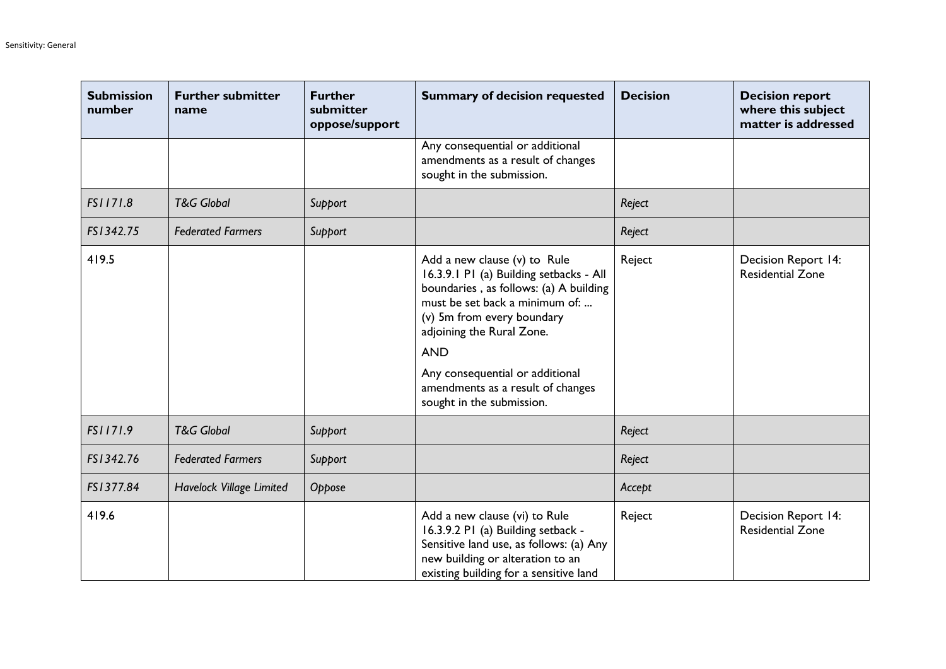| <b>Submission</b><br>number | <b>Further submitter</b><br>name | <b>Further</b><br>submitter<br>oppose/support | <b>Summary of decision requested</b>                                                                                                                                                                                                                                                                                              | <b>Decision</b> | <b>Decision report</b><br>where this subject<br>matter is addressed |
|-----------------------------|----------------------------------|-----------------------------------------------|-----------------------------------------------------------------------------------------------------------------------------------------------------------------------------------------------------------------------------------------------------------------------------------------------------------------------------------|-----------------|---------------------------------------------------------------------|
|                             |                                  |                                               | Any consequential or additional<br>amendments as a result of changes<br>sought in the submission.                                                                                                                                                                                                                                 |                 |                                                                     |
| FS1171.8                    | <b>T&amp;G Global</b>            | Support                                       |                                                                                                                                                                                                                                                                                                                                   | Reject          |                                                                     |
| FS1342.75                   | <b>Federated Farmers</b>         | Support                                       |                                                                                                                                                                                                                                                                                                                                   | Reject          |                                                                     |
| 419.5                       |                                  |                                               | Add a new clause (v) to Rule<br>16.3.9.1 P1 (a) Building setbacks - All<br>boundaries, as follows: (a) A building<br>must be set back a minimum of:<br>(v) 5m from every boundary<br>adjoining the Rural Zone.<br><b>AND</b><br>Any consequential or additional<br>amendments as a result of changes<br>sought in the submission. | Reject          | Decision Report 14:<br><b>Residential Zone</b>                      |
| FS1171.9                    | <b>T&amp;G Global</b>            | Support                                       |                                                                                                                                                                                                                                                                                                                                   | Reject          |                                                                     |
| FS1342.76                   | <b>Federated Farmers</b>         | Support                                       |                                                                                                                                                                                                                                                                                                                                   | Reject          |                                                                     |
| FS1377.84                   | Havelock Village Limited         | Oppose                                        |                                                                                                                                                                                                                                                                                                                                   | Accept          |                                                                     |
| 419.6                       |                                  |                                               | Add a new clause (vi) to Rule<br>16.3.9.2 P1 (a) Building setback -<br>Sensitive land use, as follows: (a) Any<br>new building or alteration to an<br>existing building for a sensitive land                                                                                                                                      | Reject          | Decision Report 14:<br><b>Residential Zone</b>                      |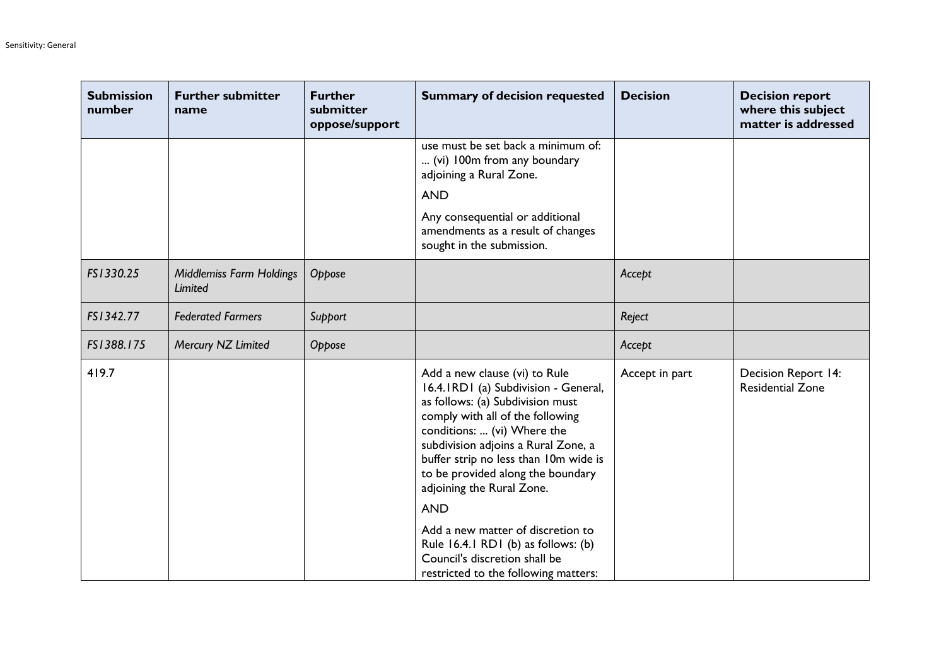| <b>Submission</b><br>number | <b>Further submitter</b><br>name           | <b>Further</b><br>submitter<br>oppose/support | <b>Summary of decision requested</b>                                                                                                                                                                                                                                                                                                                                              | <b>Decision</b> | <b>Decision report</b><br>where this subject<br>matter is addressed |
|-----------------------------|--------------------------------------------|-----------------------------------------------|-----------------------------------------------------------------------------------------------------------------------------------------------------------------------------------------------------------------------------------------------------------------------------------------------------------------------------------------------------------------------------------|-----------------|---------------------------------------------------------------------|
|                             |                                            |                                               | use must be set back a minimum of:<br>(vi) 100m from any boundary<br>adjoining a Rural Zone.                                                                                                                                                                                                                                                                                      |                 |                                                                     |
|                             |                                            |                                               | <b>AND</b><br>Any consequential or additional<br>amendments as a result of changes<br>sought in the submission.                                                                                                                                                                                                                                                                   |                 |                                                                     |
| FS1330.25                   | <b>Middlemiss Farm Holdings</b><br>Limited | Oppose                                        |                                                                                                                                                                                                                                                                                                                                                                                   | Accept          |                                                                     |
| FS1342.77                   | <b>Federated Farmers</b>                   | Support                                       |                                                                                                                                                                                                                                                                                                                                                                                   | Reject          |                                                                     |
| FS1388.175                  | Mercury NZ Limited                         | Oppose                                        |                                                                                                                                                                                                                                                                                                                                                                                   | Accept          |                                                                     |
| 419.7                       |                                            |                                               | Add a new clause (vi) to Rule<br>16.4.1RD1 (a) Subdivision - General,<br>as follows: (a) Subdivision must<br>comply with all of the following<br>conditions:  (vi) Where the<br>subdivision adjoins a Rural Zone, a<br>buffer strip no less than 10m wide is<br>to be provided along the boundary<br>adjoining the Rural Zone.<br><b>AND</b><br>Add a new matter of discretion to | Accept in part  | Decision Report 14:<br><b>Residential Zone</b>                      |
|                             |                                            |                                               | Rule 16.4.1 RD1 (b) as follows: (b)<br>Council's discretion shall be<br>restricted to the following matters:                                                                                                                                                                                                                                                                      |                 |                                                                     |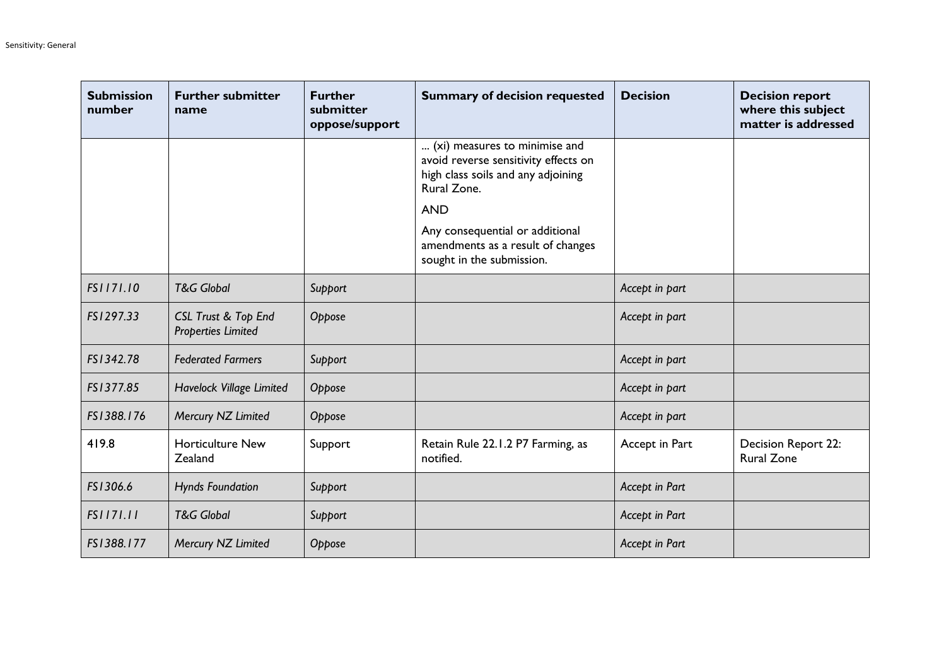| <b>Submission</b><br>number | <b>Further submitter</b><br>name                 | <b>Further</b><br>submitter<br>oppose/support | <b>Summary of decision requested</b>                                                                                                                                                                                                          | <b>Decision</b> | <b>Decision report</b><br>where this subject<br>matter is addressed |
|-----------------------------|--------------------------------------------------|-----------------------------------------------|-----------------------------------------------------------------------------------------------------------------------------------------------------------------------------------------------------------------------------------------------|-----------------|---------------------------------------------------------------------|
|                             |                                                  |                                               | (xi) measures to minimise and<br>avoid reverse sensitivity effects on<br>high class soils and any adjoining<br>Rural Zone.<br><b>AND</b><br>Any consequential or additional<br>amendments as a result of changes<br>sought in the submission. |                 |                                                                     |
| FS1171.10                   | <b>T&amp;G Global</b>                            | Support                                       |                                                                                                                                                                                                                                               | Accept in part  |                                                                     |
| FS1297.33                   | CSL Trust & Top End<br><b>Properties Limited</b> | Oppose                                        |                                                                                                                                                                                                                                               | Accept in part  |                                                                     |
| FS1342.78                   | <b>Federated Farmers</b>                         | Support                                       |                                                                                                                                                                                                                                               | Accept in part  |                                                                     |
| FS1377.85                   | Havelock Village Limited                         | Oppose                                        |                                                                                                                                                                                                                                               | Accept in part  |                                                                     |
| FS1388.176                  | Mercury NZ Limited                               | Oppose                                        |                                                                                                                                                                                                                                               | Accept in part  |                                                                     |
| 419.8                       | <b>Horticulture New</b><br>Zealand               | Support                                       | Retain Rule 22.1.2 P7 Farming, as<br>notified.                                                                                                                                                                                                | Accept in Part  | Decision Report 22:<br><b>Rural Zone</b>                            |
| FS1306.6                    | <b>Hynds Foundation</b>                          | Support                                       |                                                                                                                                                                                                                                               | Accept in Part  |                                                                     |
| FS1171.11                   | <b>T&amp;G Global</b>                            | Support                                       |                                                                                                                                                                                                                                               | Accept in Part  |                                                                     |
| FS1388.177                  | Mercury NZ Limited                               | Oppose                                        |                                                                                                                                                                                                                                               | Accept in Part  |                                                                     |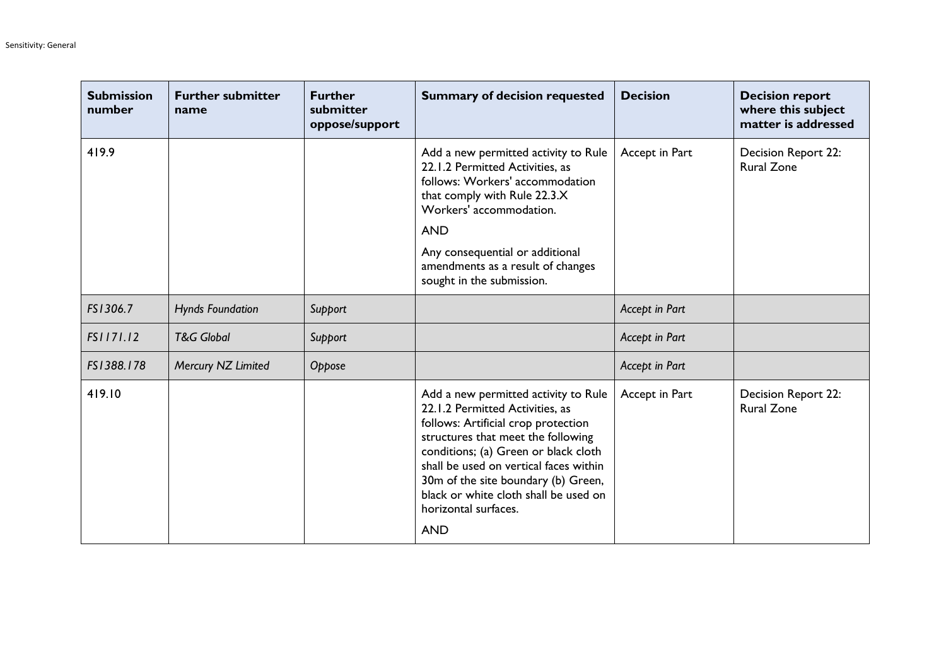| <b>Submission</b><br>number | <b>Further submitter</b><br>name | <b>Further</b><br>submitter<br>oppose/support | <b>Summary of decision requested</b>                                                                                                                                                                                                                                                                                                                         | <b>Decision</b> | <b>Decision report</b><br>where this subject<br>matter is addressed |
|-----------------------------|----------------------------------|-----------------------------------------------|--------------------------------------------------------------------------------------------------------------------------------------------------------------------------------------------------------------------------------------------------------------------------------------------------------------------------------------------------------------|-----------------|---------------------------------------------------------------------|
| 419.9                       |                                  |                                               | Add a new permitted activity to Rule<br>22.1.2 Permitted Activities, as<br>follows: Workers' accommodation<br>that comply with Rule 22.3.X<br>Workers' accommodation.<br><b>AND</b>                                                                                                                                                                          | Accept in Part  | Decision Report 22:<br><b>Rural Zone</b>                            |
|                             |                                  |                                               | Any consequential or additional<br>amendments as a result of changes<br>sought in the submission.                                                                                                                                                                                                                                                            |                 |                                                                     |
| FS1306.7                    | <b>Hynds Foundation</b>          | Support                                       |                                                                                                                                                                                                                                                                                                                                                              | Accept in Part  |                                                                     |
| FS1171.12                   | <b>T&amp;G Global</b>            | Support                                       |                                                                                                                                                                                                                                                                                                                                                              | Accept in Part  |                                                                     |
| FS1388.178                  | Mercury NZ Limited               | Oppose                                        |                                                                                                                                                                                                                                                                                                                                                              | Accept in Part  |                                                                     |
| 419.10                      |                                  |                                               | Add a new permitted activity to Rule<br>22.1.2 Permitted Activities, as<br>follows: Artificial crop protection<br>structures that meet the following<br>conditions; (a) Green or black cloth<br>shall be used on vertical faces within<br>30m of the site boundary (b) Green,<br>black or white cloth shall be used on<br>horizontal surfaces.<br><b>AND</b> | Accept in Part  | Decision Report 22:<br><b>Rural Zone</b>                            |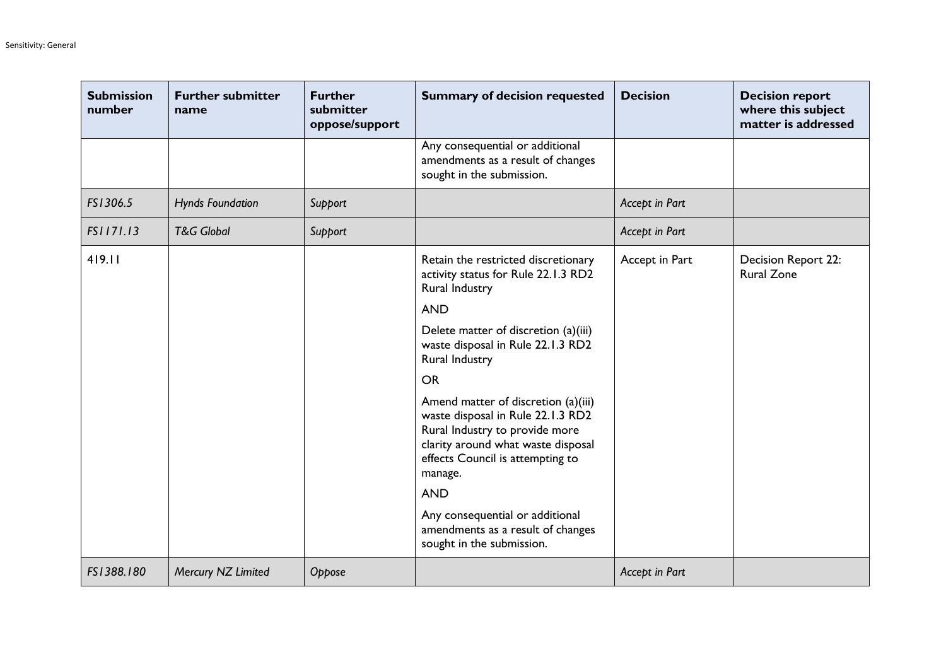| <b>Submission</b><br>number | <b>Further submitter</b><br>name | <b>Further</b><br>submitter<br>oppose/support | <b>Summary of decision requested</b>                                                                                                                                                            | <b>Decision</b> | <b>Decision report</b><br>where this subject<br>matter is addressed |
|-----------------------------|----------------------------------|-----------------------------------------------|-------------------------------------------------------------------------------------------------------------------------------------------------------------------------------------------------|-----------------|---------------------------------------------------------------------|
|                             |                                  |                                               | Any consequential or additional<br>amendments as a result of changes<br>sought in the submission.                                                                                               |                 |                                                                     |
| FS1306.5                    | <b>Hynds Foundation</b>          | Support                                       |                                                                                                                                                                                                 | Accept in Part  |                                                                     |
| FS1171.13                   | <b>T&amp;G Global</b>            | Support                                       |                                                                                                                                                                                                 | Accept in Part  |                                                                     |
| 419.11                      |                                  |                                               | Retain the restricted discretionary<br>activity status for Rule 22.1.3 RD2<br><b>Rural Industry</b>                                                                                             | Accept in Part  | Decision Report 22:<br><b>Rural Zone</b>                            |
|                             |                                  |                                               | <b>AND</b>                                                                                                                                                                                      |                 |                                                                     |
|                             |                                  |                                               | Delete matter of discretion (a)(iii)<br>waste disposal in Rule 22.1.3 RD2<br>Rural Industry                                                                                                     |                 |                                                                     |
|                             |                                  |                                               | <b>OR</b>                                                                                                                                                                                       |                 |                                                                     |
|                             |                                  |                                               | Amend matter of discretion (a)(iii)<br>waste disposal in Rule 22.1.3 RD2<br>Rural Industry to provide more<br>clarity around what waste disposal<br>effects Council is attempting to<br>manage. |                 |                                                                     |
|                             |                                  |                                               | <b>AND</b>                                                                                                                                                                                      |                 |                                                                     |
|                             |                                  |                                               | Any consequential or additional<br>amendments as a result of changes<br>sought in the submission.                                                                                               |                 |                                                                     |
| FS1388.180                  | Mercury NZ Limited               | Oppose                                        |                                                                                                                                                                                                 | Accept in Part  |                                                                     |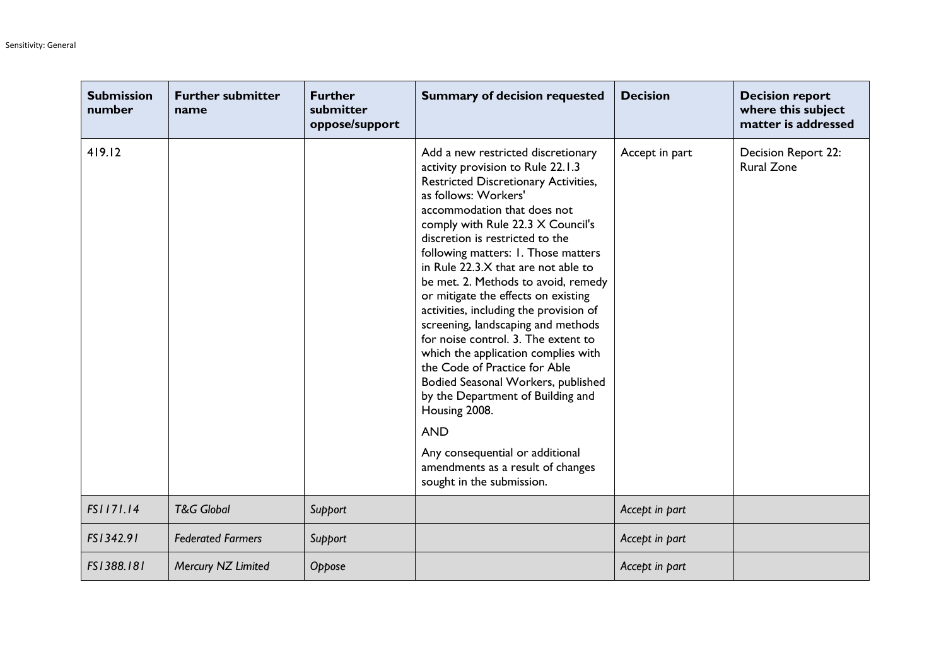| <b>Submission</b><br>number | <b>Further submitter</b><br>name | <b>Further</b><br>submitter<br>oppose/support | <b>Summary of decision requested</b>                                                                                                                                                                                                                                                                                                                                                                                                                                                                                                                                                                                                                                                                                                                                                                                     | <b>Decision</b> | <b>Decision report</b><br>where this subject<br>matter is addressed |
|-----------------------------|----------------------------------|-----------------------------------------------|--------------------------------------------------------------------------------------------------------------------------------------------------------------------------------------------------------------------------------------------------------------------------------------------------------------------------------------------------------------------------------------------------------------------------------------------------------------------------------------------------------------------------------------------------------------------------------------------------------------------------------------------------------------------------------------------------------------------------------------------------------------------------------------------------------------------------|-----------------|---------------------------------------------------------------------|
| 419.12                      |                                  |                                               | Add a new restricted discretionary<br>activity provision to Rule 22.1.3<br>Restricted Discretionary Activities,<br>as follows: Workers'<br>accommodation that does not<br>comply with Rule 22.3 X Council's<br>discretion is restricted to the<br>following matters: I. Those matters<br>in Rule 22.3.X that are not able to<br>be met. 2. Methods to avoid, remedy<br>or mitigate the effects on existing<br>activities, including the provision of<br>screening, landscaping and methods<br>for noise control. 3. The extent to<br>which the application complies with<br>the Code of Practice for Able<br>Bodied Seasonal Workers, published<br>by the Department of Building and<br>Housing 2008.<br><b>AND</b><br>Any consequential or additional<br>amendments as a result of changes<br>sought in the submission. | Accept in part  | Decision Report 22:<br><b>Rural Zone</b>                            |
| FS1171.14                   | <b>T&amp;G Global</b>            | Support                                       |                                                                                                                                                                                                                                                                                                                                                                                                                                                                                                                                                                                                                                                                                                                                                                                                                          | Accept in part  |                                                                     |
| FS1342.91                   | <b>Federated Farmers</b>         | Support                                       |                                                                                                                                                                                                                                                                                                                                                                                                                                                                                                                                                                                                                                                                                                                                                                                                                          | Accept in part  |                                                                     |
| FS1388.181                  | Mercury NZ Limited               | Oppose                                        |                                                                                                                                                                                                                                                                                                                                                                                                                                                                                                                                                                                                                                                                                                                                                                                                                          | Accept in part  |                                                                     |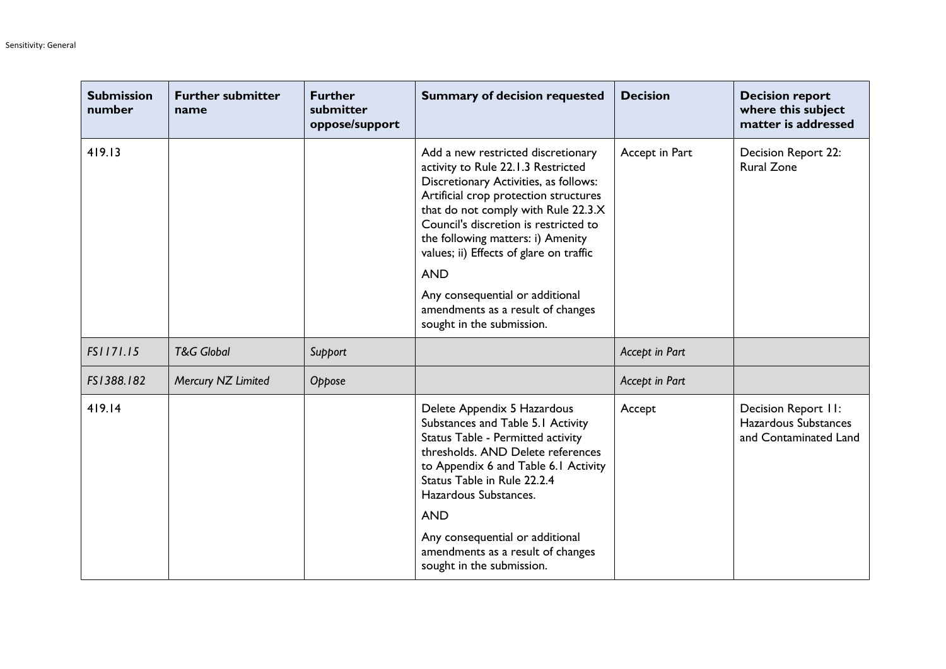| <b>Submission</b><br>number | <b>Further submitter</b><br>name | <b>Further</b><br>submitter<br>oppose/support | <b>Summary of decision requested</b>                                                                                                                                                                                                                                                                                                                                                                                                          | <b>Decision</b> | <b>Decision report</b><br>where this subject<br>matter is addressed  |
|-----------------------------|----------------------------------|-----------------------------------------------|-----------------------------------------------------------------------------------------------------------------------------------------------------------------------------------------------------------------------------------------------------------------------------------------------------------------------------------------------------------------------------------------------------------------------------------------------|-----------------|----------------------------------------------------------------------|
| 419.13                      |                                  |                                               | Add a new restricted discretionary<br>activity to Rule 22.1.3 Restricted<br>Discretionary Activities, as follows:<br>Artificial crop protection structures<br>that do not comply with Rule 22.3.X<br>Council's discretion is restricted to<br>the following matters: i) Amenity<br>values; ii) Effects of glare on traffic<br><b>AND</b><br>Any consequential or additional<br>amendments as a result of changes<br>sought in the submission. | Accept in Part  | Decision Report 22:<br><b>Rural Zone</b>                             |
| FS1171.15                   | <b>T&amp;G Global</b>            | Support                                       |                                                                                                                                                                                                                                                                                                                                                                                                                                               | Accept in Part  |                                                                      |
| FS1388.182                  | Mercury NZ Limited               | Oppose                                        |                                                                                                                                                                                                                                                                                                                                                                                                                                               | Accept in Part  |                                                                      |
| 419.14                      |                                  |                                               | Delete Appendix 5 Hazardous<br>Substances and Table 5.1 Activity<br>Status Table - Permitted activity<br>thresholds. AND Delete references<br>to Appendix 6 and Table 6.1 Activity<br>Status Table in Rule 22.2.4<br>Hazardous Substances.<br><b>AND</b><br>Any consequential or additional<br>amendments as a result of changes<br>sought in the submission.                                                                                 | Accept          | Decision Report II:<br>Hazardous Substances<br>and Contaminated Land |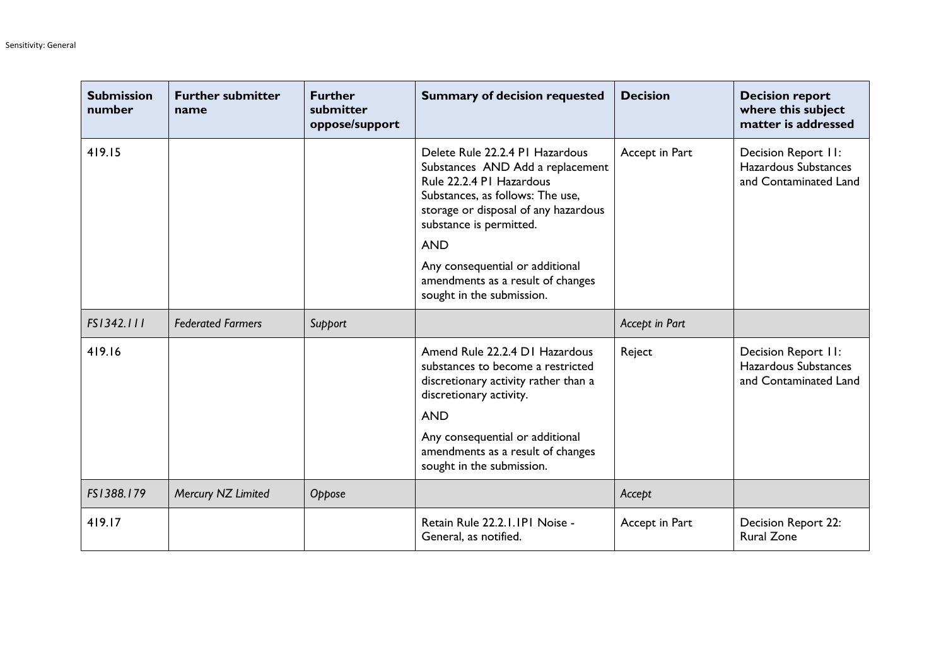| <b>Submission</b><br>number | <b>Further submitter</b><br>name | <b>Further</b><br>submitter<br>oppose/support | <b>Summary of decision requested</b>                                                                                                                                                                                                                                                                                      | <b>Decision</b> | <b>Decision report</b><br>where this subject<br>matter is addressed  |
|-----------------------------|----------------------------------|-----------------------------------------------|---------------------------------------------------------------------------------------------------------------------------------------------------------------------------------------------------------------------------------------------------------------------------------------------------------------------------|-----------------|----------------------------------------------------------------------|
| 419.15                      |                                  |                                               | Delete Rule 22.2.4 PI Hazardous<br>Substances AND Add a replacement<br>Rule 22.2.4 PI Hazardous<br>Substances, as follows: The use,<br>storage or disposal of any hazardous<br>substance is permitted.<br><b>AND</b><br>Any consequential or additional<br>amendments as a result of changes<br>sought in the submission. | Accept in Part  | Decision Report II:<br>Hazardous Substances<br>and Contaminated Land |
| FS1342.111                  | <b>Federated Farmers</b>         | Support                                       |                                                                                                                                                                                                                                                                                                                           | Accept in Part  |                                                                      |
| 419.16                      |                                  |                                               | Amend Rule 22.2.4 D1 Hazardous<br>substances to become a restricted<br>discretionary activity rather than a<br>discretionary activity.<br><b>AND</b><br>Any consequential or additional<br>amendments as a result of changes<br>sought in the submission.                                                                 | Reject          | Decision Report II:<br>Hazardous Substances<br>and Contaminated Land |
| FS1388.179                  | Mercury NZ Limited               | Oppose                                        |                                                                                                                                                                                                                                                                                                                           | Accept          |                                                                      |
| 419.17                      |                                  |                                               | Retain Rule 22.2.1.1P1 Noise -<br>General, as notified.                                                                                                                                                                                                                                                                   | Accept in Part  | Decision Report 22:<br><b>Rural Zone</b>                             |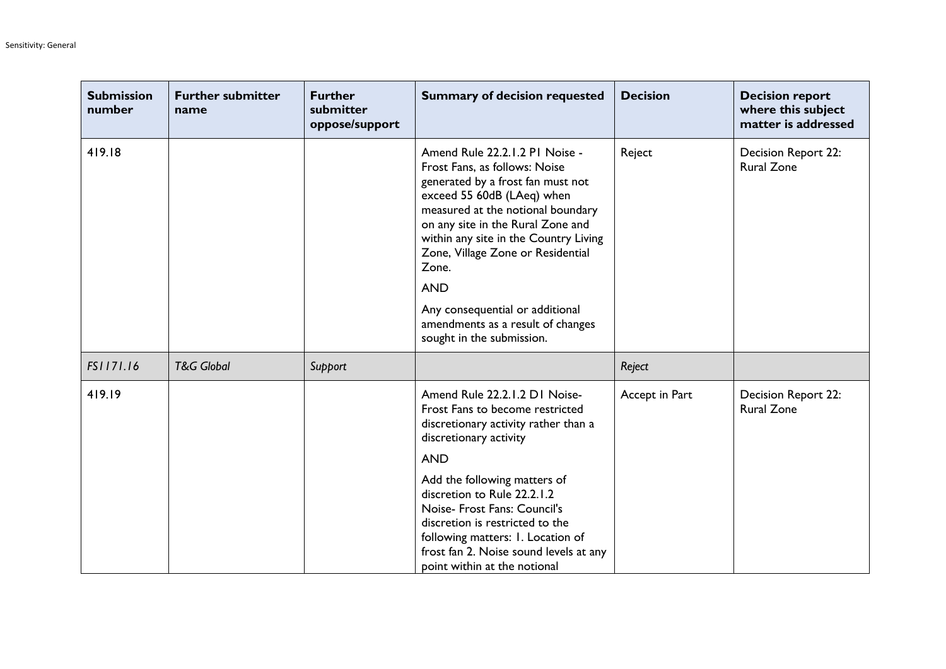| <b>Submission</b><br>number | <b>Further submitter</b><br>name | <b>Further</b><br>submitter<br>oppose/support | <b>Summary of decision requested</b>                                                                                                                                                                                                                                                                                                                                                                                   | <b>Decision</b> | <b>Decision report</b><br>where this subject<br>matter is addressed |
|-----------------------------|----------------------------------|-----------------------------------------------|------------------------------------------------------------------------------------------------------------------------------------------------------------------------------------------------------------------------------------------------------------------------------------------------------------------------------------------------------------------------------------------------------------------------|-----------------|---------------------------------------------------------------------|
| 419.18                      |                                  |                                               | Amend Rule 22.2.1.2 PI Noise -<br>Frost Fans, as follows: Noise<br>generated by a frost fan must not<br>exceed 55 60dB (LAeq) when<br>measured at the notional boundary<br>on any site in the Rural Zone and<br>within any site in the Country Living<br>Zone, Village Zone or Residential<br>Zone.<br><b>AND</b><br>Any consequential or additional<br>amendments as a result of changes<br>sought in the submission. | Reject          | Decision Report 22:<br><b>Rural Zone</b>                            |
| FS1171.16                   | <b>T&amp;G Global</b>            | Support                                       |                                                                                                                                                                                                                                                                                                                                                                                                                        | Reject          |                                                                     |
| 419.19                      |                                  |                                               | Amend Rule 22.2.1.2 D1 Noise-<br>Frost Fans to become restricted<br>discretionary activity rather than a<br>discretionary activity<br><b>AND</b><br>Add the following matters of<br>discretion to Rule 22.2.1.2<br>Noise- Frost Fans: Council's<br>discretion is restricted to the<br>following matters: I. Location of<br>frost fan 2. Noise sound levels at any<br>point within at the notional                      | Accept in Part  | Decision Report 22:<br><b>Rural Zone</b>                            |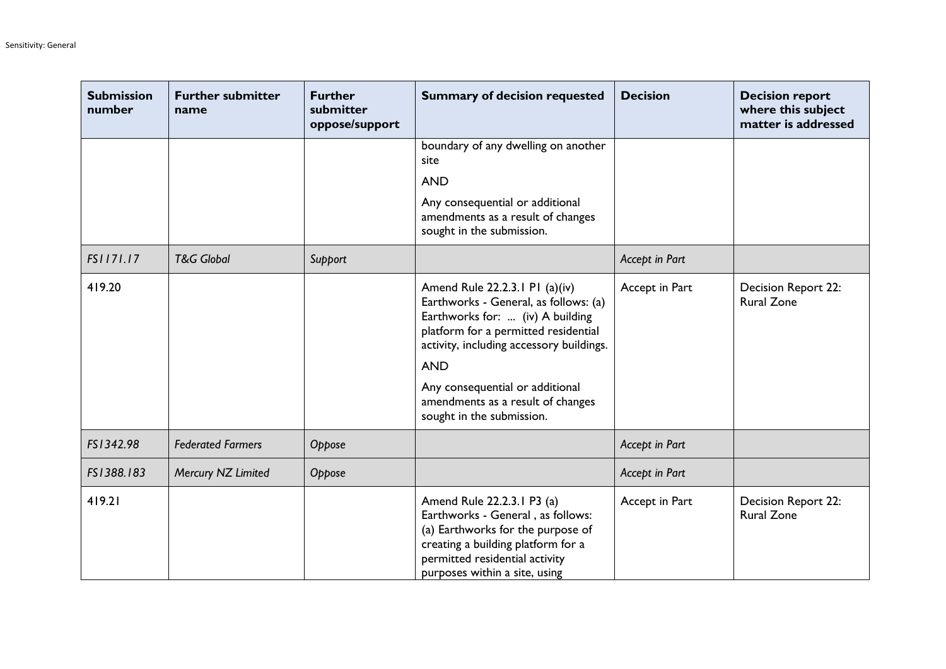| <b>Submission</b><br>number | <b>Further submitter</b><br>name | <b>Further</b><br>submitter<br>oppose/support | <b>Summary of decision requested</b>                                                                                                                                                                                                                                                                               | <b>Decision</b> | <b>Decision report</b><br>where this subject<br>matter is addressed |
|-----------------------------|----------------------------------|-----------------------------------------------|--------------------------------------------------------------------------------------------------------------------------------------------------------------------------------------------------------------------------------------------------------------------------------------------------------------------|-----------------|---------------------------------------------------------------------|
|                             |                                  |                                               | boundary of any dwelling on another<br>site                                                                                                                                                                                                                                                                        |                 |                                                                     |
|                             |                                  |                                               | <b>AND</b>                                                                                                                                                                                                                                                                                                         |                 |                                                                     |
|                             |                                  |                                               | Any consequential or additional<br>amendments as a result of changes<br>sought in the submission.                                                                                                                                                                                                                  |                 |                                                                     |
| FS1171.17                   | <b>T&amp;G Global</b>            | Support                                       |                                                                                                                                                                                                                                                                                                                    | Accept in Part  |                                                                     |
| 419.20                      |                                  |                                               | Amend Rule 22.2.3.1 P1 (a)(iv)<br>Earthworks - General, as follows: (a)<br>Earthworks for:  (iv) A building<br>platform for a permitted residential<br>activity, including accessory buildings.<br><b>AND</b><br>Any consequential or additional<br>amendments as a result of changes<br>sought in the submission. | Accept in Part  | Decision Report 22:<br><b>Rural Zone</b>                            |
| FS1342.98                   | <b>Federated Farmers</b>         | Oppose                                        |                                                                                                                                                                                                                                                                                                                    | Accept in Part  |                                                                     |
| FS1388.183                  | Mercury NZ Limited               | Oppose                                        |                                                                                                                                                                                                                                                                                                                    | Accept in Part  |                                                                     |
| 419.21                      |                                  |                                               | Amend Rule 22.2.3.1 P3 (a)<br>Earthworks - General, as follows:<br>(a) Earthworks for the purpose of<br>creating a building platform for a<br>permitted residential activity<br>purposes within a site, using                                                                                                      | Accept in Part  | Decision Report 22:<br><b>Rural Zone</b>                            |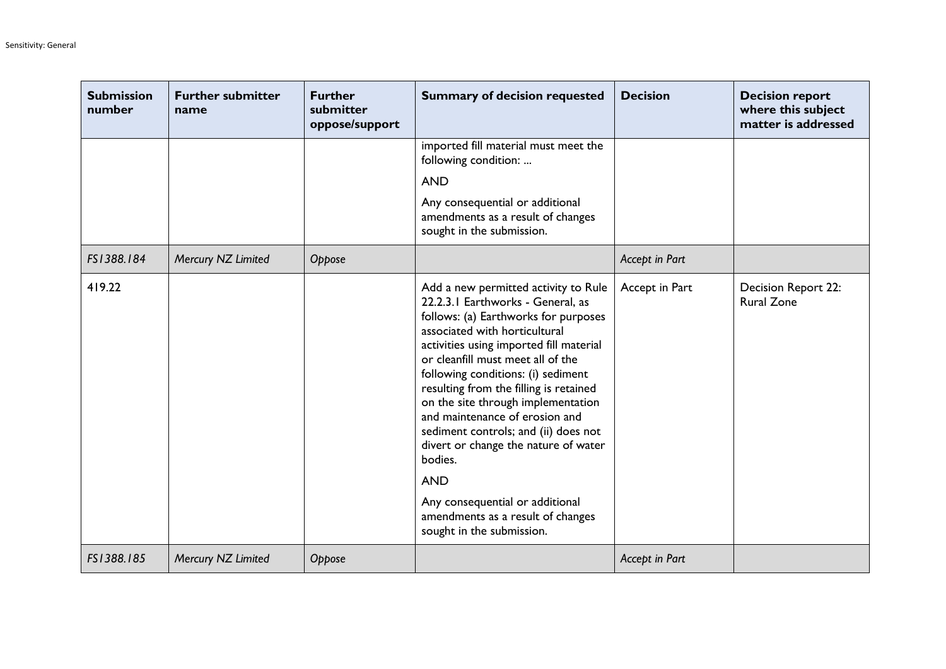| <b>Submission</b><br>number | <b>Further submitter</b><br>name | <b>Further</b><br>submitter<br>oppose/support | <b>Summary of decision requested</b>                                                                                                                                                                                                                                                                                                                                                                                                                                                                                                                                                                     | <b>Decision</b> | <b>Decision report</b><br>where this subject<br>matter is addressed |
|-----------------------------|----------------------------------|-----------------------------------------------|----------------------------------------------------------------------------------------------------------------------------------------------------------------------------------------------------------------------------------------------------------------------------------------------------------------------------------------------------------------------------------------------------------------------------------------------------------------------------------------------------------------------------------------------------------------------------------------------------------|-----------------|---------------------------------------------------------------------|
|                             |                                  |                                               | imported fill material must meet the<br>following condition:<br><b>AND</b><br>Any consequential or additional<br>amendments as a result of changes<br>sought in the submission.                                                                                                                                                                                                                                                                                                                                                                                                                          |                 |                                                                     |
| FS1388.184                  | Mercury NZ Limited               | Oppose                                        |                                                                                                                                                                                                                                                                                                                                                                                                                                                                                                                                                                                                          | Accept in Part  |                                                                     |
| 419.22                      |                                  |                                               | Add a new permitted activity to Rule<br>22.2.3.1 Earthworks - General, as<br>follows: (a) Earthworks for purposes<br>associated with horticultural<br>activities using imported fill material<br>or cleanfill must meet all of the<br>following conditions: (i) sediment<br>resulting from the filling is retained<br>on the site through implementation<br>and maintenance of erosion and<br>sediment controls; and (ii) does not<br>divert or change the nature of water<br>bodies.<br><b>AND</b><br>Any consequential or additional<br>amendments as a result of changes<br>sought in the submission. | Accept in Part  | Decision Report 22:<br><b>Rural Zone</b>                            |
| FS1388.185                  | Mercury NZ Limited               | Oppose                                        |                                                                                                                                                                                                                                                                                                                                                                                                                                                                                                                                                                                                          | Accept in Part  |                                                                     |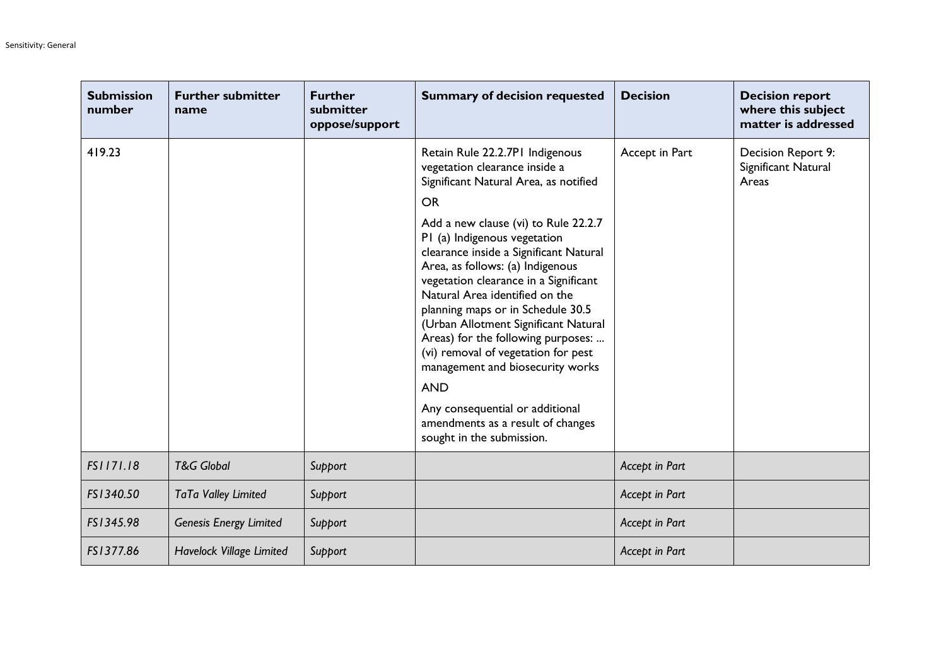| <b>Submission</b><br>number | <b>Further submitter</b><br>name | <b>Further</b><br>submitter<br>oppose/support | <b>Summary of decision requested</b>                                                                                                                                                                                                                                                                                                                                                                                                                                                                                                                                                                                                                                     | <b>Decision</b> | <b>Decision report</b><br>where this subject<br>matter is addressed |
|-----------------------------|----------------------------------|-----------------------------------------------|--------------------------------------------------------------------------------------------------------------------------------------------------------------------------------------------------------------------------------------------------------------------------------------------------------------------------------------------------------------------------------------------------------------------------------------------------------------------------------------------------------------------------------------------------------------------------------------------------------------------------------------------------------------------------|-----------------|---------------------------------------------------------------------|
| 419.23                      |                                  |                                               | Retain Rule 22.2.7P1 Indigenous<br>vegetation clearance inside a<br>Significant Natural Area, as notified<br><b>OR</b><br>Add a new clause (vi) to Rule 22.2.7<br>PI (a) Indigenous vegetation<br>clearance inside a Significant Natural<br>Area, as follows: (a) Indigenous<br>vegetation clearance in a Significant<br>Natural Area identified on the<br>planning maps or in Schedule 30.5<br>(Urban Allotment Significant Natural<br>Areas) for the following purposes:<br>(vi) removal of vegetation for pest<br>management and biosecurity works<br><b>AND</b><br>Any consequential or additional<br>amendments as a result of changes<br>sought in the submission. | Accept in Part  | Decision Report 9:<br>Significant Natural<br>Areas                  |
| FS1171.18                   | <b>T&amp;G Global</b>            | Support                                       |                                                                                                                                                                                                                                                                                                                                                                                                                                                                                                                                                                                                                                                                          | Accept in Part  |                                                                     |
| FS1340.50                   | TaTa Valley Limited              | Support                                       |                                                                                                                                                                                                                                                                                                                                                                                                                                                                                                                                                                                                                                                                          | Accept in Part  |                                                                     |
| FS1345.98                   | <b>Genesis Energy Limited</b>    | Support                                       |                                                                                                                                                                                                                                                                                                                                                                                                                                                                                                                                                                                                                                                                          | Accept in Part  |                                                                     |
| FS1377.86                   | Havelock Village Limited         | Support                                       |                                                                                                                                                                                                                                                                                                                                                                                                                                                                                                                                                                                                                                                                          | Accept in Part  |                                                                     |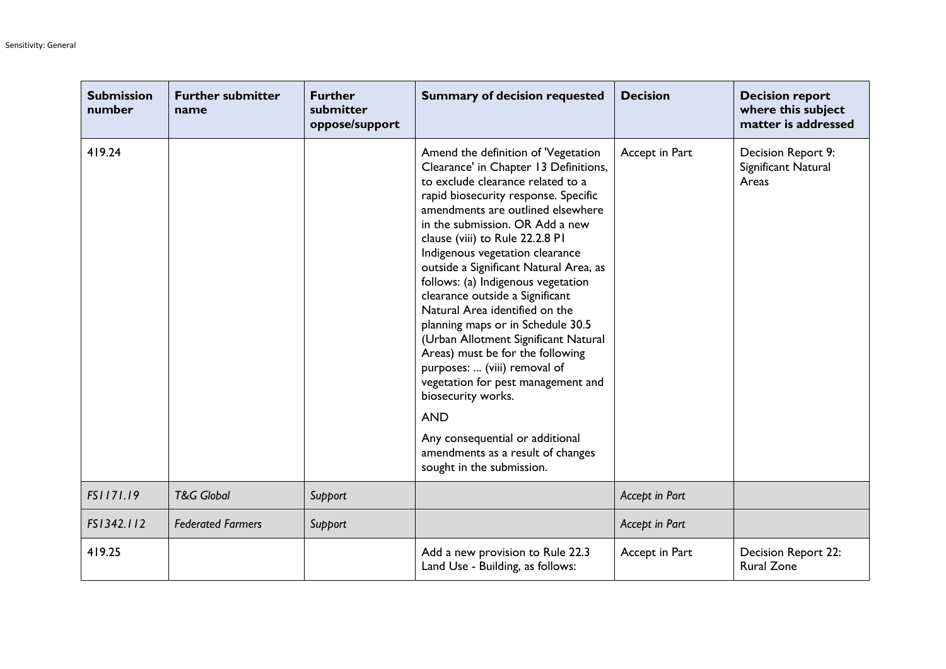| <b>Submission</b><br>number | <b>Further submitter</b><br>name | <b>Further</b><br>submitter<br>oppose/support | <b>Summary of decision requested</b>                                                                                                                                                                                                                                                                                                                                                                                                                                                                                                                                                                                                                                                                                                                                                         | <b>Decision</b> | <b>Decision report</b><br>where this subject<br>matter is addressed |
|-----------------------------|----------------------------------|-----------------------------------------------|----------------------------------------------------------------------------------------------------------------------------------------------------------------------------------------------------------------------------------------------------------------------------------------------------------------------------------------------------------------------------------------------------------------------------------------------------------------------------------------------------------------------------------------------------------------------------------------------------------------------------------------------------------------------------------------------------------------------------------------------------------------------------------------------|-----------------|---------------------------------------------------------------------|
| 419.24                      |                                  |                                               | Amend the definition of 'Vegetation<br>Clearance' in Chapter 13 Definitions,<br>to exclude clearance related to a<br>rapid biosecurity response. Specific<br>amendments are outlined elsewhere<br>in the submission. OR Add a new<br>clause (viii) to Rule 22.2.8 PI<br>Indigenous vegetation clearance<br>outside a Significant Natural Area, as<br>follows: (a) Indigenous vegetation<br>clearance outside a Significant<br>Natural Area identified on the<br>planning maps or in Schedule 30.5<br>(Urban Allotment Significant Natural<br>Areas) must be for the following<br>purposes:  (viii) removal of<br>vegetation for pest management and<br>biosecurity works.<br><b>AND</b><br>Any consequential or additional<br>amendments as a result of changes<br>sought in the submission. | Accept in Part  | Decision Report 9:<br>Significant Natural<br>Areas                  |
| FS1171.19                   | <b>T&amp;G Global</b>            | Support                                       |                                                                                                                                                                                                                                                                                                                                                                                                                                                                                                                                                                                                                                                                                                                                                                                              | Accept in Part  |                                                                     |
| FS1342.112                  | <b>Federated Farmers</b>         | Support                                       |                                                                                                                                                                                                                                                                                                                                                                                                                                                                                                                                                                                                                                                                                                                                                                                              | Accept in Part  |                                                                     |
| 419.25                      |                                  |                                               | Add a new provision to Rule 22.3<br>Land Use - Building, as follows:                                                                                                                                                                                                                                                                                                                                                                                                                                                                                                                                                                                                                                                                                                                         | Accept in Part  | Decision Report 22:<br><b>Rural Zone</b>                            |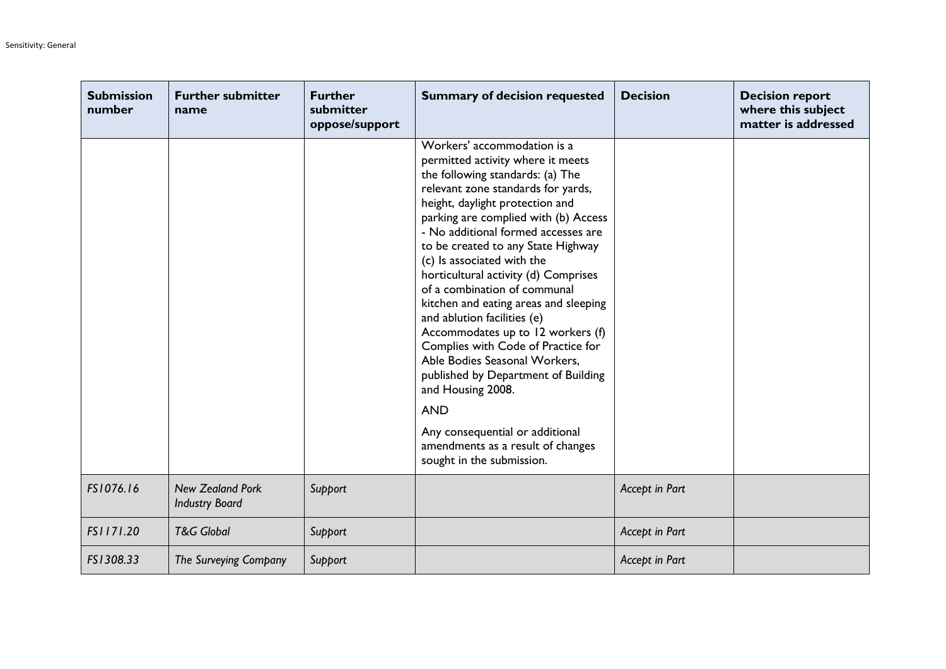| <b>Submission</b><br>number | <b>Further submitter</b><br>name                 | <b>Further</b><br>submitter<br>oppose/support | <b>Summary of decision requested</b>                                                                                                                                                                                                                                                                                                                                                                                                                                                                                                                                                                                                                                                                                                                                        | <b>Decision</b> | <b>Decision report</b><br>where this subject<br>matter is addressed |
|-----------------------------|--------------------------------------------------|-----------------------------------------------|-----------------------------------------------------------------------------------------------------------------------------------------------------------------------------------------------------------------------------------------------------------------------------------------------------------------------------------------------------------------------------------------------------------------------------------------------------------------------------------------------------------------------------------------------------------------------------------------------------------------------------------------------------------------------------------------------------------------------------------------------------------------------------|-----------------|---------------------------------------------------------------------|
|                             |                                                  |                                               | Workers' accommodation is a<br>permitted activity where it meets<br>the following standards: (a) The<br>relevant zone standards for yards,<br>height, daylight protection and<br>parking are complied with (b) Access<br>- No additional formed accesses are<br>to be created to any State Highway<br>(c) Is associated with the<br>horticultural activity (d) Comprises<br>of a combination of communal<br>kitchen and eating areas and sleeping<br>and ablution facilities (e)<br>Accommodates up to 12 workers (f)<br>Complies with Code of Practice for<br>Able Bodies Seasonal Workers,<br>published by Department of Building<br>and Housing 2008.<br><b>AND</b><br>Any consequential or additional<br>amendments as a result of changes<br>sought in the submission. |                 |                                                                     |
| FS1076.16                   | <b>New Zealand Pork</b><br><b>Industry Board</b> | Support                                       |                                                                                                                                                                                                                                                                                                                                                                                                                                                                                                                                                                                                                                                                                                                                                                             | Accept in Part  |                                                                     |
| FS1171.20                   | <b>T&amp;G Global</b>                            | Support                                       |                                                                                                                                                                                                                                                                                                                                                                                                                                                                                                                                                                                                                                                                                                                                                                             | Accept in Part  |                                                                     |
| FS1308.33                   | The Surveying Company                            | Support                                       |                                                                                                                                                                                                                                                                                                                                                                                                                                                                                                                                                                                                                                                                                                                                                                             | Accept in Part  |                                                                     |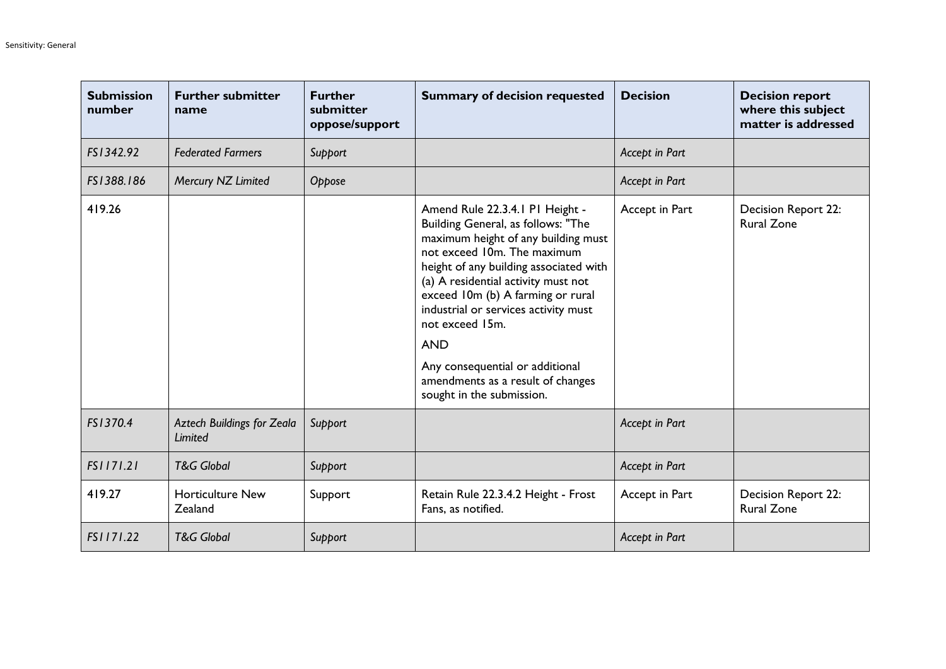| <b>Submission</b><br>number | <b>Further submitter</b><br>name                    | <b>Further</b><br>submitter<br>oppose/support | <b>Summary of decision requested</b>                                                                                                                                                                                                                                                                                                                                                                                                            | <b>Decision</b> | <b>Decision report</b><br>where this subject<br>matter is addressed |
|-----------------------------|-----------------------------------------------------|-----------------------------------------------|-------------------------------------------------------------------------------------------------------------------------------------------------------------------------------------------------------------------------------------------------------------------------------------------------------------------------------------------------------------------------------------------------------------------------------------------------|-----------------|---------------------------------------------------------------------|
| FS1342.92                   | <b>Federated Farmers</b>                            | Support                                       |                                                                                                                                                                                                                                                                                                                                                                                                                                                 | Accept in Part  |                                                                     |
| FS1388.186                  | Mercury NZ Limited                                  | Oppose                                        |                                                                                                                                                                                                                                                                                                                                                                                                                                                 | Accept in Part  |                                                                     |
| 419.26                      |                                                     |                                               | Amend Rule 22.3.4.1 P1 Height -<br>Building General, as follows: "The<br>maximum height of any building must<br>not exceed 10m. The maximum<br>height of any building associated with<br>(a) A residential activity must not<br>exceed 10m (b) A farming or rural<br>industrial or services activity must<br>not exceed 15m.<br><b>AND</b><br>Any consequential or additional<br>amendments as a result of changes<br>sought in the submission. | Accept in Part  | <b>Decision Report 22:</b><br><b>Rural Zone</b>                     |
| FS1370.4                    | <b>Aztech Buildings for Zeala</b><br><b>Limited</b> | Support                                       |                                                                                                                                                                                                                                                                                                                                                                                                                                                 | Accept in Part  |                                                                     |
| FS1171.21                   | <b>T&amp;G Global</b>                               | Support                                       |                                                                                                                                                                                                                                                                                                                                                                                                                                                 | Accept in Part  |                                                                     |
| 419.27                      | <b>Horticulture New</b><br>Zealand                  | Support                                       | Retain Rule 22.3.4.2 Height - Frost<br>Fans, as notified.                                                                                                                                                                                                                                                                                                                                                                                       | Accept in Part  | Decision Report 22:<br><b>Rural Zone</b>                            |
| FS1171.22                   | <b>T&amp;G Global</b>                               | Support                                       |                                                                                                                                                                                                                                                                                                                                                                                                                                                 | Accept in Part  |                                                                     |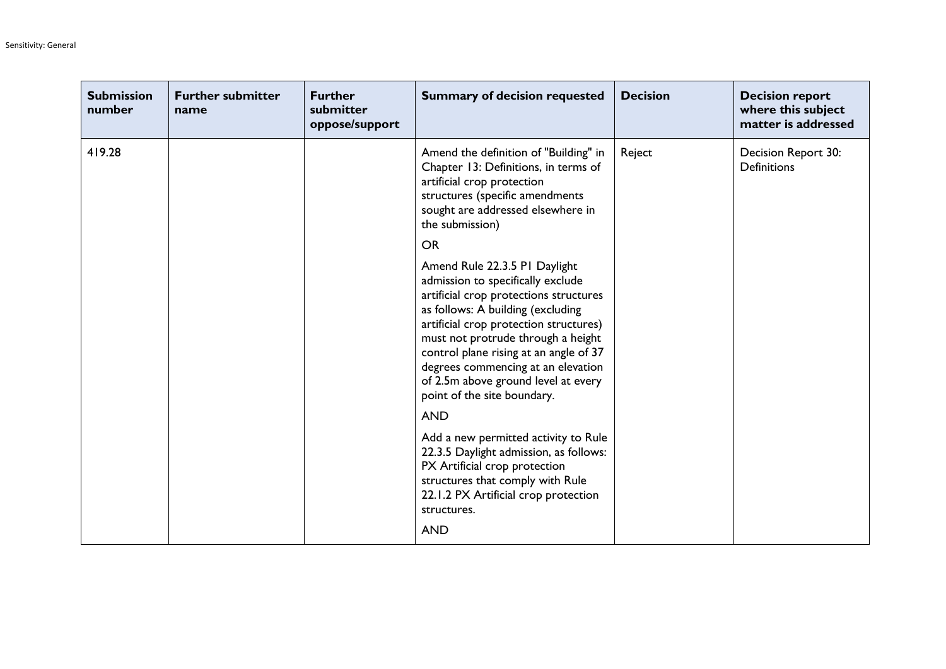| <b>Submission</b><br>number | <b>Further submitter</b><br>name | <b>Further</b><br>submitter<br>oppose/support | <b>Summary of decision requested</b>                                                                                                                                                                                                                                                                                                                                                                                                                                                                                                                                                                                         | <b>Decision</b> | <b>Decision report</b><br>where this subject<br>matter is addressed |
|-----------------------------|----------------------------------|-----------------------------------------------|------------------------------------------------------------------------------------------------------------------------------------------------------------------------------------------------------------------------------------------------------------------------------------------------------------------------------------------------------------------------------------------------------------------------------------------------------------------------------------------------------------------------------------------------------------------------------------------------------------------------------|-----------------|---------------------------------------------------------------------|
| 419.28                      |                                  |                                               | Amend the definition of "Building" in<br>Chapter 13: Definitions, in terms of<br>artificial crop protection<br>structures (specific amendments<br>sought are addressed elsewhere in<br>the submission)<br><b>OR</b><br>Amend Rule 22.3.5 PI Daylight<br>admission to specifically exclude<br>artificial crop protections structures<br>as follows: A building (excluding<br>artificial crop protection structures)<br>must not protrude through a height<br>control plane rising at an angle of 37<br>degrees commencing at an elevation<br>of 2.5m above ground level at every<br>point of the site boundary.<br><b>AND</b> | Reject          | Decision Report 30:<br>Definitions                                  |
|                             |                                  |                                               | Add a new permitted activity to Rule<br>22.3.5 Daylight admission, as follows:<br>PX Artificial crop protection<br>structures that comply with Rule<br>22.1.2 PX Artificial crop protection<br>structures.<br><b>AND</b>                                                                                                                                                                                                                                                                                                                                                                                                     |                 |                                                                     |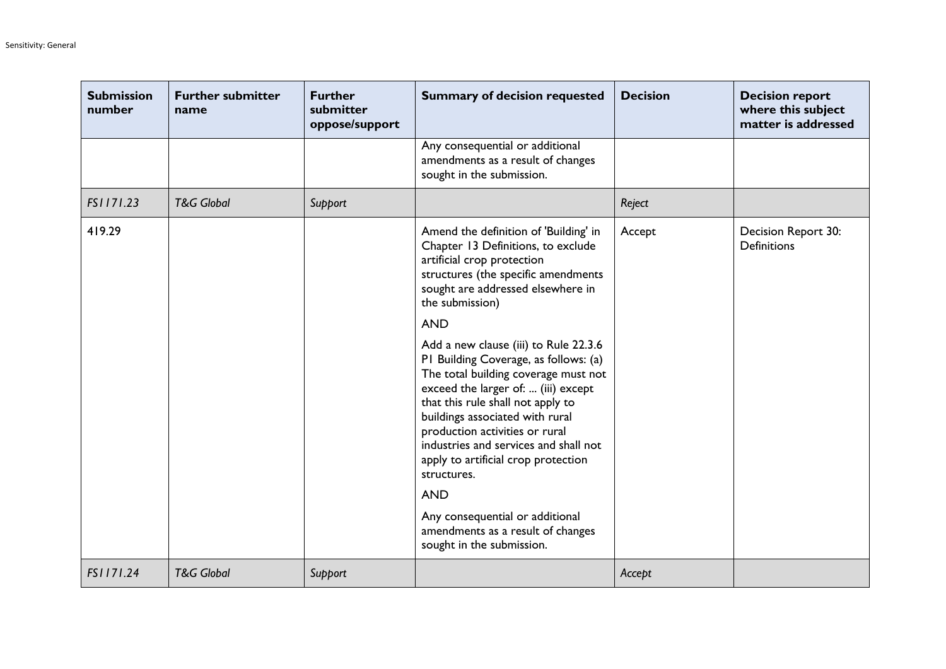| <b>Submission</b><br>number | <b>Further submitter</b><br>name | <b>Further</b><br>submitter<br>oppose/support | <b>Summary of decision requested</b>                                                                                                                                                                                                                                                                                                                                   | <b>Decision</b> | <b>Decision report</b><br>where this subject<br>matter is addressed |
|-----------------------------|----------------------------------|-----------------------------------------------|------------------------------------------------------------------------------------------------------------------------------------------------------------------------------------------------------------------------------------------------------------------------------------------------------------------------------------------------------------------------|-----------------|---------------------------------------------------------------------|
|                             |                                  |                                               | Any consequential or additional<br>amendments as a result of changes<br>sought in the submission.                                                                                                                                                                                                                                                                      |                 |                                                                     |
| FS1171.23                   | <b>T&amp;G Global</b>            | Support                                       |                                                                                                                                                                                                                                                                                                                                                                        | Reject          |                                                                     |
| 419.29                      |                                  |                                               | Amend the definition of 'Building' in<br>Chapter 13 Definitions, to exclude<br>artificial crop protection<br>structures (the specific amendments<br>sought are addressed elsewhere in<br>the submission)<br><b>AND</b>                                                                                                                                                 | Accept          | Decision Report 30:<br><b>Definitions</b>                           |
|                             |                                  |                                               | Add a new clause (iii) to Rule 22.3.6<br>PI Building Coverage, as follows: (a)<br>The total building coverage must not<br>exceed the larger of:  (iii) except<br>that this rule shall not apply to<br>buildings associated with rural<br>production activities or rural<br>industries and services and shall not<br>apply to artificial crop protection<br>structures. |                 |                                                                     |
|                             |                                  |                                               | <b>AND</b>                                                                                                                                                                                                                                                                                                                                                             |                 |                                                                     |
|                             |                                  |                                               | Any consequential or additional<br>amendments as a result of changes<br>sought in the submission.                                                                                                                                                                                                                                                                      |                 |                                                                     |
| FS1171.24                   | <b>T&amp;G Global</b>            | Support                                       |                                                                                                                                                                                                                                                                                                                                                                        | Accept          |                                                                     |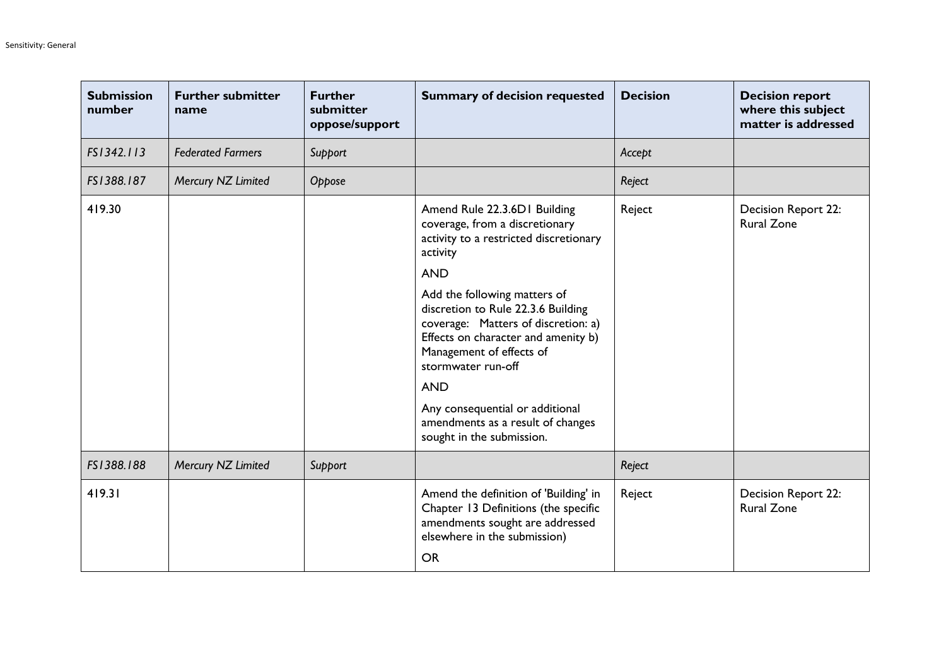| <b>Submission</b><br>number | <b>Further submitter</b><br>name | <b>Further</b><br>submitter<br>oppose/support | <b>Summary of decision requested</b>                                                                                                                                                                                                                                                                                                                                                      | <b>Decision</b> | <b>Decision report</b><br>where this subject<br>matter is addressed |
|-----------------------------|----------------------------------|-----------------------------------------------|-------------------------------------------------------------------------------------------------------------------------------------------------------------------------------------------------------------------------------------------------------------------------------------------------------------------------------------------------------------------------------------------|-----------------|---------------------------------------------------------------------|
| FS1342.113                  | <b>Federated Farmers</b>         | Support                                       |                                                                                                                                                                                                                                                                                                                                                                                           | Accept          |                                                                     |
| FS1388.187                  | Mercury NZ Limited               | Oppose                                        |                                                                                                                                                                                                                                                                                                                                                                                           | Reject          |                                                                     |
| 419.30                      |                                  |                                               | Amend Rule 22.3.6D1 Building<br>coverage, from a discretionary<br>activity to a restricted discretionary<br>activity<br><b>AND</b><br>Add the following matters of<br>discretion to Rule 22.3.6 Building<br>coverage: Matters of discretion: a)<br>Effects on character and amenity b)<br>Management of effects of<br>stormwater run-off<br><b>AND</b><br>Any consequential or additional | Reject          | Decision Report 22:<br><b>Rural Zone</b>                            |
|                             |                                  |                                               | amendments as a result of changes<br>sought in the submission.                                                                                                                                                                                                                                                                                                                            |                 |                                                                     |
| FS1388.188                  | Mercury NZ Limited               | Support                                       |                                                                                                                                                                                                                                                                                                                                                                                           | Reject          |                                                                     |
| 419.31                      |                                  |                                               | Amend the definition of 'Building' in<br>Chapter 13 Definitions (the specific<br>amendments sought are addressed<br>elsewhere in the submission)<br><b>OR</b>                                                                                                                                                                                                                             | Reject          | Decision Report 22:<br><b>Rural Zone</b>                            |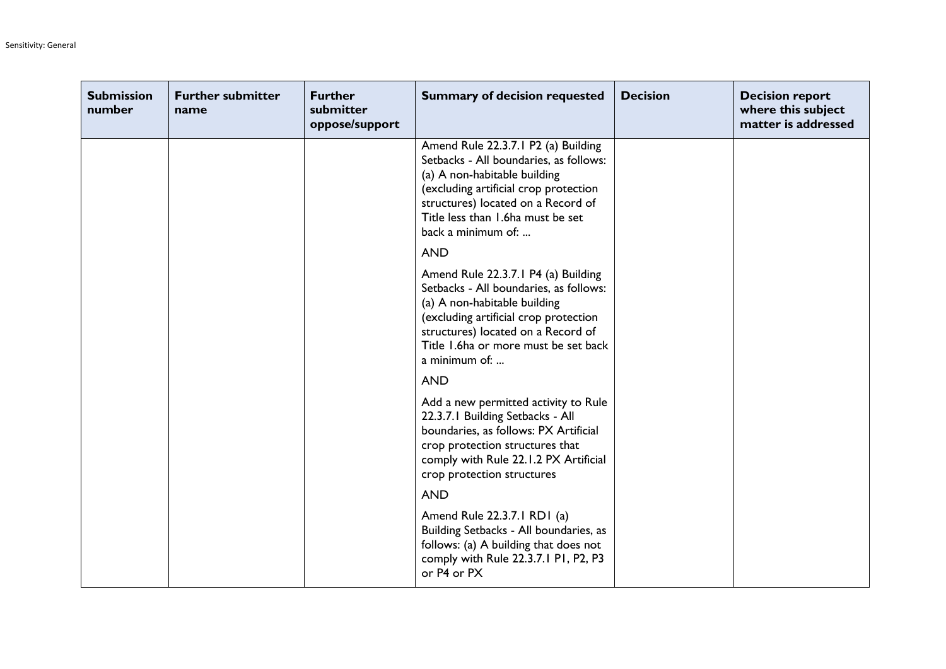| <b>Submission</b><br>number | <b>Further submitter</b><br>name | <b>Further</b><br>submitter<br>oppose/support | <b>Summary of decision requested</b>                                                                                                                                                                                                                    | <b>Decision</b> | <b>Decision report</b><br>where this subject<br>matter is addressed |
|-----------------------------|----------------------------------|-----------------------------------------------|---------------------------------------------------------------------------------------------------------------------------------------------------------------------------------------------------------------------------------------------------------|-----------------|---------------------------------------------------------------------|
|                             |                                  |                                               | Amend Rule 22.3.7.1 P2 (a) Building<br>Setbacks - All boundaries, as follows:<br>(a) A non-habitable building<br>(excluding artificial crop protection<br>structures) located on a Record of<br>Title less than 1.6ha must be set<br>back a minimum of: |                 |                                                                     |
|                             |                                  |                                               | <b>AND</b>                                                                                                                                                                                                                                              |                 |                                                                     |
|                             |                                  |                                               | Amend Rule 22.3.7.1 P4 (a) Building<br>Setbacks - All boundaries, as follows:<br>(a) A non-habitable building<br>(excluding artificial crop protection<br>structures) located on a Record of<br>Title 1.6ha or more must be set back<br>a minimum of:   |                 |                                                                     |
|                             |                                  |                                               | <b>AND</b>                                                                                                                                                                                                                                              |                 |                                                                     |
|                             |                                  |                                               | Add a new permitted activity to Rule<br>22.3.7.1 Building Setbacks - All<br>boundaries, as follows: PX Artificial<br>crop protection structures that<br>comply with Rule 22.1.2 PX Artificial<br>crop protection structures                             |                 |                                                                     |
|                             |                                  |                                               | <b>AND</b>                                                                                                                                                                                                                                              |                 |                                                                     |
|                             |                                  |                                               | Amend Rule 22.3.7.1 RD1 (a)<br>Building Setbacks - All boundaries, as<br>follows: (a) A building that does not<br>comply with Rule 22.3.7.1 P1, P2, P3<br>or P4 or PX                                                                                   |                 |                                                                     |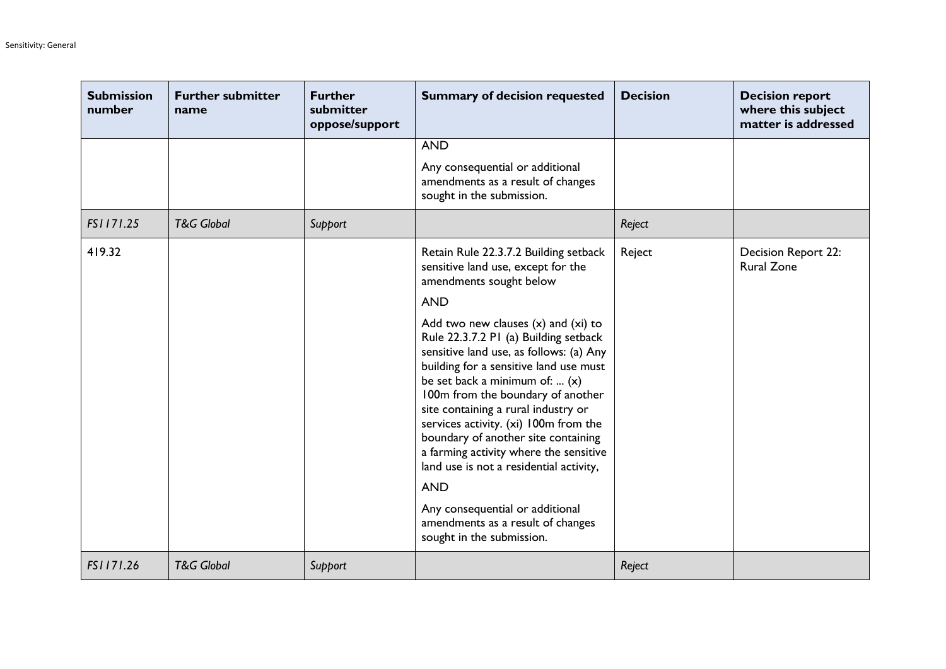| <b>Submission</b><br>number | <b>Further submitter</b><br>name | <b>Further</b><br>submitter<br>oppose/support | <b>Summary of decision requested</b>                                                                                                                                                                                                                                                                                                                                                                                                                                   | <b>Decision</b> | <b>Decision report</b><br>where this subject<br>matter is addressed |
|-----------------------------|----------------------------------|-----------------------------------------------|------------------------------------------------------------------------------------------------------------------------------------------------------------------------------------------------------------------------------------------------------------------------------------------------------------------------------------------------------------------------------------------------------------------------------------------------------------------------|-----------------|---------------------------------------------------------------------|
|                             |                                  |                                               | <b>AND</b>                                                                                                                                                                                                                                                                                                                                                                                                                                                             |                 |                                                                     |
|                             |                                  |                                               | Any consequential or additional<br>amendments as a result of changes<br>sought in the submission.                                                                                                                                                                                                                                                                                                                                                                      |                 |                                                                     |
| FS1171.25                   | <b>T&amp;G Global</b>            | Support                                       |                                                                                                                                                                                                                                                                                                                                                                                                                                                                        | Reject          |                                                                     |
| 419.32                      |                                  |                                               | Retain Rule 22.3.7.2 Building setback<br>sensitive land use, except for the<br>amendments sought below                                                                                                                                                                                                                                                                                                                                                                 | Reject          | Decision Report 22:<br><b>Rural Zone</b>                            |
|                             |                                  |                                               | <b>AND</b>                                                                                                                                                                                                                                                                                                                                                                                                                                                             |                 |                                                                     |
|                             |                                  |                                               | Add two new clauses $(x)$ and $(xi)$ to<br>Rule 22.3.7.2 PI (a) Building setback<br>sensitive land use, as follows: (a) Any<br>building for a sensitive land use must<br>be set back a minimum of:  (x)<br>100m from the boundary of another<br>site containing a rural industry or<br>services activity. (xi) 100m from the<br>boundary of another site containing<br>a farming activity where the sensitive<br>land use is not a residential activity,<br><b>AND</b> |                 |                                                                     |
|                             |                                  |                                               | Any consequential or additional<br>amendments as a result of changes<br>sought in the submission.                                                                                                                                                                                                                                                                                                                                                                      |                 |                                                                     |
| FS1171.26                   | <b>T&amp;G Global</b>            | Support                                       |                                                                                                                                                                                                                                                                                                                                                                                                                                                                        | Reject          |                                                                     |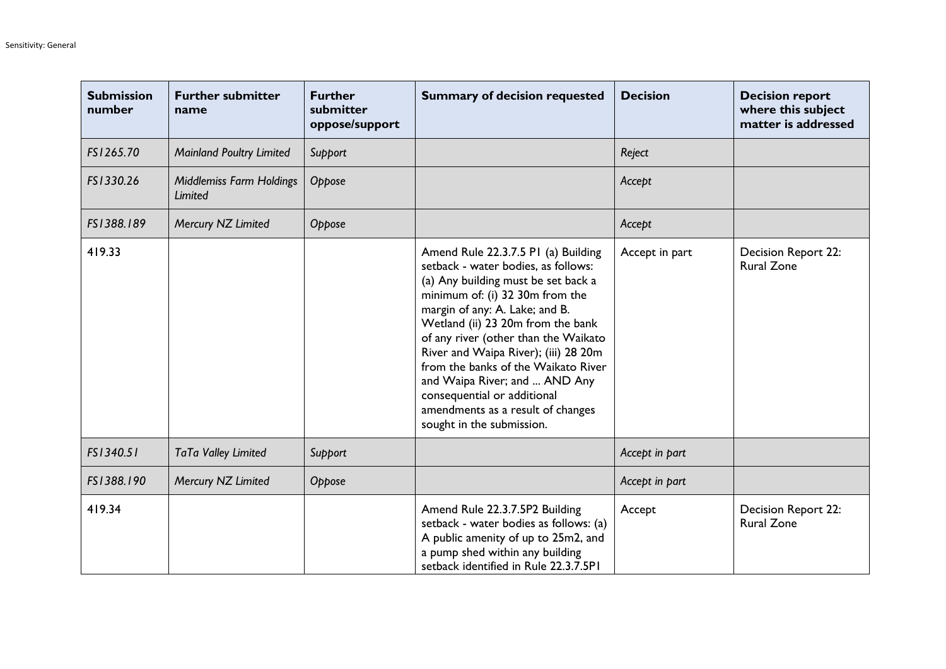| <b>Submission</b><br>number | <b>Further submitter</b><br>name           | <b>Further</b><br>submitter<br>oppose/support | <b>Summary of decision requested</b>                                                                                                                                                                                                                                                                                                                                                                                                                                                 | <b>Decision</b> | <b>Decision report</b><br>where this subject<br>matter is addressed |
|-----------------------------|--------------------------------------------|-----------------------------------------------|--------------------------------------------------------------------------------------------------------------------------------------------------------------------------------------------------------------------------------------------------------------------------------------------------------------------------------------------------------------------------------------------------------------------------------------------------------------------------------------|-----------------|---------------------------------------------------------------------|
| FS1265.70                   | <b>Mainland Poultry Limited</b>            | Support                                       |                                                                                                                                                                                                                                                                                                                                                                                                                                                                                      | Reject          |                                                                     |
| FS1330.26                   | <b>Middlemiss Farm Holdings</b><br>Limited | Oppose                                        |                                                                                                                                                                                                                                                                                                                                                                                                                                                                                      | Accept          |                                                                     |
| FS1388.189                  | Mercury NZ Limited                         | Oppose                                        |                                                                                                                                                                                                                                                                                                                                                                                                                                                                                      | Accept          |                                                                     |
| 419.33                      |                                            |                                               | Amend Rule 22.3.7.5 PI (a) Building<br>setback - water bodies, as follows:<br>(a) Any building must be set back a<br>minimum of: (i) 32 30m from the<br>margin of any: A. Lake; and B.<br>Wetland (ii) 23 20m from the bank<br>of any river (other than the Waikato<br>River and Waipa River); (iii) 28 20m<br>from the banks of the Waikato River<br>and Waipa River; and  AND Any<br>consequential or additional<br>amendments as a result of changes<br>sought in the submission. | Accept in part  | Decision Report 22:<br><b>Rural Zone</b>                            |
| FS1340.51                   | TaTa Valley Limited                        | Support                                       |                                                                                                                                                                                                                                                                                                                                                                                                                                                                                      | Accept in part  |                                                                     |
| FS1388.190                  | Mercury NZ Limited                         | Oppose                                        |                                                                                                                                                                                                                                                                                                                                                                                                                                                                                      | Accept in part  |                                                                     |
| 419.34                      |                                            |                                               | Amend Rule 22.3.7.5P2 Building<br>setback - water bodies as follows: (a)<br>A public amenity of up to 25m2, and<br>a pump shed within any building<br>setback identified in Rule 22.3.7.5PI                                                                                                                                                                                                                                                                                          | Accept          | Decision Report 22:<br><b>Rural Zone</b>                            |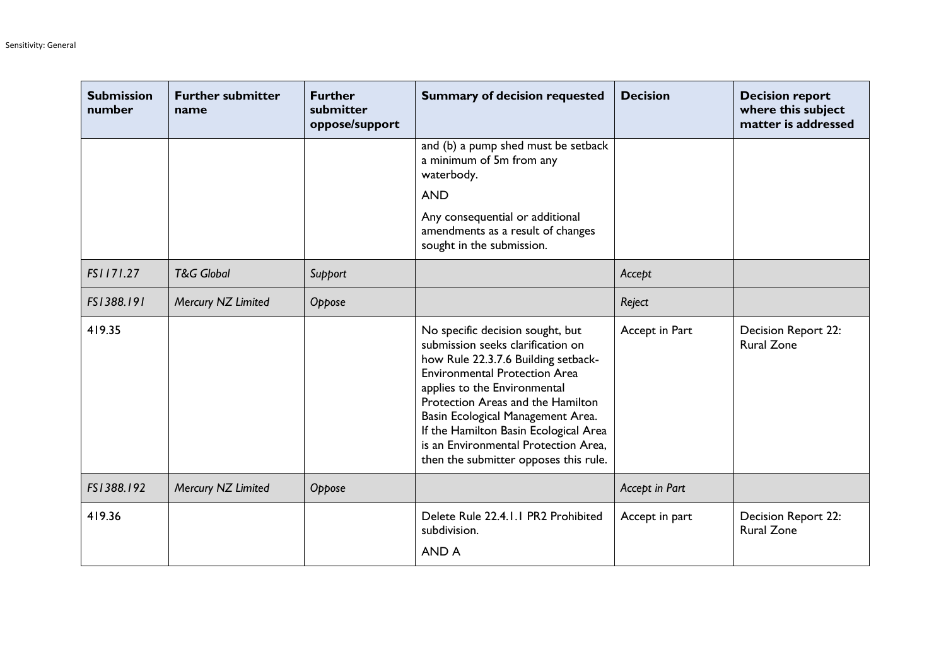| <b>Submission</b><br>number | <b>Further submitter</b><br>name | <b>Further</b><br>submitter<br>oppose/support | <b>Summary of decision requested</b>                                                                                                                                                                                                                                                                                                                                                     | <b>Decision</b> | <b>Decision report</b><br>where this subject<br>matter is addressed |
|-----------------------------|----------------------------------|-----------------------------------------------|------------------------------------------------------------------------------------------------------------------------------------------------------------------------------------------------------------------------------------------------------------------------------------------------------------------------------------------------------------------------------------------|-----------------|---------------------------------------------------------------------|
|                             |                                  |                                               | and (b) a pump shed must be setback<br>a minimum of 5m from any<br>waterbody.                                                                                                                                                                                                                                                                                                            |                 |                                                                     |
|                             |                                  |                                               | <b>AND</b>                                                                                                                                                                                                                                                                                                                                                                               |                 |                                                                     |
|                             |                                  |                                               | Any consequential or additional<br>amendments as a result of changes<br>sought in the submission.                                                                                                                                                                                                                                                                                        |                 |                                                                     |
| FS1171.27                   | <b>T&amp;G Global</b>            | Support                                       |                                                                                                                                                                                                                                                                                                                                                                                          | Accept          |                                                                     |
| FS1388.191                  | Mercury NZ Limited               | Oppose                                        |                                                                                                                                                                                                                                                                                                                                                                                          | Reject          |                                                                     |
| 419.35                      |                                  |                                               | No specific decision sought, but<br>submission seeks clarification on<br>how Rule 22.3.7.6 Building setback-<br><b>Environmental Protection Area</b><br>applies to the Environmental<br>Protection Areas and the Hamilton<br>Basin Ecological Management Area.<br>If the Hamilton Basin Ecological Area<br>is an Environmental Protection Area,<br>then the submitter opposes this rule. | Accept in Part  | Decision Report 22:<br><b>Rural Zone</b>                            |
| FS1388.192                  | Mercury NZ Limited               | Oppose                                        |                                                                                                                                                                                                                                                                                                                                                                                          | Accept in Part  |                                                                     |
| 419.36                      |                                  |                                               | Delete Rule 22.4.1.1 PR2 Prohibited<br>subdivision.<br><b>AND A</b>                                                                                                                                                                                                                                                                                                                      | Accept in part  | Decision Report 22:<br><b>Rural Zone</b>                            |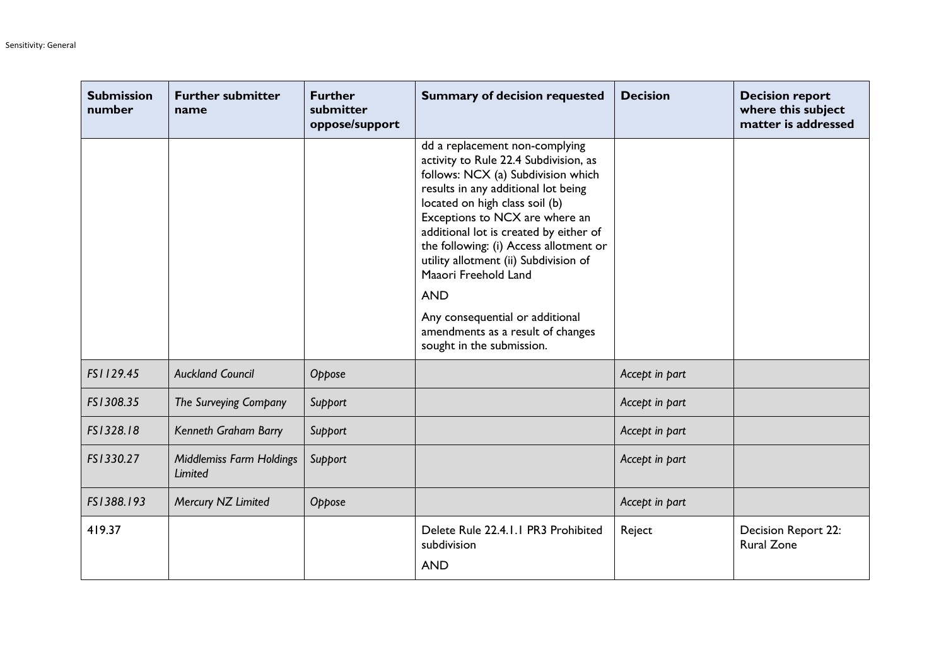| <b>Submission</b><br>number | <b>Further submitter</b><br>name           | <b>Further</b><br>submitter<br>oppose/support | <b>Summary of decision requested</b>                                                                                                                                                                                                                                                                                                                                                                                                                                                             | <b>Decision</b> | <b>Decision report</b><br>where this subject<br>matter is addressed |
|-----------------------------|--------------------------------------------|-----------------------------------------------|--------------------------------------------------------------------------------------------------------------------------------------------------------------------------------------------------------------------------------------------------------------------------------------------------------------------------------------------------------------------------------------------------------------------------------------------------------------------------------------------------|-----------------|---------------------------------------------------------------------|
|                             |                                            |                                               | dd a replacement non-complying<br>activity to Rule 22.4 Subdivision, as<br>follows: NCX (a) Subdivision which<br>results in any additional lot being<br>located on high class soil (b)<br>Exceptions to NCX are where an<br>additional lot is created by either of<br>the following: (i) Access allotment or<br>utility allotment (ii) Subdivision of<br>Maaori Freehold Land<br><b>AND</b><br>Any consequential or additional<br>amendments as a result of changes<br>sought in the submission. |                 |                                                                     |
| FS1129.45                   | <b>Auckland Council</b>                    | Oppose                                        |                                                                                                                                                                                                                                                                                                                                                                                                                                                                                                  | Accept in part  |                                                                     |
| FS1308.35                   | The Surveying Company                      | Support                                       |                                                                                                                                                                                                                                                                                                                                                                                                                                                                                                  | Accept in part  |                                                                     |
| FS1328.18                   | Kenneth Graham Barry                       | Support                                       |                                                                                                                                                                                                                                                                                                                                                                                                                                                                                                  | Accept in part  |                                                                     |
| FS1330.27                   | <b>Middlemiss Farm Holdings</b><br>Limited | Support                                       |                                                                                                                                                                                                                                                                                                                                                                                                                                                                                                  | Accept in part  |                                                                     |
| FS1388.193                  | Mercury NZ Limited                         | Oppose                                        |                                                                                                                                                                                                                                                                                                                                                                                                                                                                                                  | Accept in part  |                                                                     |
| 419.37                      |                                            |                                               | Delete Rule 22.4.1.1 PR3 Prohibited<br>subdivision<br><b>AND</b>                                                                                                                                                                                                                                                                                                                                                                                                                                 | Reject          | Decision Report 22:<br><b>Rural Zone</b>                            |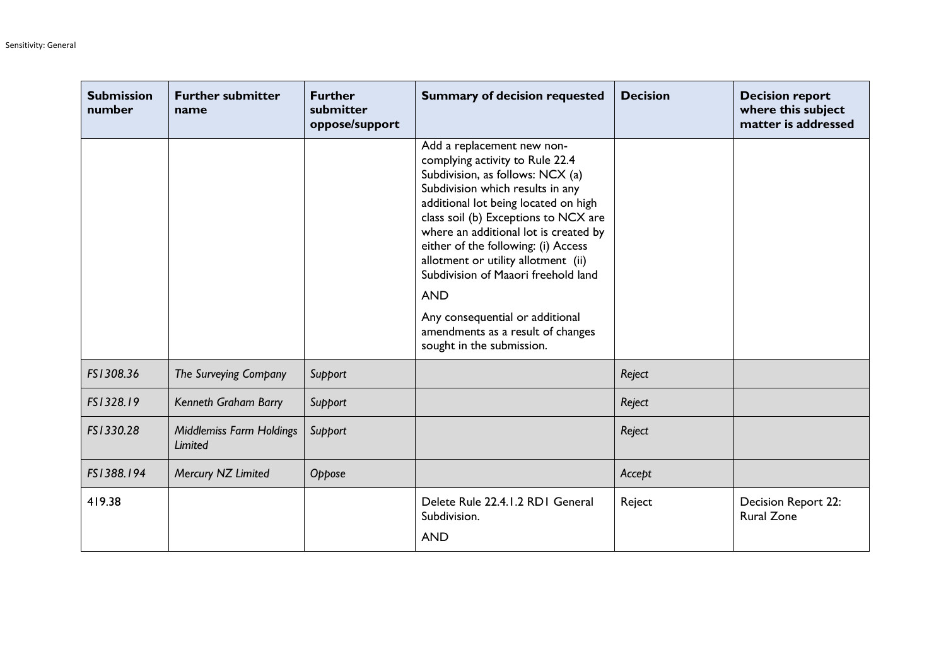| <b>Submission</b><br>number | <b>Further submitter</b><br>name    | <b>Further</b><br>submitter<br>oppose/support | <b>Summary of decision requested</b>                                                                                                                                                                                                                                                                                                                                                                                                                                                                   | <b>Decision</b> | <b>Decision report</b><br>where this subject<br>matter is addressed |
|-----------------------------|-------------------------------------|-----------------------------------------------|--------------------------------------------------------------------------------------------------------------------------------------------------------------------------------------------------------------------------------------------------------------------------------------------------------------------------------------------------------------------------------------------------------------------------------------------------------------------------------------------------------|-----------------|---------------------------------------------------------------------|
|                             |                                     |                                               | Add a replacement new non-<br>complying activity to Rule 22.4<br>Subdivision, as follows: NCX (a)<br>Subdivision which results in any<br>additional lot being located on high<br>class soil (b) Exceptions to NCX are<br>where an additional lot is created by<br>either of the following: (i) Access<br>allotment or utility allotment (ii)<br>Subdivision of Maaori freehold land<br><b>AND</b><br>Any consequential or additional<br>amendments as a result of changes<br>sought in the submission. |                 |                                                                     |
| FS1308.36                   | The Surveying Company               | Support                                       |                                                                                                                                                                                                                                                                                                                                                                                                                                                                                                        | Reject          |                                                                     |
| FS1328.19                   | Kenneth Graham Barry                | Support                                       |                                                                                                                                                                                                                                                                                                                                                                                                                                                                                                        | Reject          |                                                                     |
| FS1330.28                   | Middlemiss Farm Holdings<br>Limited | Support                                       |                                                                                                                                                                                                                                                                                                                                                                                                                                                                                                        | Reject          |                                                                     |
| FS1388.194                  | Mercury NZ Limited                  | Oppose                                        |                                                                                                                                                                                                                                                                                                                                                                                                                                                                                                        | Accept          |                                                                     |
| 419.38                      |                                     |                                               | Delete Rule 22.4.1.2 RD1 General<br>Subdivision.<br><b>AND</b>                                                                                                                                                                                                                                                                                                                                                                                                                                         | Reject          | Decision Report 22:<br><b>Rural Zone</b>                            |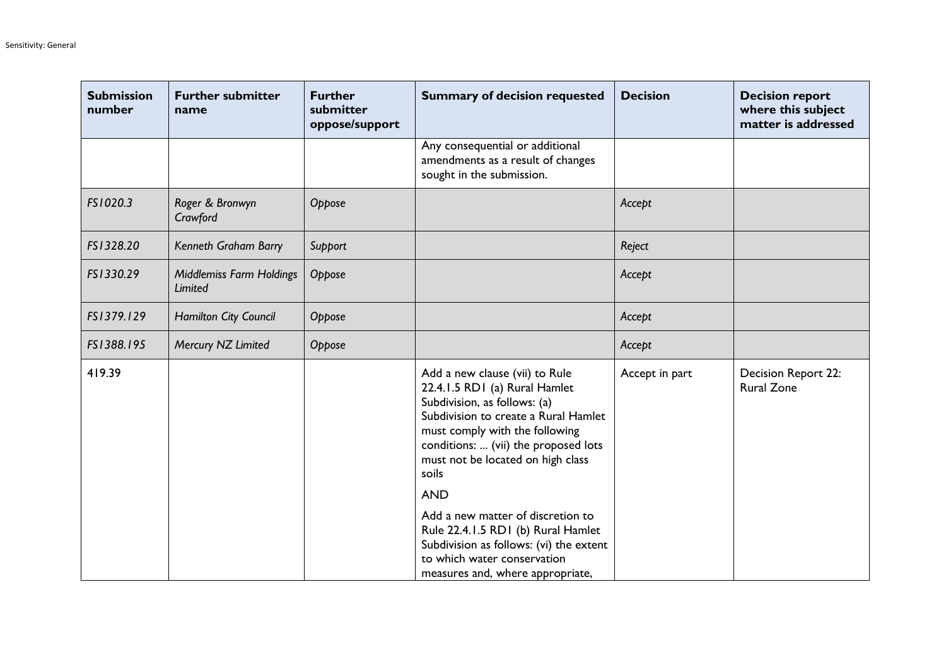| <b>Submission</b><br>number | <b>Further submitter</b><br>name                  | <b>Further</b><br>submitter<br>oppose/support | <b>Summary of decision requested</b>                                                                                                                                                                                                                                          | <b>Decision</b> | <b>Decision report</b><br>where this subject<br>matter is addressed |
|-----------------------------|---------------------------------------------------|-----------------------------------------------|-------------------------------------------------------------------------------------------------------------------------------------------------------------------------------------------------------------------------------------------------------------------------------|-----------------|---------------------------------------------------------------------|
|                             |                                                   |                                               | Any consequential or additional<br>amendments as a result of changes<br>sought in the submission.                                                                                                                                                                             |                 |                                                                     |
| FS1020.3                    | Roger & Bronwyn<br>Crawford                       | Oppose                                        |                                                                                                                                                                                                                                                                               | Accept          |                                                                     |
| FS1328.20                   | Kenneth Graham Barry                              | Support                                       |                                                                                                                                                                                                                                                                               | Reject          |                                                                     |
| FS1330.29                   | <b>Middlemiss Farm Holdings</b><br><b>Limited</b> | Oppose                                        |                                                                                                                                                                                                                                                                               | Accept          |                                                                     |
| FS1379.129                  | <b>Hamilton City Council</b>                      | Oppose                                        |                                                                                                                                                                                                                                                                               | Accept          |                                                                     |
| FS1388.195                  | Mercury NZ Limited                                | Oppose                                        |                                                                                                                                                                                                                                                                               | Accept          |                                                                     |
| 419.39                      |                                                   |                                               | Add a new clause (vii) to Rule<br>22.4.1.5 RD1 (a) Rural Hamlet<br>Subdivision, as follows: (a)<br>Subdivision to create a Rural Hamlet<br>must comply with the following<br>conditions:  (vii) the proposed lots<br>must not be located on high class<br>soils<br><b>AND</b> | Accept in part  | Decision Report 22:<br><b>Rural Zone</b>                            |
|                             |                                                   |                                               | Add a new matter of discretion to<br>Rule 22.4.1.5 RD1 (b) Rural Hamlet<br>Subdivision as follows: (vi) the extent<br>to which water conservation<br>measures and, where appropriate,                                                                                         |                 |                                                                     |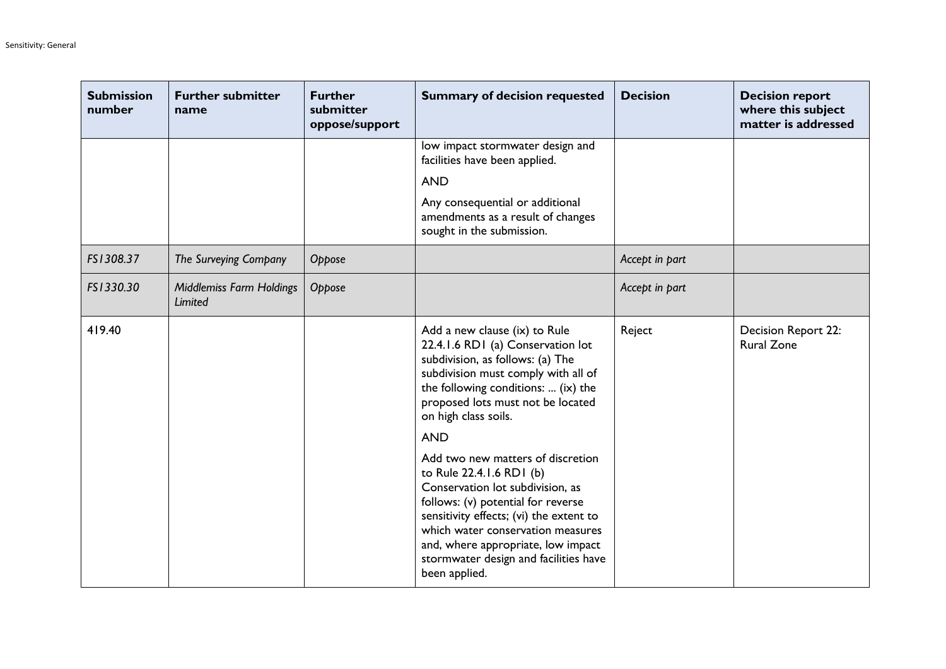| <b>Submission</b><br>number | <b>Further submitter</b><br>name           | <b>Further</b><br>submitter<br>oppose/support | <b>Summary of decision requested</b>                                                                                                                                                                                                                                                                                                                                                                                                                                                                                                                                                       | <b>Decision</b> | <b>Decision report</b><br>where this subject<br>matter is addressed |
|-----------------------------|--------------------------------------------|-----------------------------------------------|--------------------------------------------------------------------------------------------------------------------------------------------------------------------------------------------------------------------------------------------------------------------------------------------------------------------------------------------------------------------------------------------------------------------------------------------------------------------------------------------------------------------------------------------------------------------------------------------|-----------------|---------------------------------------------------------------------|
|                             |                                            |                                               | low impact stormwater design and<br>facilities have been applied.                                                                                                                                                                                                                                                                                                                                                                                                                                                                                                                          |                 |                                                                     |
|                             |                                            |                                               | <b>AND</b>                                                                                                                                                                                                                                                                                                                                                                                                                                                                                                                                                                                 |                 |                                                                     |
|                             |                                            |                                               | Any consequential or additional<br>amendments as a result of changes<br>sought in the submission.                                                                                                                                                                                                                                                                                                                                                                                                                                                                                          |                 |                                                                     |
| FS1308.37                   | The Surveying Company                      | Oppose                                        |                                                                                                                                                                                                                                                                                                                                                                                                                                                                                                                                                                                            | Accept in part  |                                                                     |
| FS1330.30                   | <b>Middlemiss Farm Holdings</b><br>Limited | Oppose                                        |                                                                                                                                                                                                                                                                                                                                                                                                                                                                                                                                                                                            | Accept in part  |                                                                     |
| 419.40                      |                                            |                                               | Add a new clause (ix) to Rule<br>22.4.1.6 RD1 (a) Conservation lot<br>subdivision, as follows: (a) The<br>subdivision must comply with all of<br>the following conditions:  (ix) the<br>proposed lots must not be located<br>on high class soils.<br><b>AND</b><br>Add two new matters of discretion<br>to Rule 22.4.1.6 RD1 (b)<br>Conservation lot subdivision, as<br>follows: (v) potential for reverse<br>sensitivity effects; (vi) the extent to<br>which water conservation measures<br>and, where appropriate, low impact<br>stormwater design and facilities have<br>been applied. | Reject          | Decision Report 22:<br><b>Rural Zone</b>                            |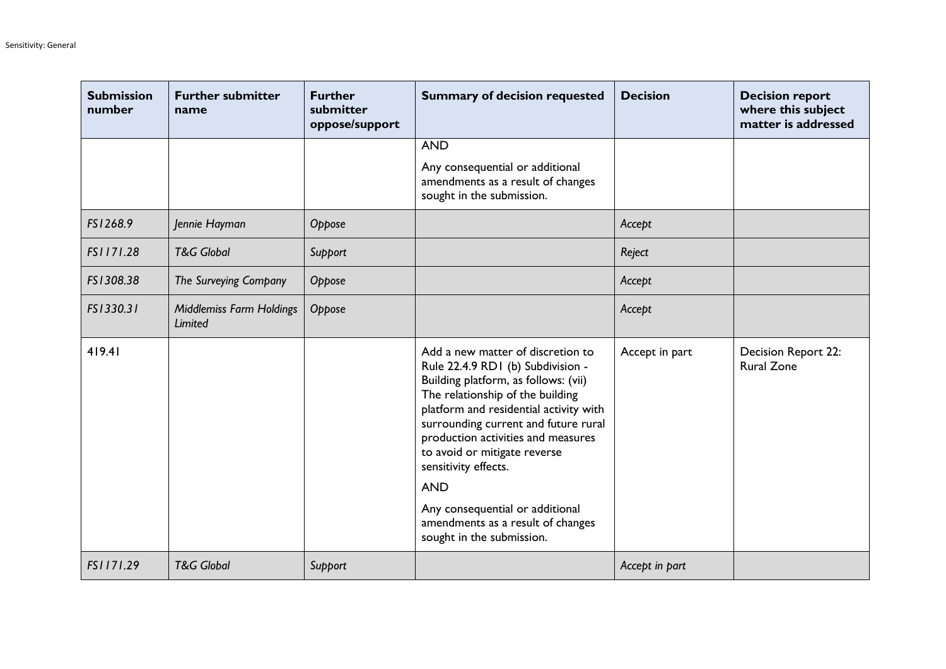| <b>Submission</b><br>number | <b>Further submitter</b><br>name           | <b>Further</b><br>submitter<br>oppose/support | <b>Summary of decision requested</b>                                                                                                                                                                                                                                                                                                                                                                                                                  | <b>Decision</b> | <b>Decision report</b><br>where this subject<br>matter is addressed |
|-----------------------------|--------------------------------------------|-----------------------------------------------|-------------------------------------------------------------------------------------------------------------------------------------------------------------------------------------------------------------------------------------------------------------------------------------------------------------------------------------------------------------------------------------------------------------------------------------------------------|-----------------|---------------------------------------------------------------------|
|                             |                                            |                                               | <b>AND</b>                                                                                                                                                                                                                                                                                                                                                                                                                                            |                 |                                                                     |
|                             |                                            |                                               | Any consequential or additional<br>amendments as a result of changes<br>sought in the submission.                                                                                                                                                                                                                                                                                                                                                     |                 |                                                                     |
| FS1268.9                    | Jennie Hayman                              | Oppose                                        |                                                                                                                                                                                                                                                                                                                                                                                                                                                       | Accept          |                                                                     |
| FS1171.28                   | <b>T&amp;G Global</b>                      | Support                                       |                                                                                                                                                                                                                                                                                                                                                                                                                                                       | Reject          |                                                                     |
| FS1308.38                   | The Surveying Company                      | Oppose                                        |                                                                                                                                                                                                                                                                                                                                                                                                                                                       | Accept          |                                                                     |
| FS1330.31                   | <b>Middlemiss Farm Holdings</b><br>Limited | Oppose                                        |                                                                                                                                                                                                                                                                                                                                                                                                                                                       | Accept          |                                                                     |
| 419.41                      |                                            |                                               | Add a new matter of discretion to<br>Rule 22.4.9 RD1 (b) Subdivision -<br>Building platform, as follows: (vii)<br>The relationship of the building<br>platform and residential activity with<br>surrounding current and future rural<br>production activities and measures<br>to avoid or mitigate reverse<br>sensitivity effects.<br><b>AND</b><br>Any consequential or additional<br>amendments as a result of changes<br>sought in the submission. | Accept in part  | Decision Report 22:<br><b>Rural Zone</b>                            |
| FS1171.29                   | <b>T&amp;G Global</b>                      | Support                                       |                                                                                                                                                                                                                                                                                                                                                                                                                                                       | Accept in part  |                                                                     |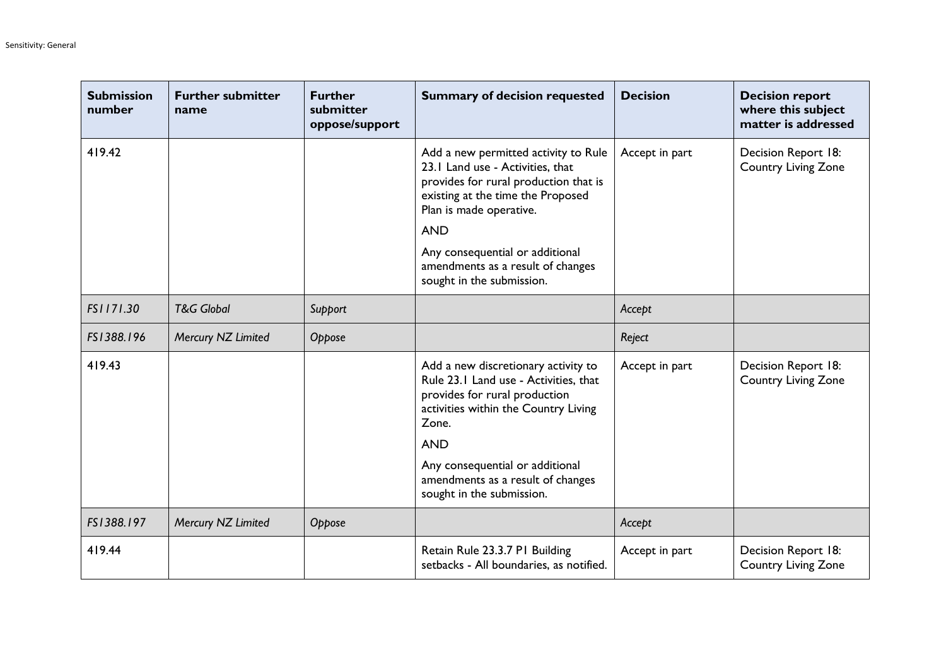| <b>Submission</b><br>number | <b>Further submitter</b><br>name | <b>Further</b><br>submitter<br>oppose/support | <b>Summary of decision requested</b>                                                                                                                                                                                                                                                                 | <b>Decision</b> | <b>Decision report</b><br>where this subject<br>matter is addressed |
|-----------------------------|----------------------------------|-----------------------------------------------|------------------------------------------------------------------------------------------------------------------------------------------------------------------------------------------------------------------------------------------------------------------------------------------------------|-----------------|---------------------------------------------------------------------|
| 419.42                      |                                  |                                               | Add a new permitted activity to Rule<br>23.1 Land use - Activities, that<br>provides for rural production that is<br>existing at the time the Proposed<br>Plan is made operative.<br><b>AND</b><br>Any consequential or additional<br>amendments as a result of changes<br>sought in the submission. | Accept in part  | Decision Report 18:<br>Country Living Zone                          |
| FS1171.30                   | <b>T&amp;G Global</b>            | Support                                       |                                                                                                                                                                                                                                                                                                      | Accept          |                                                                     |
| FS1388.196                  | Mercury NZ Limited               | Oppose                                        |                                                                                                                                                                                                                                                                                                      | Reject          |                                                                     |
| 419.43                      |                                  |                                               | Add a new discretionary activity to<br>Rule 23.1 Land use - Activities, that<br>provides for rural production<br>activities within the Country Living<br>Zone.<br><b>AND</b><br>Any consequential or additional<br>amendments as a result of changes<br>sought in the submission.                    | Accept in part  | Decision Report 18:<br>Country Living Zone                          |
| FS1388.197                  | Mercury NZ Limited               | Oppose                                        |                                                                                                                                                                                                                                                                                                      | Accept          |                                                                     |
| 419.44                      |                                  |                                               | Retain Rule 23.3.7 PI Building<br>setbacks - All boundaries, as notified.                                                                                                                                                                                                                            | Accept in part  | Decision Report 18:<br><b>Country Living Zone</b>                   |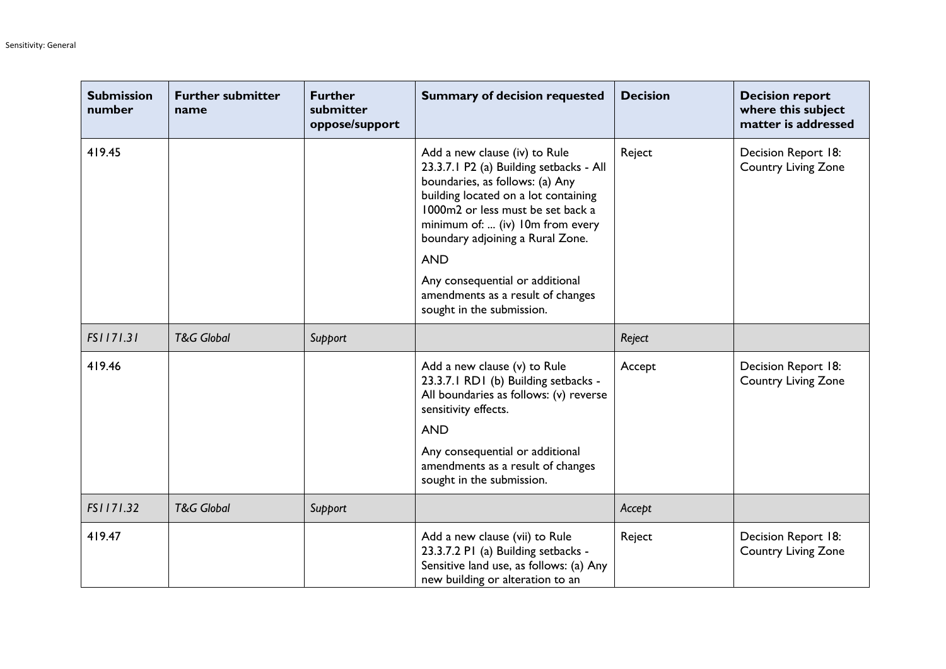| <b>Submission</b><br>number | <b>Further submitter</b><br>name | <b>Further</b><br>submitter<br>oppose/support | <b>Summary of decision requested</b>                                                                                                                                                                                                                                                                                                                                                | <b>Decision</b> | <b>Decision report</b><br>where this subject<br>matter is addressed |
|-----------------------------|----------------------------------|-----------------------------------------------|-------------------------------------------------------------------------------------------------------------------------------------------------------------------------------------------------------------------------------------------------------------------------------------------------------------------------------------------------------------------------------------|-----------------|---------------------------------------------------------------------|
| 419.45                      |                                  |                                               | Add a new clause (iv) to Rule<br>23.3.7.1 P2 (a) Building setbacks - All<br>boundaries, as follows: (a) Any<br>building located on a lot containing<br>1000m2 or less must be set back a<br>minimum of:  (iv) 10m from every<br>boundary adjoining a Rural Zone.<br><b>AND</b><br>Any consequential or additional<br>amendments as a result of changes<br>sought in the submission. | Reject          | Decision Report 18:<br>Country Living Zone                          |
| FS1171.31                   | <b>T&amp;G Global</b>            | Support                                       |                                                                                                                                                                                                                                                                                                                                                                                     | Reject          |                                                                     |
| 419.46                      |                                  |                                               | Add a new clause (v) to Rule<br>23.3.7.1 RD1 (b) Building setbacks -<br>All boundaries as follows: (v) reverse<br>sensitivity effects.<br><b>AND</b><br>Any consequential or additional<br>amendments as a result of changes<br>sought in the submission.                                                                                                                           | Accept          | Decision Report 18:<br><b>Country Living Zone</b>                   |
| FS1171.32                   | <b>T&amp;G Global</b>            | Support                                       |                                                                                                                                                                                                                                                                                                                                                                                     | Accept          |                                                                     |
| 419.47                      |                                  |                                               | Add a new clause (vii) to Rule<br>23.3.7.2 P1 (a) Building setbacks -<br>Sensitive land use, as follows: (a) Any<br>new building or alteration to an                                                                                                                                                                                                                                | Reject          | Decision Report 18:<br><b>Country Living Zone</b>                   |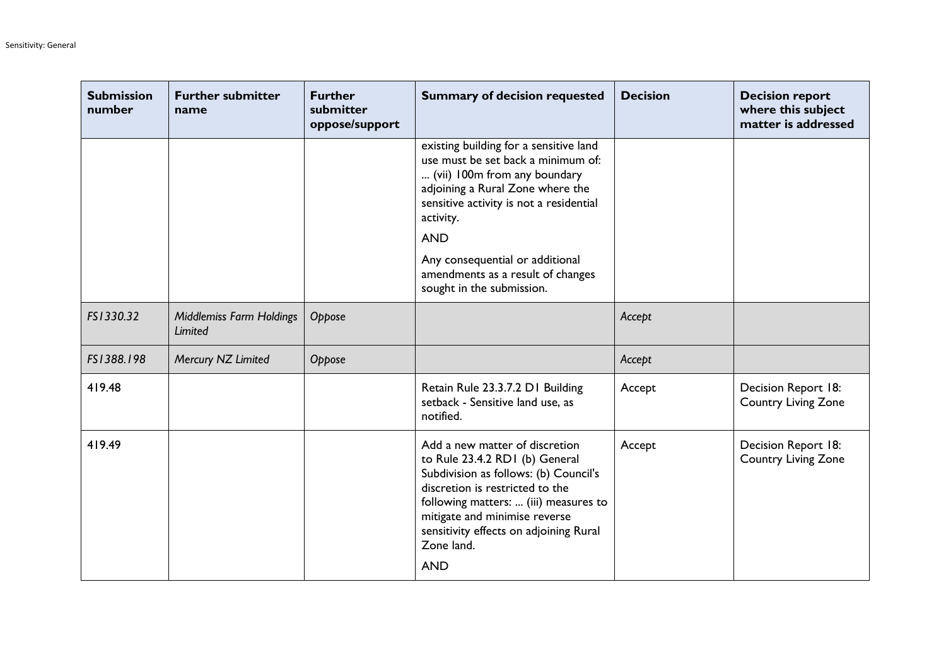| <b>Submission</b><br>number | <b>Further submitter</b><br>name           | <b>Further</b><br>submitter<br>oppose/support | <b>Summary of decision requested</b>                                                                                                                                                                                                                                                         | <b>Decision</b> | <b>Decision report</b><br>where this subject<br>matter is addressed |
|-----------------------------|--------------------------------------------|-----------------------------------------------|----------------------------------------------------------------------------------------------------------------------------------------------------------------------------------------------------------------------------------------------------------------------------------------------|-----------------|---------------------------------------------------------------------|
|                             |                                            |                                               | existing building for a sensitive land<br>use must be set back a minimum of:<br>(vii) 100m from any boundary<br>adjoining a Rural Zone where the<br>sensitive activity is not a residential<br>activity.<br><b>AND</b>                                                                       |                 |                                                                     |
|                             |                                            |                                               | Any consequential or additional<br>amendments as a result of changes<br>sought in the submission.                                                                                                                                                                                            |                 |                                                                     |
| FS1330.32                   | <b>Middlemiss Farm Holdings</b><br>Limited | Oppose                                        |                                                                                                                                                                                                                                                                                              | Accept          |                                                                     |
| FS1388.198                  | Mercury NZ Limited                         | Oppose                                        |                                                                                                                                                                                                                                                                                              | Accept          |                                                                     |
| 419.48                      |                                            |                                               | Retain Rule 23.3.7.2 D1 Building<br>setback - Sensitive land use, as<br>notified.                                                                                                                                                                                                            | Accept          | Decision Report 18:<br>Country Living Zone                          |
| 419.49                      |                                            |                                               | Add a new matter of discretion<br>to Rule 23.4.2 RD1 (b) General<br>Subdivision as follows: (b) Council's<br>discretion is restricted to the<br>following matters:  (iii) measures to<br>mitigate and minimise reverse<br>sensitivity effects on adjoining Rural<br>Zone land.<br><b>AND</b> | Accept          | Decision Report 18:<br>Country Living Zone                          |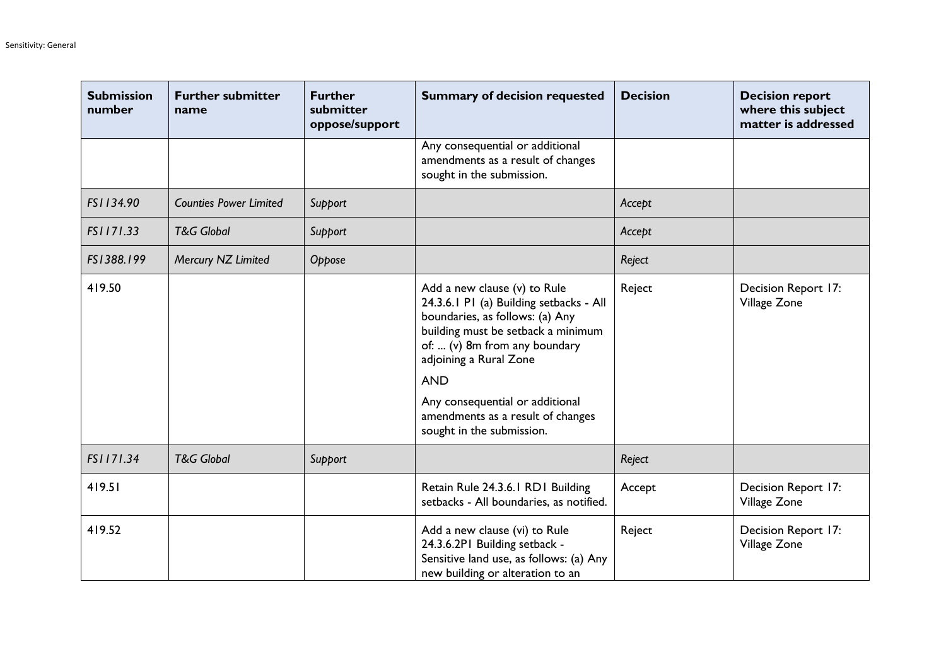| <b>Submission</b><br>number | <b>Further submitter</b><br>name | <b>Further</b><br>submitter<br>oppose/support | <b>Summary of decision requested</b>                                                                                                                                                                                                                                                                                           | <b>Decision</b> | <b>Decision report</b><br>where this subject<br>matter is addressed |
|-----------------------------|----------------------------------|-----------------------------------------------|--------------------------------------------------------------------------------------------------------------------------------------------------------------------------------------------------------------------------------------------------------------------------------------------------------------------------------|-----------------|---------------------------------------------------------------------|
|                             |                                  |                                               | Any consequential or additional<br>amendments as a result of changes<br>sought in the submission.                                                                                                                                                                                                                              |                 |                                                                     |
| FS1134.90                   | <b>Counties Power Limited</b>    | Support                                       |                                                                                                                                                                                                                                                                                                                                | Accept          |                                                                     |
| FS1171.33                   | <b>T&amp;G Global</b>            | Support                                       |                                                                                                                                                                                                                                                                                                                                | Accept          |                                                                     |
| FS1388.199                  | Mercury NZ Limited               | Oppose                                        |                                                                                                                                                                                                                                                                                                                                | Reject          |                                                                     |
| 419.50                      |                                  |                                               | Add a new clause (v) to Rule<br>24.3.6.1 P1 (a) Building setbacks - All<br>boundaries, as follows: (a) Any<br>building must be setback a minimum<br>of:  (v) 8m from any boundary<br>adjoining a Rural Zone<br><b>AND</b><br>Any consequential or additional<br>amendments as a result of changes<br>sought in the submission. | Reject          | Decision Report 17:<br>Village Zone                                 |
| FS1171.34                   | <b>T&amp;G Global</b>            | Support                                       |                                                                                                                                                                                                                                                                                                                                | Reject          |                                                                     |
| 419.51                      |                                  |                                               | Retain Rule 24.3.6.1 RD1 Building<br>setbacks - All boundaries, as notified.                                                                                                                                                                                                                                                   | Accept          | Decision Report 17:<br>Village Zone                                 |
| 419.52                      |                                  |                                               | Add a new clause (vi) to Rule<br>24.3.6.2PI Building setback -<br>Sensitive land use, as follows: (a) Any<br>new building or alteration to an                                                                                                                                                                                  | Reject          | Decision Report 17:<br>Village Zone                                 |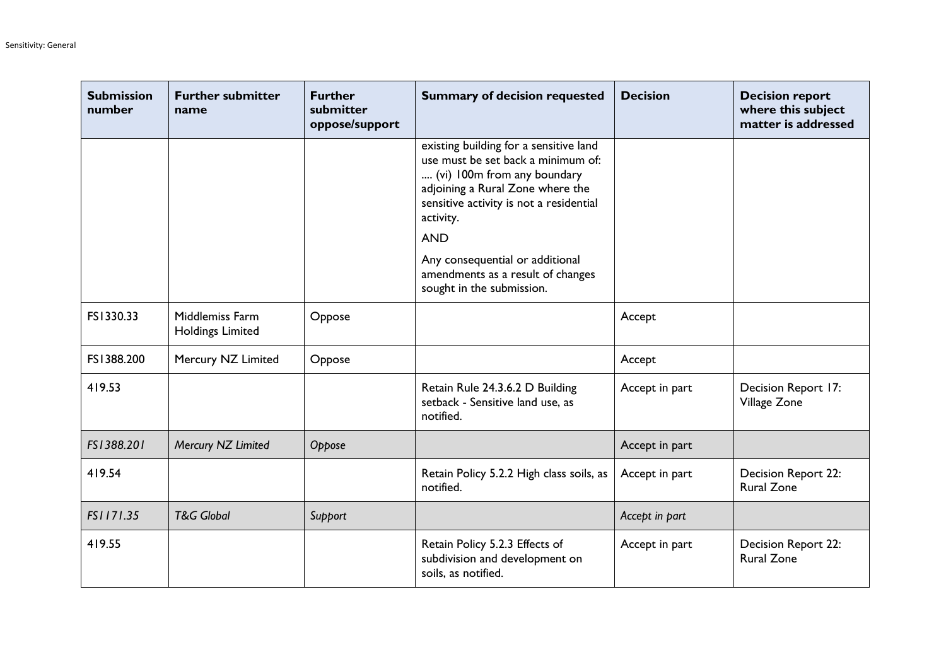| <b>Submission</b><br>number | <b>Further submitter</b><br>name           | <b>Further</b><br>submitter<br>oppose/support | <b>Summary of decision requested</b>                                                                                                                                                                                  | <b>Decision</b> | <b>Decision report</b><br>where this subject<br>matter is addressed |
|-----------------------------|--------------------------------------------|-----------------------------------------------|-----------------------------------------------------------------------------------------------------------------------------------------------------------------------------------------------------------------------|-----------------|---------------------------------------------------------------------|
|                             |                                            |                                               | existing building for a sensitive land<br>use must be set back a minimum of:<br>(vi) 100m from any boundary<br>adjoining a Rural Zone where the<br>sensitive activity is not a residential<br>activity.<br><b>AND</b> |                 |                                                                     |
|                             |                                            |                                               | Any consequential or additional<br>amendments as a result of changes<br>sought in the submission.                                                                                                                     |                 |                                                                     |
| FS1330.33                   | Middlemiss Farm<br><b>Holdings Limited</b> | Oppose                                        |                                                                                                                                                                                                                       | Accept          |                                                                     |
| FS1388.200                  | Mercury NZ Limited                         | Oppose                                        |                                                                                                                                                                                                                       | Accept          |                                                                     |
| 419.53                      |                                            |                                               | Retain Rule 24.3.6.2 D Building<br>setback - Sensitive land use, as<br>notified.                                                                                                                                      | Accept in part  | Decision Report 17:<br>Village Zone                                 |
| FS1388.201                  | Mercury NZ Limited                         | Oppose                                        |                                                                                                                                                                                                                       | Accept in part  |                                                                     |
| 419.54                      |                                            |                                               | Retain Policy 5.2.2 High class soils, as<br>notified.                                                                                                                                                                 | Accept in part  | Decision Report 22:<br><b>Rural Zone</b>                            |
| FS1171.35                   | <b>T&amp;G</b> Global                      | Support                                       |                                                                                                                                                                                                                       | Accept in part  |                                                                     |
| 419.55                      |                                            |                                               | Retain Policy 5.2.3 Effects of<br>subdivision and development on<br>soils, as notified.                                                                                                                               | Accept in part  | Decision Report 22:<br><b>Rural Zone</b>                            |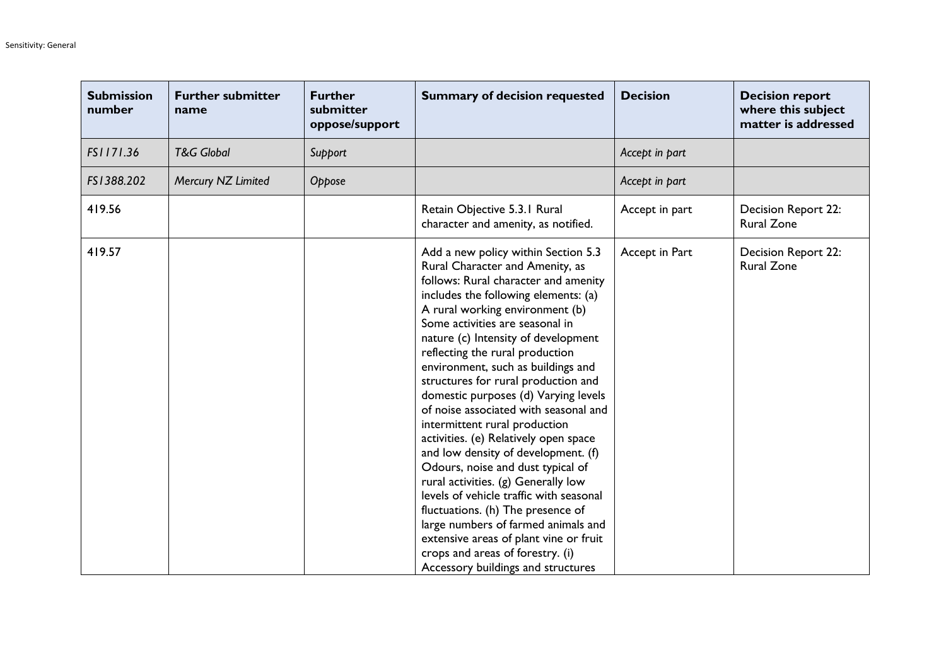| <b>Submission</b><br>number | <b>Further submitter</b><br>name | <b>Further</b><br>submitter<br>oppose/support | <b>Summary of decision requested</b>                                                                                                                                                                                                                                                                                                                                                                                                                                                                                                                                                                                                                                                                                                                                                                                                                                                                         | <b>Decision</b> | <b>Decision report</b><br>where this subject<br>matter is addressed |
|-----------------------------|----------------------------------|-----------------------------------------------|--------------------------------------------------------------------------------------------------------------------------------------------------------------------------------------------------------------------------------------------------------------------------------------------------------------------------------------------------------------------------------------------------------------------------------------------------------------------------------------------------------------------------------------------------------------------------------------------------------------------------------------------------------------------------------------------------------------------------------------------------------------------------------------------------------------------------------------------------------------------------------------------------------------|-----------------|---------------------------------------------------------------------|
| FS1171.36                   | <b>T&amp;G Global</b>            | Support                                       |                                                                                                                                                                                                                                                                                                                                                                                                                                                                                                                                                                                                                                                                                                                                                                                                                                                                                                              | Accept in part  |                                                                     |
| FS1388.202                  | Mercury NZ Limited               | Oppose                                        |                                                                                                                                                                                                                                                                                                                                                                                                                                                                                                                                                                                                                                                                                                                                                                                                                                                                                                              | Accept in part  |                                                                     |
| 419.56                      |                                  |                                               | Retain Objective 5.3.1 Rural<br>character and amenity, as notified.                                                                                                                                                                                                                                                                                                                                                                                                                                                                                                                                                                                                                                                                                                                                                                                                                                          | Accept in part  | Decision Report 22:<br><b>Rural Zone</b>                            |
| 419.57                      |                                  |                                               | Add a new policy within Section 5.3<br>Rural Character and Amenity, as<br>follows: Rural character and amenity<br>includes the following elements: (a)<br>A rural working environment (b)<br>Some activities are seasonal in<br>nature (c) Intensity of development<br>reflecting the rural production<br>environment, such as buildings and<br>structures for rural production and<br>domestic purposes (d) Varying levels<br>of noise associated with seasonal and<br>intermittent rural production<br>activities. (e) Relatively open space<br>and low density of development. (f)<br>Odours, noise and dust typical of<br>rural activities. (g) Generally low<br>levels of vehicle traffic with seasonal<br>fluctuations. (h) The presence of<br>large numbers of farmed animals and<br>extensive areas of plant vine or fruit<br>crops and areas of forestry. (i)<br>Accessory buildings and structures | Accept in Part  | Decision Report 22:<br><b>Rural Zone</b>                            |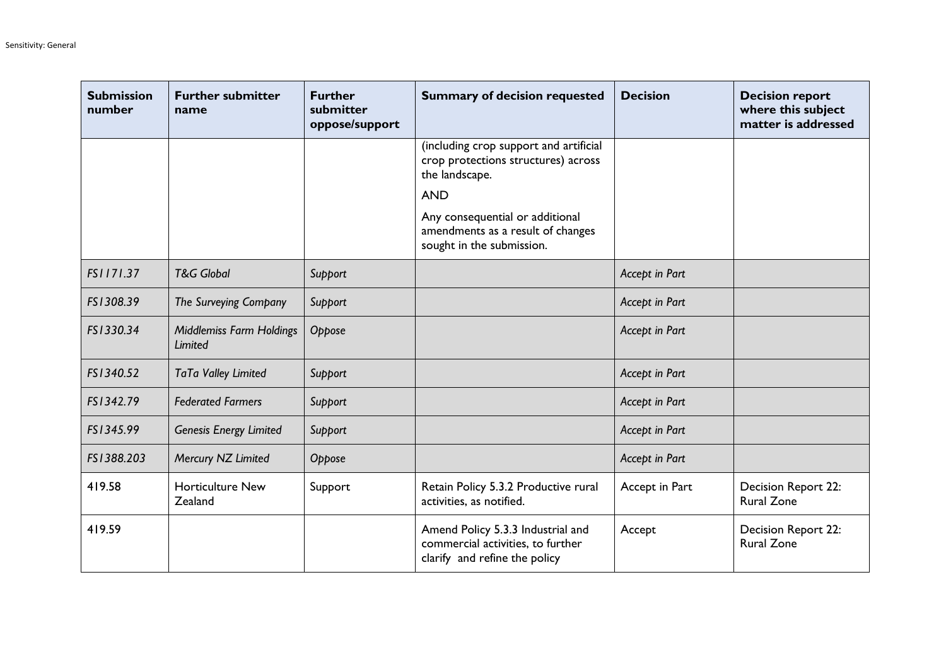| <b>Submission</b><br>number | <b>Further submitter</b><br>name           | <b>Further</b><br>submitter<br>oppose/support | <b>Summary of decision requested</b>                                                                    | <b>Decision</b> | <b>Decision report</b><br>where this subject<br>matter is addressed |
|-----------------------------|--------------------------------------------|-----------------------------------------------|---------------------------------------------------------------------------------------------------------|-----------------|---------------------------------------------------------------------|
|                             |                                            |                                               | (including crop support and artificial<br>crop protections structures) across<br>the landscape.         |                 |                                                                     |
|                             |                                            |                                               | <b>AND</b>                                                                                              |                 |                                                                     |
|                             |                                            |                                               | Any consequential or additional<br>amendments as a result of changes<br>sought in the submission.       |                 |                                                                     |
| FS1171.37                   | <b>T&amp;G Global</b>                      | Support                                       |                                                                                                         | Accept in Part  |                                                                     |
| FS1308.39                   | The Surveying Company                      | Support                                       |                                                                                                         | Accept in Part  |                                                                     |
| FS1330.34                   | <b>Middlemiss Farm Holdings</b><br>Limited | Oppose                                        |                                                                                                         | Accept in Part  |                                                                     |
| FS1340.52                   | TaTa Valley Limited                        | Support                                       |                                                                                                         | Accept in Part  |                                                                     |
| FS1342.79                   | <b>Federated Farmers</b>                   | Support                                       |                                                                                                         | Accept in Part  |                                                                     |
| FS1345.99                   | <b>Genesis Energy Limited</b>              | Support                                       |                                                                                                         | Accept in Part  |                                                                     |
| FS1388.203                  | Mercury NZ Limited                         | Oppose                                        |                                                                                                         | Accept in Part  |                                                                     |
| 419.58                      | <b>Horticulture New</b><br>Zealand         | Support                                       | Retain Policy 5.3.2 Productive rural<br>activities, as notified.                                        | Accept in Part  | Decision Report 22:<br><b>Rural Zone</b>                            |
| 419.59                      |                                            |                                               | Amend Policy 5.3.3 Industrial and<br>commercial activities, to further<br>clarify and refine the policy | Accept          | Decision Report 22:<br><b>Rural Zone</b>                            |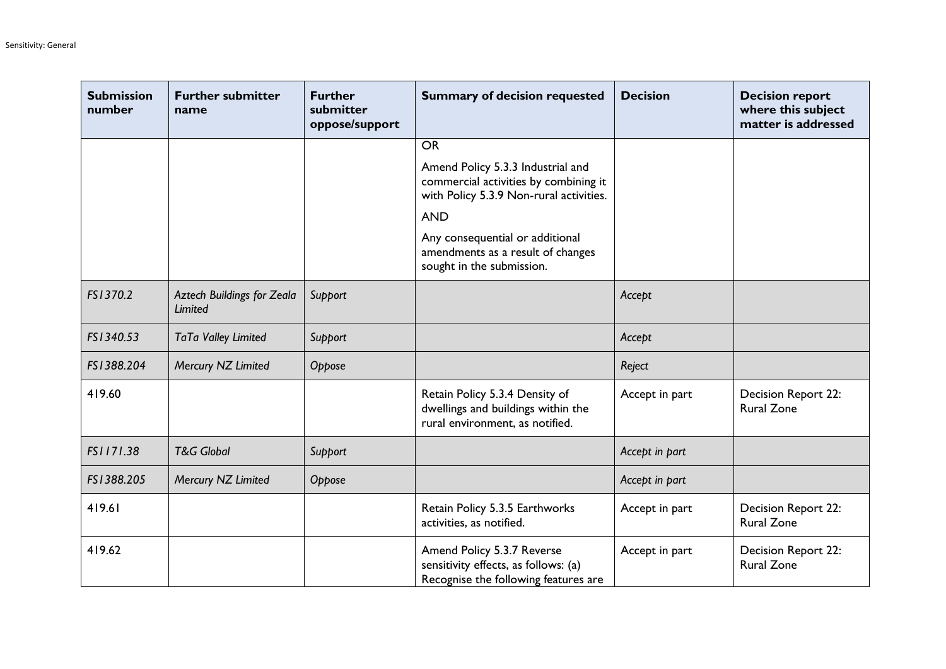| <b>Submission</b><br>number | <b>Further submitter</b><br>name             | <b>Further</b><br>submitter<br>oppose/support | <b>Summary of decision requested</b>                                                                                                | <b>Decision</b> | <b>Decision report</b><br>where this subject<br>matter is addressed |
|-----------------------------|----------------------------------------------|-----------------------------------------------|-------------------------------------------------------------------------------------------------------------------------------------|-----------------|---------------------------------------------------------------------|
|                             |                                              |                                               | <b>OR</b>                                                                                                                           |                 |                                                                     |
|                             |                                              |                                               | Amend Policy 5.3.3 Industrial and<br>commercial activities by combining it<br>with Policy 5.3.9 Non-rural activities.<br><b>AND</b> |                 |                                                                     |
|                             |                                              |                                               | Any consequential or additional<br>amendments as a result of changes<br>sought in the submission.                                   |                 |                                                                     |
| FS1370.2                    | Aztech Buildings for Zeala<br><b>Limited</b> | Support                                       |                                                                                                                                     | Accept          |                                                                     |
| FS1340.53                   | TaTa Valley Limited                          | Support                                       |                                                                                                                                     | Accept          |                                                                     |
| FS1388.204                  | Mercury NZ Limited                           | Oppose                                        |                                                                                                                                     | Reject          |                                                                     |
| 419.60                      |                                              |                                               | Retain Policy 5.3.4 Density of<br>dwellings and buildings within the<br>rural environment, as notified.                             | Accept in part  | Decision Report 22:<br><b>Rural Zone</b>                            |
| FS1171.38                   | <b>T&amp;G Global</b>                        | Support                                       |                                                                                                                                     | Accept in part  |                                                                     |
| FS1388.205                  | Mercury NZ Limited                           | Oppose                                        |                                                                                                                                     | Accept in part  |                                                                     |
| 419.61                      |                                              |                                               | Retain Policy 5.3.5 Earthworks<br>activities, as notified.                                                                          | Accept in part  | Decision Report 22:<br><b>Rural Zone</b>                            |
| 419.62                      |                                              |                                               | Amend Policy 5.3.7 Reverse<br>sensitivity effects, as follows: (a)<br>Recognise the following features are                          | Accept in part  | Decision Report 22:<br><b>Rural Zone</b>                            |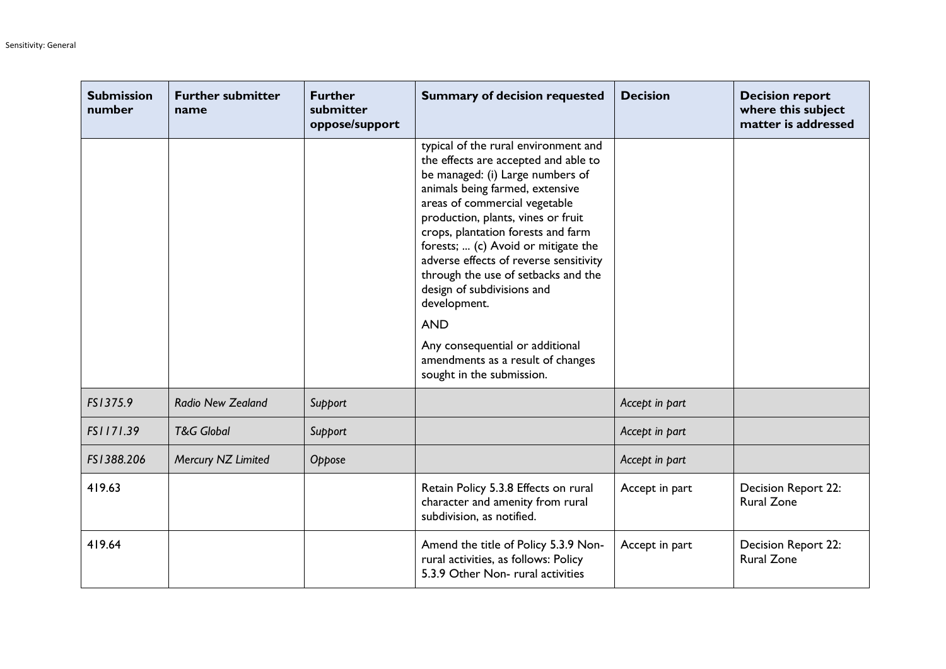| <b>Submission</b><br>number | <b>Further submitter</b><br>name | <b>Further</b><br>submitter<br>oppose/support | <b>Summary of decision requested</b>                                                                                                                                                                                                                                                                                                                                                                                                                                                                                                                      | <b>Decision</b> | <b>Decision report</b><br>where this subject<br>matter is addressed |
|-----------------------------|----------------------------------|-----------------------------------------------|-----------------------------------------------------------------------------------------------------------------------------------------------------------------------------------------------------------------------------------------------------------------------------------------------------------------------------------------------------------------------------------------------------------------------------------------------------------------------------------------------------------------------------------------------------------|-----------------|---------------------------------------------------------------------|
|                             |                                  |                                               | typical of the rural environment and<br>the effects are accepted and able to<br>be managed: (i) Large numbers of<br>animals being farmed, extensive<br>areas of commercial vegetable<br>production, plants, vines or fruit<br>crops, plantation forests and farm<br>forests;  (c) Avoid or mitigate the<br>adverse effects of reverse sensitivity<br>through the use of setbacks and the<br>design of subdivisions and<br>development.<br><b>AND</b><br>Any consequential or additional<br>amendments as a result of changes<br>sought in the submission. |                 |                                                                     |
| FS1375.9                    | Radio New Zealand                | Support                                       |                                                                                                                                                                                                                                                                                                                                                                                                                                                                                                                                                           | Accept in part  |                                                                     |
| FS1171.39                   | <b>T&amp;G Global</b>            | Support                                       |                                                                                                                                                                                                                                                                                                                                                                                                                                                                                                                                                           | Accept in part  |                                                                     |
| FS1388.206                  | Mercury NZ Limited               | Oppose                                        |                                                                                                                                                                                                                                                                                                                                                                                                                                                                                                                                                           | Accept in part  |                                                                     |
| 419.63                      |                                  |                                               | Retain Policy 5.3.8 Effects on rural<br>character and amenity from rural<br>subdivision, as notified.                                                                                                                                                                                                                                                                                                                                                                                                                                                     | Accept in part  | Decision Report 22:<br><b>Rural Zone</b>                            |
| 419.64                      |                                  |                                               | Amend the title of Policy 5.3.9 Non-<br>rural activities, as follows: Policy<br>5.3.9 Other Non-rural activities                                                                                                                                                                                                                                                                                                                                                                                                                                          | Accept in part  | Decision Report 22:<br><b>Rural Zone</b>                            |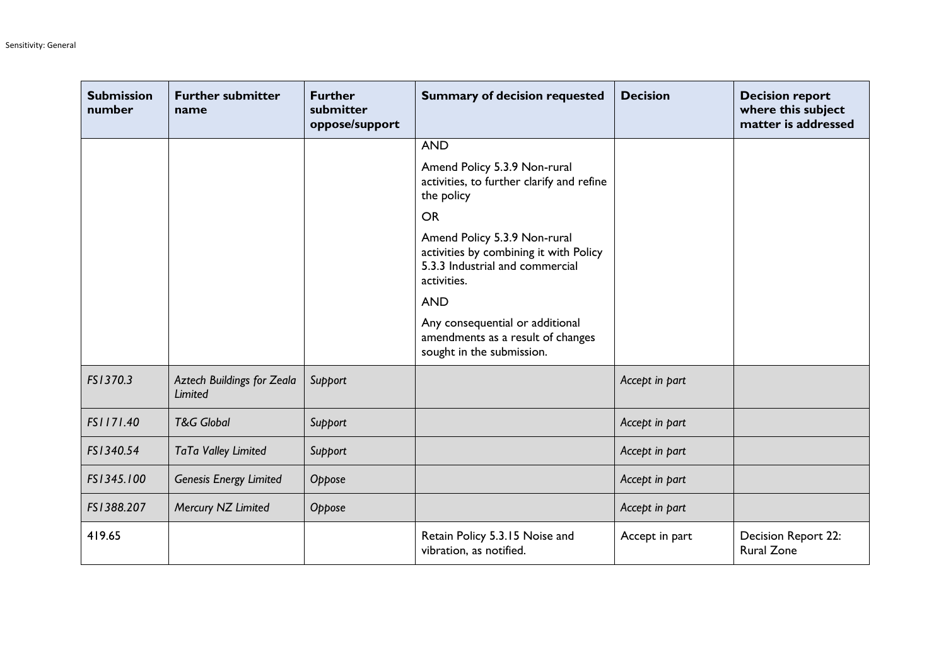| <b>Submission</b><br>number | <b>Further submitter</b><br>name                    | <b>Further</b><br>submitter<br>oppose/support | <b>Summary of decision requested</b>                                                                                     | <b>Decision</b> | <b>Decision report</b><br>where this subject<br>matter is addressed |
|-----------------------------|-----------------------------------------------------|-----------------------------------------------|--------------------------------------------------------------------------------------------------------------------------|-----------------|---------------------------------------------------------------------|
|                             |                                                     |                                               | <b>AND</b>                                                                                                               |                 |                                                                     |
|                             |                                                     |                                               | Amend Policy 5.3.9 Non-rural<br>activities, to further clarify and refine<br>the policy                                  |                 |                                                                     |
|                             |                                                     |                                               | <b>OR</b>                                                                                                                |                 |                                                                     |
|                             |                                                     |                                               | Amend Policy 5.3.9 Non-rural<br>activities by combining it with Policy<br>5.3.3 Industrial and commercial<br>activities. |                 |                                                                     |
|                             |                                                     |                                               | <b>AND</b>                                                                                                               |                 |                                                                     |
|                             |                                                     |                                               | Any consequential or additional<br>amendments as a result of changes<br>sought in the submission.                        |                 |                                                                     |
| FS1370.3                    | <b>Aztech Buildings for Zeala</b><br><b>Limited</b> | Support                                       |                                                                                                                          | Accept in part  |                                                                     |
| FS1171.40                   | <b>T&amp;G Global</b>                               | Support                                       |                                                                                                                          | Accept in part  |                                                                     |
| FS1340.54                   | TaTa Valley Limited                                 | Support                                       |                                                                                                                          | Accept in part  |                                                                     |
| FS1345.100                  | <b>Genesis Energy Limited</b>                       | Oppose                                        |                                                                                                                          | Accept in part  |                                                                     |
| FS1388.207                  | Mercury NZ Limited                                  | Oppose                                        |                                                                                                                          | Accept in part  |                                                                     |
| 419.65                      |                                                     |                                               | Retain Policy 5.3.15 Noise and<br>vibration, as notified.                                                                | Accept in part  | Decision Report 22:<br><b>Rural Zone</b>                            |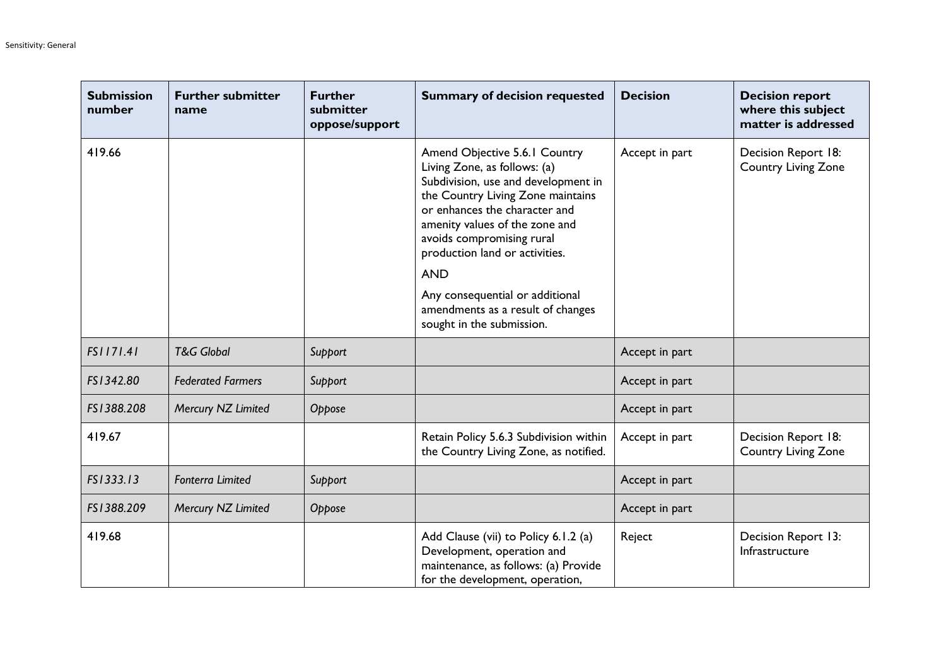| <b>Submission</b><br>number | <b>Further submitter</b><br>name | <b>Further</b><br>submitter<br>oppose/support | <b>Summary of decision requested</b>                                                                                                                                                                                                                                                                                                                                                           | <b>Decision</b> | <b>Decision report</b><br>where this subject<br>matter is addressed |
|-----------------------------|----------------------------------|-----------------------------------------------|------------------------------------------------------------------------------------------------------------------------------------------------------------------------------------------------------------------------------------------------------------------------------------------------------------------------------------------------------------------------------------------------|-----------------|---------------------------------------------------------------------|
| 419.66                      |                                  |                                               | Amend Objective 5.6.1 Country<br>Living Zone, as follows: (a)<br>Subdivision, use and development in<br>the Country Living Zone maintains<br>or enhances the character and<br>amenity values of the zone and<br>avoids compromising rural<br>production land or activities.<br><b>AND</b><br>Any consequential or additional<br>amendments as a result of changes<br>sought in the submission. | Accept in part  | Decision Report 18:<br>Country Living Zone                          |
| FS1171.41                   | <b>T&amp;G Global</b>            | Support                                       |                                                                                                                                                                                                                                                                                                                                                                                                | Accept in part  |                                                                     |
| FS1342.80                   | <b>Federated Farmers</b>         | Support                                       |                                                                                                                                                                                                                                                                                                                                                                                                | Accept in part  |                                                                     |
| FS1388.208                  | Mercury NZ Limited               | Oppose                                        |                                                                                                                                                                                                                                                                                                                                                                                                | Accept in part  |                                                                     |
| 419.67                      |                                  |                                               | Retain Policy 5.6.3 Subdivision within<br>the Country Living Zone, as notified.                                                                                                                                                                                                                                                                                                                | Accept in part  | Decision Report 18:<br><b>Country Living Zone</b>                   |
| FS1333.13                   | <b>Fonterra Limited</b>          | Support                                       |                                                                                                                                                                                                                                                                                                                                                                                                | Accept in part  |                                                                     |
| FS1388.209                  | Mercury NZ Limited               | Oppose                                        |                                                                                                                                                                                                                                                                                                                                                                                                | Accept in part  |                                                                     |
| 419.68                      |                                  |                                               | Add Clause (vii) to Policy 6.1.2 (a)<br>Development, operation and<br>maintenance, as follows: (a) Provide<br>for the development, operation,                                                                                                                                                                                                                                                  | Reject          | Decision Report 13:<br>Infrastructure                               |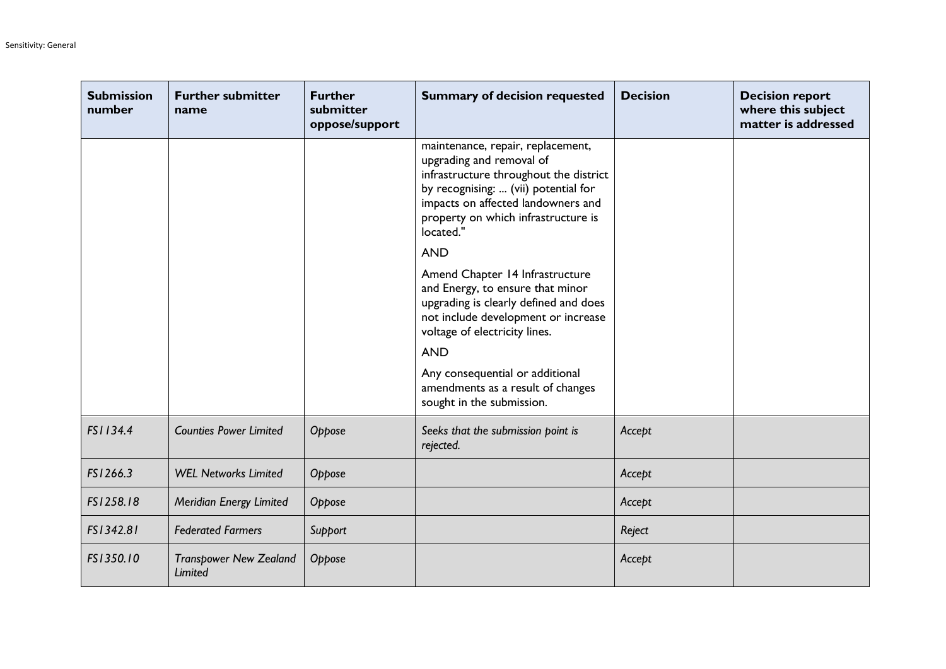| <b>Submission</b><br>number | <b>Further submitter</b><br>name         | <b>Further</b><br>submitter<br>oppose/support | <b>Summary of decision requested</b>                                                                                                                                                                                                                                                                    | <b>Decision</b> | <b>Decision report</b><br>where this subject<br>matter is addressed |
|-----------------------------|------------------------------------------|-----------------------------------------------|---------------------------------------------------------------------------------------------------------------------------------------------------------------------------------------------------------------------------------------------------------------------------------------------------------|-----------------|---------------------------------------------------------------------|
|                             |                                          |                                               | maintenance, repair, replacement,<br>upgrading and removal of<br>infrastructure throughout the district<br>by recognising:  (vii) potential for<br>impacts on affected landowners and<br>property on which infrastructure is<br>located."<br><b>AND</b>                                                 |                 |                                                                     |
|                             |                                          |                                               | Amend Chapter 14 Infrastructure<br>and Energy, to ensure that minor<br>upgrading is clearly defined and does<br>not include development or increase<br>voltage of electricity lines.<br><b>AND</b><br>Any consequential or additional<br>amendments as a result of changes<br>sought in the submission. |                 |                                                                     |
| FS1134.4                    | <b>Counties Power Limited</b>            | Oppose                                        | Seeks that the submission point is<br>rejected.                                                                                                                                                                                                                                                         | Accept          |                                                                     |
| FS1266.3                    | <b>WEL Networks Limited</b>              | Oppose                                        |                                                                                                                                                                                                                                                                                                         | Accept          |                                                                     |
| FS1258.18                   | Meridian Energy Limited                  | Oppose                                        |                                                                                                                                                                                                                                                                                                         | Accept          |                                                                     |
| FS1342.81                   | <b>Federated Farmers</b>                 | Support                                       |                                                                                                                                                                                                                                                                                                         | Reject          |                                                                     |
| FS1350.10                   | <b>Transpower New Zealand</b><br>Limited | Oppose                                        |                                                                                                                                                                                                                                                                                                         | Accept          |                                                                     |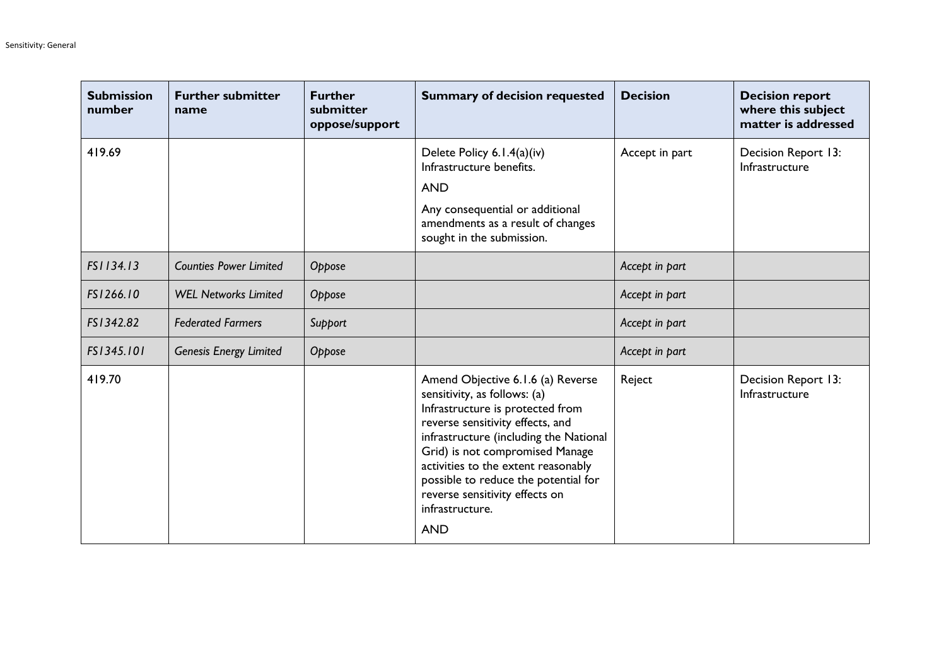| <b>Submission</b><br>number | <b>Further submitter</b><br>name | <b>Further</b><br>submitter<br>oppose/support | <b>Summary of decision requested</b>                                                                                                                                                                                                                                                                                                                                     | <b>Decision</b> | <b>Decision report</b><br>where this subject<br>matter is addressed |
|-----------------------------|----------------------------------|-----------------------------------------------|--------------------------------------------------------------------------------------------------------------------------------------------------------------------------------------------------------------------------------------------------------------------------------------------------------------------------------------------------------------------------|-----------------|---------------------------------------------------------------------|
| 419.69                      |                                  |                                               | Delete Policy 6.1.4(a)(iv)<br>Infrastructure benefits.<br><b>AND</b><br>Any consequential or additional<br>amendments as a result of changes<br>sought in the submission.                                                                                                                                                                                                | Accept in part  | Decision Report 13:<br>Infrastructure                               |
| FS1134.13                   | <b>Counties Power Limited</b>    | Oppose                                        |                                                                                                                                                                                                                                                                                                                                                                          | Accept in part  |                                                                     |
| FS1266.10                   | <b>WEL Networks Limited</b>      | Oppose                                        |                                                                                                                                                                                                                                                                                                                                                                          | Accept in part  |                                                                     |
| FS1342.82                   | <b>Federated Farmers</b>         | Support                                       |                                                                                                                                                                                                                                                                                                                                                                          | Accept in part  |                                                                     |
| FS1345.101                  | Genesis Energy Limited           | Oppose                                        |                                                                                                                                                                                                                                                                                                                                                                          | Accept in part  |                                                                     |
| 419.70                      |                                  |                                               | Amend Objective 6.1.6 (a) Reverse<br>sensitivity, as follows: (a)<br>Infrastructure is protected from<br>reverse sensitivity effects, and<br>infrastructure (including the National<br>Grid) is not compromised Manage<br>activities to the extent reasonably<br>possible to reduce the potential for<br>reverse sensitivity effects on<br>infrastructure.<br><b>AND</b> | Reject          | Decision Report 13:<br>Infrastructure                               |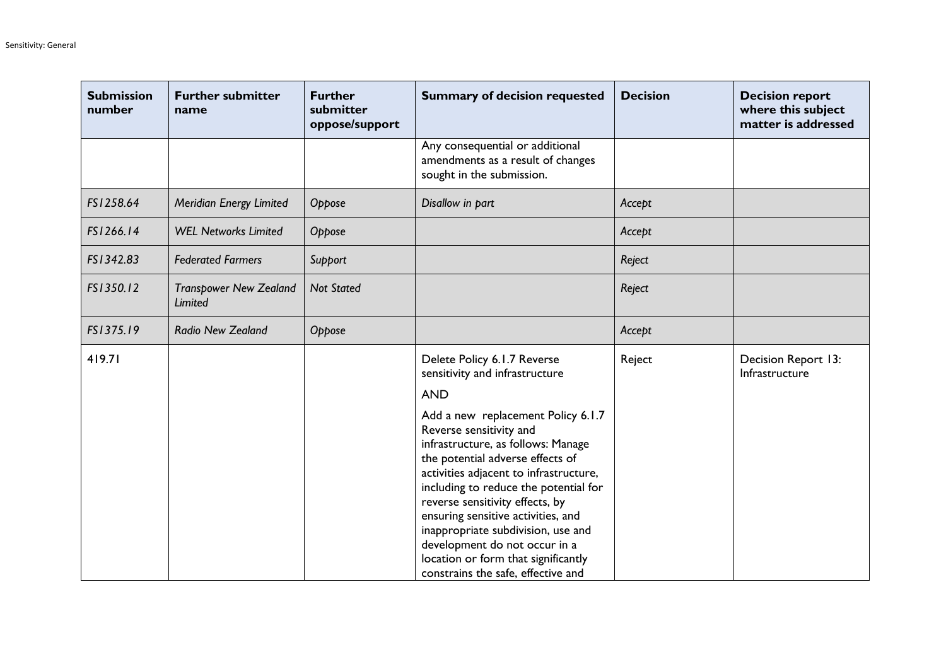| <b>Submission</b><br>number | <b>Further submitter</b><br>name                | <b>Further</b><br>submitter<br>oppose/support | <b>Summary of decision requested</b>                                                                                                                                                                                                                                                                                                                                                                                                                                                                                                   | <b>Decision</b> | <b>Decision report</b><br>where this subject<br>matter is addressed |
|-----------------------------|-------------------------------------------------|-----------------------------------------------|----------------------------------------------------------------------------------------------------------------------------------------------------------------------------------------------------------------------------------------------------------------------------------------------------------------------------------------------------------------------------------------------------------------------------------------------------------------------------------------------------------------------------------------|-----------------|---------------------------------------------------------------------|
|                             |                                                 |                                               | Any consequential or additional<br>amendments as a result of changes<br>sought in the submission.                                                                                                                                                                                                                                                                                                                                                                                                                                      |                 |                                                                     |
| FS1258.64                   | Meridian Energy Limited                         | Oppose                                        | Disallow in part                                                                                                                                                                                                                                                                                                                                                                                                                                                                                                                       | Accept          |                                                                     |
| FS1266.14                   | <b>WEL Networks Limited</b>                     | Oppose                                        |                                                                                                                                                                                                                                                                                                                                                                                                                                                                                                                                        | Accept          |                                                                     |
| FS1342.83                   | <b>Federated Farmers</b>                        | Support                                       |                                                                                                                                                                                                                                                                                                                                                                                                                                                                                                                                        | Reject          |                                                                     |
| FS1350.12                   | <b>Transpower New Zealand</b><br><b>Limited</b> | <b>Not Stated</b>                             |                                                                                                                                                                                                                                                                                                                                                                                                                                                                                                                                        | Reject          |                                                                     |
| FS1375.19                   | <b>Radio New Zealand</b>                        | Oppose                                        |                                                                                                                                                                                                                                                                                                                                                                                                                                                                                                                                        | Accept          |                                                                     |
| 419.71                      |                                                 |                                               | Delete Policy 6.1.7 Reverse<br>sensitivity and infrastructure<br><b>AND</b><br>Add a new replacement Policy 6.1.7<br>Reverse sensitivity and<br>infrastructure, as follows: Manage<br>the potential adverse effects of<br>activities adjacent to infrastructure,<br>including to reduce the potential for<br>reverse sensitivity effects, by<br>ensuring sensitive activities, and<br>inappropriate subdivision, use and<br>development do not occur in a<br>location or form that significantly<br>constrains the safe, effective and | Reject          | Decision Report 13:<br>Infrastructure                               |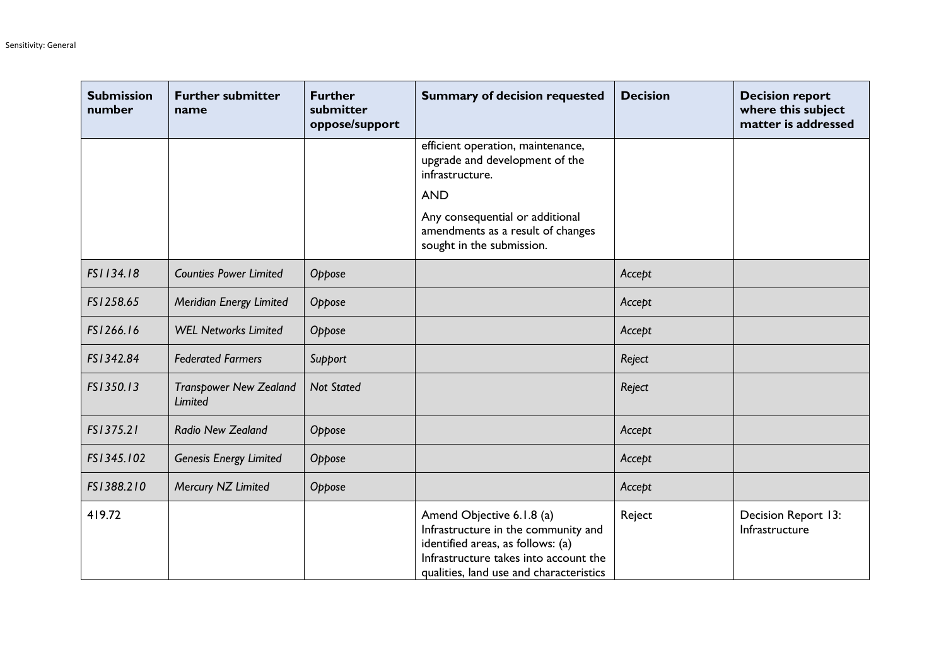| <b>Submission</b><br>number | <b>Further submitter</b><br>name         | <b>Further</b><br>submitter<br>oppose/support | <b>Summary of decision requested</b>                                                                                                                                                      | <b>Decision</b> | <b>Decision report</b><br>where this subject<br>matter is addressed |
|-----------------------------|------------------------------------------|-----------------------------------------------|-------------------------------------------------------------------------------------------------------------------------------------------------------------------------------------------|-----------------|---------------------------------------------------------------------|
|                             |                                          |                                               | efficient operation, maintenance,<br>upgrade and development of the<br>infrastructure.                                                                                                    |                 |                                                                     |
|                             |                                          |                                               | <b>AND</b>                                                                                                                                                                                |                 |                                                                     |
|                             |                                          |                                               | Any consequential or additional<br>amendments as a result of changes<br>sought in the submission.                                                                                         |                 |                                                                     |
| FS1134.18                   | <b>Counties Power Limited</b>            | Oppose                                        |                                                                                                                                                                                           | Accept          |                                                                     |
| FS1258.65                   | Meridian Energy Limited                  | Oppose                                        |                                                                                                                                                                                           | Accept          |                                                                     |
| FS1266.16                   | <b>WEL Networks Limited</b>              | Oppose                                        |                                                                                                                                                                                           | Accept          |                                                                     |
| FS1342.84                   | <b>Federated Farmers</b>                 | Support                                       |                                                                                                                                                                                           | Reject          |                                                                     |
| FS1350.13                   | <b>Transpower New Zealand</b><br>Limited | <b>Not Stated</b>                             |                                                                                                                                                                                           | Reject          |                                                                     |
| FS1375.21                   | Radio New Zealand                        | Oppose                                        |                                                                                                                                                                                           | Accept          |                                                                     |
| FS1345.102                  | <b>Genesis Energy Limited</b>            | Oppose                                        |                                                                                                                                                                                           | Accept          |                                                                     |
| FS1388.210                  | Mercury NZ Limited                       | Oppose                                        |                                                                                                                                                                                           | Accept          |                                                                     |
| 419.72                      |                                          |                                               | Amend Objective 6.1.8 (a)<br>Infrastructure in the community and<br>identified areas, as follows: (a)<br>Infrastructure takes into account the<br>qualities, land use and characteristics | Reject          | Decision Report 13:<br>Infrastructure                               |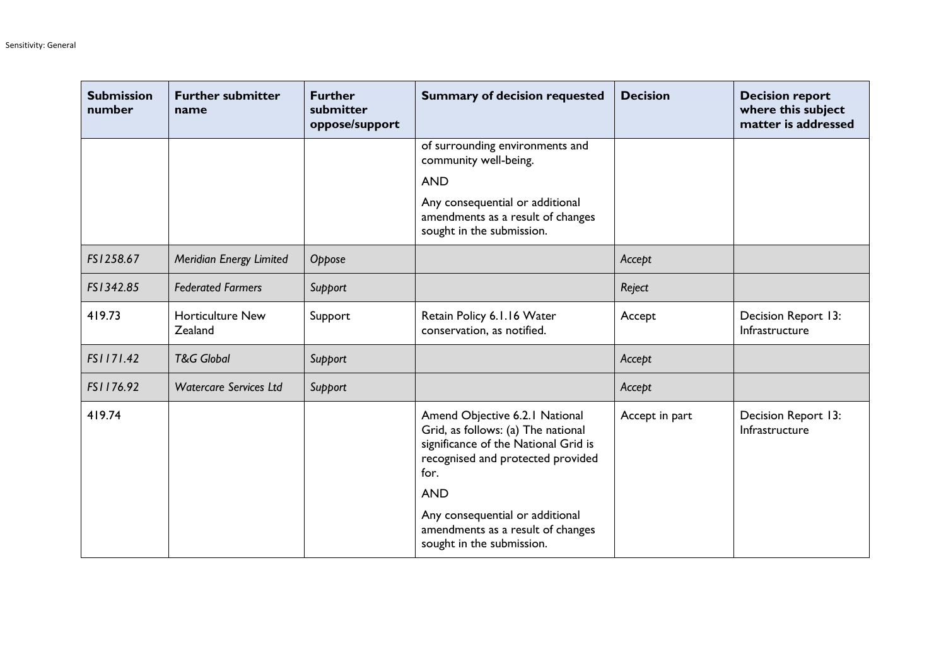| <b>Submission</b><br>number | <b>Further submitter</b><br>name   | <b>Further</b><br>submitter<br>oppose/support | <b>Summary of decision requested</b>                                                                                                                                                                       | <b>Decision</b> | <b>Decision report</b><br>where this subject<br>matter is addressed |
|-----------------------------|------------------------------------|-----------------------------------------------|------------------------------------------------------------------------------------------------------------------------------------------------------------------------------------------------------------|-----------------|---------------------------------------------------------------------|
|                             |                                    |                                               | of surrounding environments and<br>community well-being.<br><b>AND</b>                                                                                                                                     |                 |                                                                     |
|                             |                                    |                                               | Any consequential or additional<br>amendments as a result of changes<br>sought in the submission.                                                                                                          |                 |                                                                     |
| FS1258.67                   | Meridian Energy Limited            | Oppose                                        |                                                                                                                                                                                                            | Accept          |                                                                     |
| FS1342.85                   | <b>Federated Farmers</b>           | Support                                       |                                                                                                                                                                                                            | Reject          |                                                                     |
| 419.73                      | <b>Horticulture New</b><br>Zealand | Support                                       | Retain Policy 6.1.16 Water<br>conservation, as notified.                                                                                                                                                   | Accept          | Decision Report 13:<br>Infrastructure                               |
| FS1171.42                   | <b>T&amp;G Global</b>              | Support                                       |                                                                                                                                                                                                            | Accept          |                                                                     |
| FS1176.92                   | <b>Watercare Services Ltd</b>      | Support                                       |                                                                                                                                                                                                            | Accept          |                                                                     |
| 419.74                      |                                    |                                               | Amend Objective 6.2.1 National<br>Grid, as follows: (a) The national<br>significance of the National Grid is<br>recognised and protected provided<br>for.<br><b>AND</b><br>Any consequential or additional | Accept in part  | Decision Report 13:<br>Infrastructure                               |
|                             |                                    |                                               | amendments as a result of changes<br>sought in the submission.                                                                                                                                             |                 |                                                                     |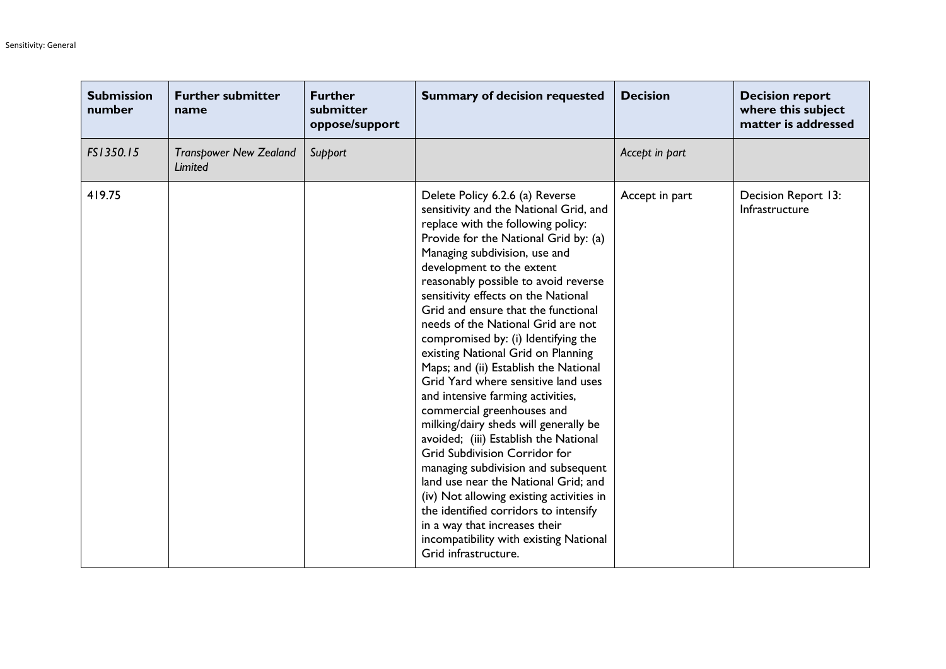| <b>Submission</b><br>number | <b>Further submitter</b><br>name         | <b>Further</b><br>submitter<br>oppose/support | <b>Summary of decision requested</b>                                                                                                                                                                                                                                                                                                                                                                                                                                                                                                                                                                                                                                                                                                                                                                                                                                                                                                                                                                                | <b>Decision</b> | <b>Decision report</b><br>where this subject<br>matter is addressed |
|-----------------------------|------------------------------------------|-----------------------------------------------|---------------------------------------------------------------------------------------------------------------------------------------------------------------------------------------------------------------------------------------------------------------------------------------------------------------------------------------------------------------------------------------------------------------------------------------------------------------------------------------------------------------------------------------------------------------------------------------------------------------------------------------------------------------------------------------------------------------------------------------------------------------------------------------------------------------------------------------------------------------------------------------------------------------------------------------------------------------------------------------------------------------------|-----------------|---------------------------------------------------------------------|
| FS1350.15                   | <b>Transpower New Zealand</b><br>Limited | Support                                       |                                                                                                                                                                                                                                                                                                                                                                                                                                                                                                                                                                                                                                                                                                                                                                                                                                                                                                                                                                                                                     | Accept in part  |                                                                     |
| 419.75                      |                                          |                                               | Delete Policy 6.2.6 (a) Reverse<br>sensitivity and the National Grid, and<br>replace with the following policy:<br>Provide for the National Grid by: (a)<br>Managing subdivision, use and<br>development to the extent<br>reasonably possible to avoid reverse<br>sensitivity effects on the National<br>Grid and ensure that the functional<br>needs of the National Grid are not<br>compromised by: (i) Identifying the<br>existing National Grid on Planning<br>Maps; and (ii) Establish the National<br>Grid Yard where sensitive land uses<br>and intensive farming activities,<br>commercial greenhouses and<br>milking/dairy sheds will generally be<br>avoided; (iii) Establish the National<br><b>Grid Subdivision Corridor for</b><br>managing subdivision and subsequent<br>land use near the National Grid; and<br>(iv) Not allowing existing activities in<br>the identified corridors to intensify<br>in a way that increases their<br>incompatibility with existing National<br>Grid infrastructure. | Accept in part  | Decision Report 13:<br>Infrastructure                               |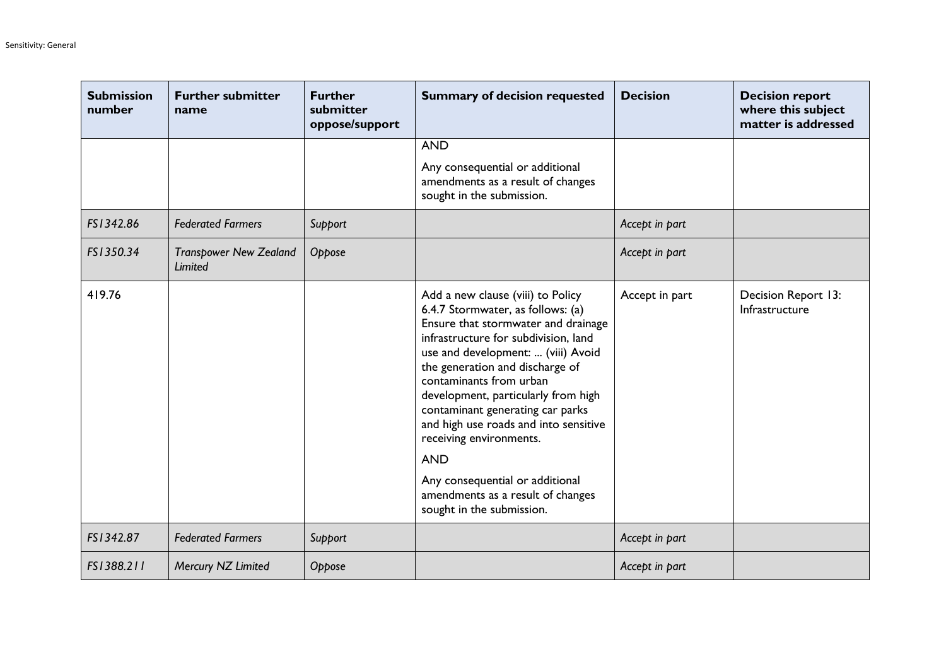| <b>Submission</b><br>number | <b>Further submitter</b><br>name         | <b>Further</b><br>submitter<br>oppose/support | <b>Summary of decision requested</b>                                                                                                                                                                                                                                                                                                                                                                                                                                                                                        | <b>Decision</b> | <b>Decision report</b><br>where this subject<br>matter is addressed |
|-----------------------------|------------------------------------------|-----------------------------------------------|-----------------------------------------------------------------------------------------------------------------------------------------------------------------------------------------------------------------------------------------------------------------------------------------------------------------------------------------------------------------------------------------------------------------------------------------------------------------------------------------------------------------------------|-----------------|---------------------------------------------------------------------|
|                             |                                          |                                               | <b>AND</b>                                                                                                                                                                                                                                                                                                                                                                                                                                                                                                                  |                 |                                                                     |
|                             |                                          |                                               | Any consequential or additional<br>amendments as a result of changes<br>sought in the submission.                                                                                                                                                                                                                                                                                                                                                                                                                           |                 |                                                                     |
| FS1342.86                   | <b>Federated Farmers</b>                 | Support                                       |                                                                                                                                                                                                                                                                                                                                                                                                                                                                                                                             | Accept in part  |                                                                     |
| FS1350.34                   | <b>Transpower New Zealand</b><br>Limited | Oppose                                        |                                                                                                                                                                                                                                                                                                                                                                                                                                                                                                                             | Accept in part  |                                                                     |
| 419.76                      |                                          |                                               | Add a new clause (viii) to Policy<br>6.4.7 Stormwater, as follows: (a)<br>Ensure that stormwater and drainage<br>infrastructure for subdivision, land<br>use and development:  (viii) Avoid<br>the generation and discharge of<br>contaminants from urban<br>development, particularly from high<br>contaminant generating car parks<br>and high use roads and into sensitive<br>receiving environments.<br><b>AND</b><br>Any consequential or additional<br>amendments as a result of changes<br>sought in the submission. | Accept in part  | Decision Report 13:<br>Infrastructure                               |
| FS1342.87                   | <b>Federated Farmers</b>                 | Support                                       |                                                                                                                                                                                                                                                                                                                                                                                                                                                                                                                             | Accept in part  |                                                                     |
| FS1388.211                  | Mercury NZ Limited                       | Oppose                                        |                                                                                                                                                                                                                                                                                                                                                                                                                                                                                                                             | Accept in part  |                                                                     |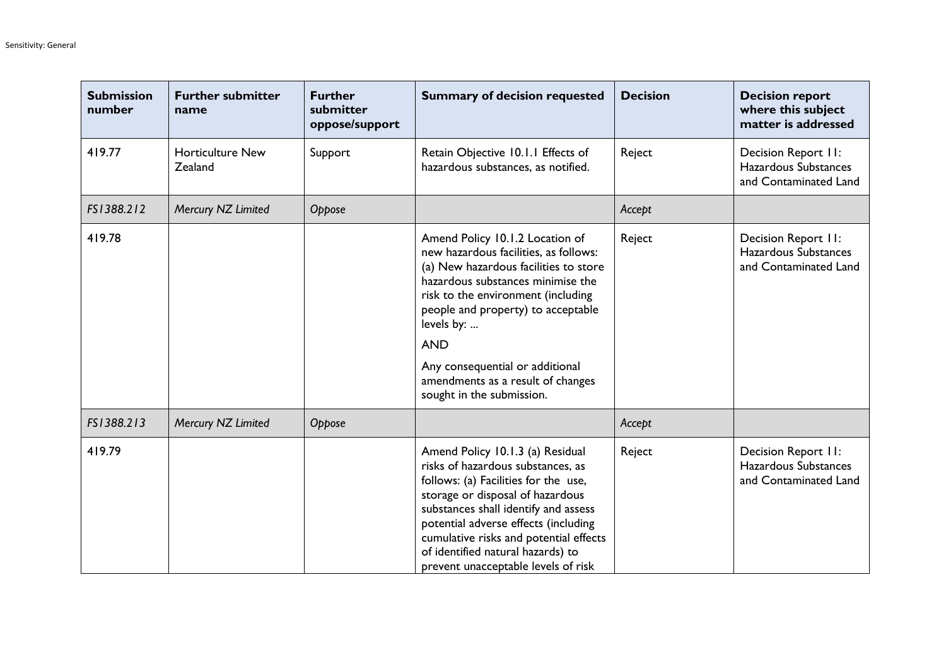| <b>Submission</b><br>number | <b>Further submitter</b><br>name   | <b>Further</b><br>submitter<br>oppose/support | <b>Summary of decision requested</b>                                                                                                                                                                                                                                                                                                                                | <b>Decision</b> | <b>Decision report</b><br>where this subject<br>matter is addressed  |
|-----------------------------|------------------------------------|-----------------------------------------------|---------------------------------------------------------------------------------------------------------------------------------------------------------------------------------------------------------------------------------------------------------------------------------------------------------------------------------------------------------------------|-----------------|----------------------------------------------------------------------|
| 419.77                      | <b>Horticulture New</b><br>Zealand | Support                                       | Retain Objective 10.1.1 Effects of<br>hazardous substances, as notified.                                                                                                                                                                                                                                                                                            | Reject          | Decision Report II:<br>Hazardous Substances<br>and Contaminated Land |
| FS1388.212                  | Mercury NZ Limited                 | Oppose                                        |                                                                                                                                                                                                                                                                                                                                                                     | Accept          |                                                                      |
| 419.78                      |                                    |                                               | Amend Policy 10.1.2 Location of<br>new hazardous facilities, as follows:<br>(a) New hazardous facilities to store<br>hazardous substances minimise the<br>risk to the environment (including<br>people and property) to acceptable<br>levels by:<br><b>AND</b><br>Any consequential or additional<br>amendments as a result of changes<br>sought in the submission. | Reject          | Decision Report II:<br>Hazardous Substances<br>and Contaminated Land |
| FS1388.213                  | Mercury NZ Limited                 | Oppose                                        |                                                                                                                                                                                                                                                                                                                                                                     | Accept          |                                                                      |
| 419.79                      |                                    |                                               | Amend Policy 10.1.3 (a) Residual<br>risks of hazardous substances, as<br>follows: (a) Facilities for the use,<br>storage or disposal of hazardous<br>substances shall identify and assess<br>potential adverse effects (including<br>cumulative risks and potential effects<br>of identified natural hazards) to<br>prevent unacceptable levels of risk             | Reject          | Decision Report II:<br>Hazardous Substances<br>and Contaminated Land |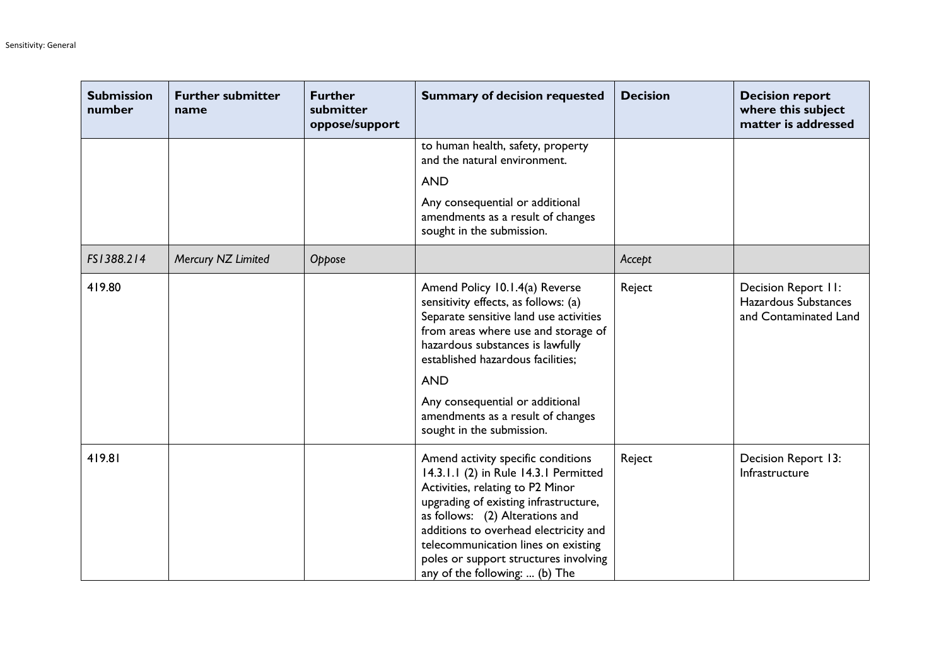| <b>Submission</b><br>number | <b>Further submitter</b><br>name | <b>Further</b><br>submitter<br>oppose/support | <b>Summary of decision requested</b>                                                                                                                                                                                                                                                                                                                   | <b>Decision</b> | <b>Decision report</b><br>where this subject<br>matter is addressed  |
|-----------------------------|----------------------------------|-----------------------------------------------|--------------------------------------------------------------------------------------------------------------------------------------------------------------------------------------------------------------------------------------------------------------------------------------------------------------------------------------------------------|-----------------|----------------------------------------------------------------------|
|                             |                                  |                                               | to human health, safety, property<br>and the natural environment.                                                                                                                                                                                                                                                                                      |                 |                                                                      |
|                             |                                  |                                               | <b>AND</b>                                                                                                                                                                                                                                                                                                                                             |                 |                                                                      |
|                             |                                  |                                               | Any consequential or additional<br>amendments as a result of changes<br>sought in the submission.                                                                                                                                                                                                                                                      |                 |                                                                      |
| FS1388.214                  | Mercury NZ Limited               | Oppose                                        |                                                                                                                                                                                                                                                                                                                                                        | Accept          |                                                                      |
| 419.80                      |                                  |                                               | Amend Policy 10.1.4(a) Reverse<br>sensitivity effects, as follows: (a)<br>Separate sensitive land use activities<br>from areas where use and storage of<br>hazardous substances is lawfully<br>established hazardous facilities;<br><b>AND</b><br>Any consequential or additional<br>amendments as a result of changes<br>sought in the submission.    | Reject          | Decision Report II:<br>Hazardous Substances<br>and Contaminated Land |
| 419.81                      |                                  |                                               | Amend activity specific conditions<br>14.3.1.1 (2) in Rule 14.3.1 Permitted<br>Activities, relating to P2 Minor<br>upgrading of existing infrastructure,<br>as follows: (2) Alterations and<br>additions to overhead electricity and<br>telecommunication lines on existing<br>poles or support structures involving<br>any of the following:  (b) The | Reject          | Decision Report 13:<br>Infrastructure                                |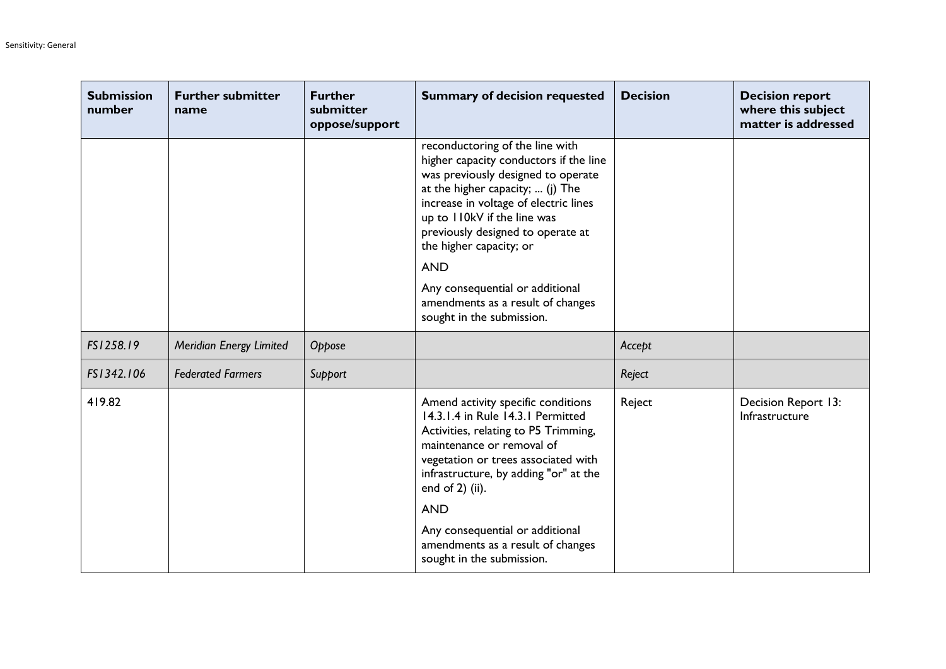| <b>Submission</b><br>number | <b>Further submitter</b><br>name | <b>Further</b><br>submitter<br>oppose/support | <b>Summary of decision requested</b>                                                                                                                                                                                                                                                                                                                                                                           | <b>Decision</b> | <b>Decision report</b><br>where this subject<br>matter is addressed |
|-----------------------------|----------------------------------|-----------------------------------------------|----------------------------------------------------------------------------------------------------------------------------------------------------------------------------------------------------------------------------------------------------------------------------------------------------------------------------------------------------------------------------------------------------------------|-----------------|---------------------------------------------------------------------|
|                             |                                  |                                               | reconductoring of the line with<br>higher capacity conductors if the line<br>was previously designed to operate<br>at the higher capacity;  (j) The<br>increase in voltage of electric lines<br>up to II0kV if the line was<br>previously designed to operate at<br>the higher capacity; or<br><b>AND</b><br>Any consequential or additional<br>amendments as a result of changes<br>sought in the submission. |                 |                                                                     |
| FS1258.19                   | Meridian Energy Limited          | Oppose                                        |                                                                                                                                                                                                                                                                                                                                                                                                                | Accept          |                                                                     |
| FS1342.106                  | <b>Federated Farmers</b>         | Support                                       |                                                                                                                                                                                                                                                                                                                                                                                                                | Reject          |                                                                     |
| 419.82                      |                                  |                                               | Amend activity specific conditions<br>14.3.1.4 in Rule 14.3.1 Permitted<br>Activities, relating to P5 Trimming,<br>maintenance or removal of<br>vegetation or trees associated with<br>infrastructure, by adding "or" at the<br>end of $2$ ) (ii).<br><b>AND</b><br>Any consequential or additional<br>amendments as a result of changes<br>sought in the submission.                                          | Reject          | Decision Report 13:<br>Infrastructure                               |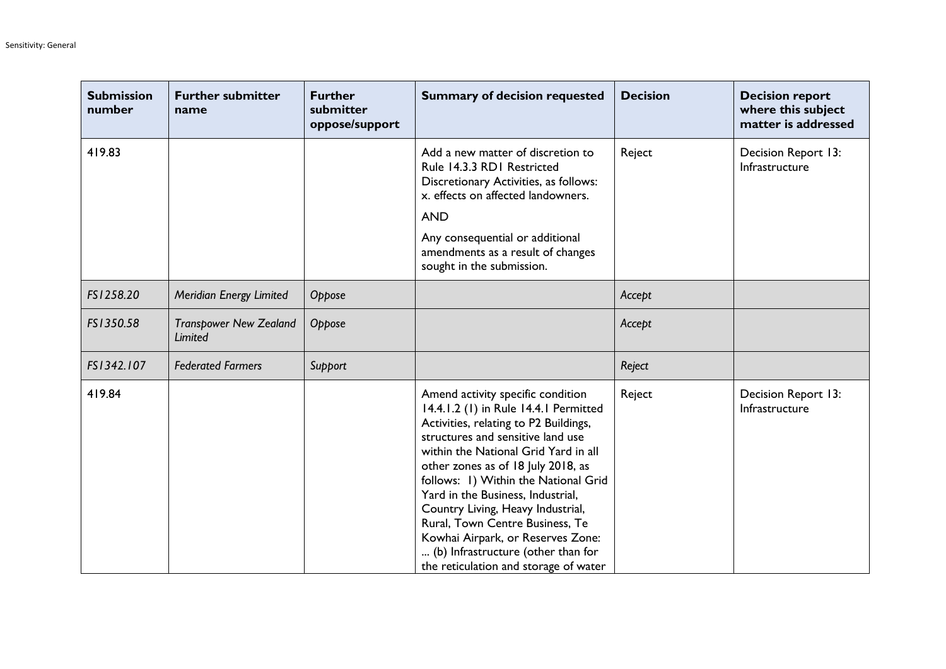| <b>Submission</b><br>number | <b>Further submitter</b><br>name         | <b>Further</b><br>submitter<br>oppose/support | <b>Summary of decision requested</b>                                                                                                                                                                                                                                                                                                                                                                                                                                                                            | <b>Decision</b> | <b>Decision report</b><br>where this subject<br>matter is addressed |
|-----------------------------|------------------------------------------|-----------------------------------------------|-----------------------------------------------------------------------------------------------------------------------------------------------------------------------------------------------------------------------------------------------------------------------------------------------------------------------------------------------------------------------------------------------------------------------------------------------------------------------------------------------------------------|-----------------|---------------------------------------------------------------------|
| 419.83                      |                                          |                                               | Add a new matter of discretion to<br>Rule 14.3.3 RD1 Restricted<br>Discretionary Activities, as follows:<br>x. effects on affected landowners.<br><b>AND</b><br>Any consequential or additional<br>amendments as a result of changes<br>sought in the submission.                                                                                                                                                                                                                                               | Reject          | Decision Report 13:<br>Infrastructure                               |
| FS1258.20                   | Meridian Energy Limited                  | Oppose                                        |                                                                                                                                                                                                                                                                                                                                                                                                                                                                                                                 | Accept          |                                                                     |
| FS1350.58                   | <b>Transpower New Zealand</b><br>Limited | Oppose                                        |                                                                                                                                                                                                                                                                                                                                                                                                                                                                                                                 | Accept          |                                                                     |
| FS1342.107                  | <b>Federated Farmers</b>                 | Support                                       |                                                                                                                                                                                                                                                                                                                                                                                                                                                                                                                 | Reject          |                                                                     |
| 419.84                      |                                          |                                               | Amend activity specific condition<br>14.4.1.2 (1) in Rule 14.4.1 Permitted<br>Activities, relating to P2 Buildings,<br>structures and sensitive land use<br>within the National Grid Yard in all<br>other zones as of 18 July 2018, as<br>follows: 1) Within the National Grid<br>Yard in the Business, Industrial,<br>Country Living, Heavy Industrial,<br>Rural, Town Centre Business, Te<br>Kowhai Airpark, or Reserves Zone:<br>(b) Infrastructure (other than for<br>the reticulation and storage of water | Reject          | Decision Report 13:<br>Infrastructure                               |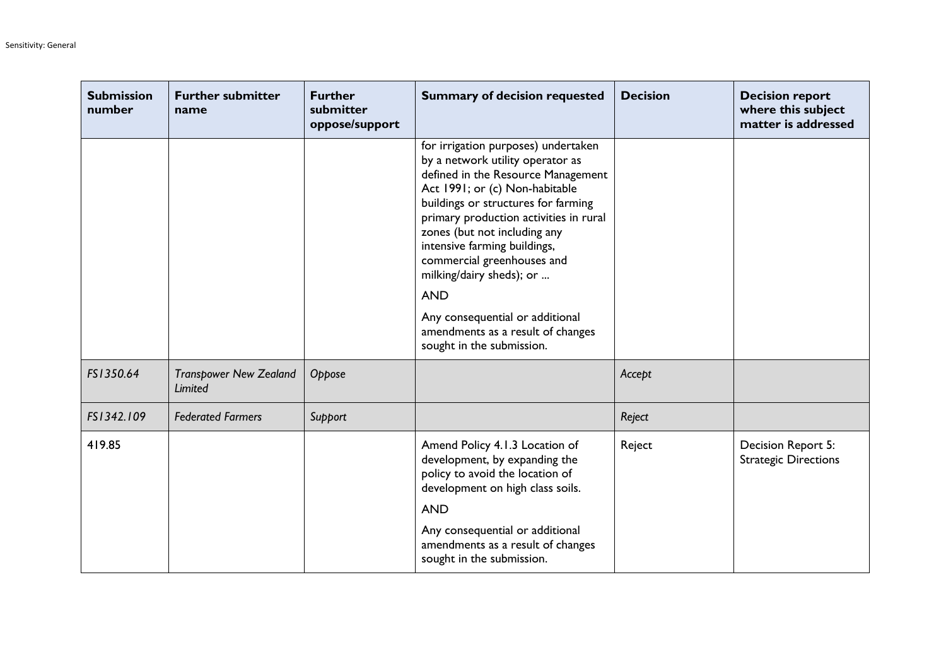| <b>Submission</b><br>number | <b>Further submitter</b><br>name         | <b>Further</b><br>submitter<br>oppose/support | <b>Summary of decision requested</b>                                                                                                                                                                                                                                                                                                                                                                                                                                          | <b>Decision</b> | <b>Decision report</b><br>where this subject<br>matter is addressed |
|-----------------------------|------------------------------------------|-----------------------------------------------|-------------------------------------------------------------------------------------------------------------------------------------------------------------------------------------------------------------------------------------------------------------------------------------------------------------------------------------------------------------------------------------------------------------------------------------------------------------------------------|-----------------|---------------------------------------------------------------------|
|                             |                                          |                                               | for irrigation purposes) undertaken<br>by a network utility operator as<br>defined in the Resource Management<br>Act 1991; or (c) Non-habitable<br>buildings or structures for farming<br>primary production activities in rural<br>zones (but not including any<br>intensive farming buildings,<br>commercial greenhouses and<br>milking/dairy sheds); or<br><b>AND</b><br>Any consequential or additional<br>amendments as a result of changes<br>sought in the submission. |                 |                                                                     |
| FS1350.64                   | <b>Transpower New Zealand</b><br>Limited | Oppose                                        |                                                                                                                                                                                                                                                                                                                                                                                                                                                                               | Accept          |                                                                     |
| FS1342.109                  | <b>Federated Farmers</b>                 | Support                                       |                                                                                                                                                                                                                                                                                                                                                                                                                                                                               | Reject          |                                                                     |
| 419.85                      |                                          |                                               | Amend Policy 4.1.3 Location of<br>development, by expanding the<br>policy to avoid the location of<br>development on high class soils.<br><b>AND</b><br>Any consequential or additional<br>amendments as a result of changes<br>sought in the submission.                                                                                                                                                                                                                     | Reject          | Decision Report 5:<br><b>Strategic Directions</b>                   |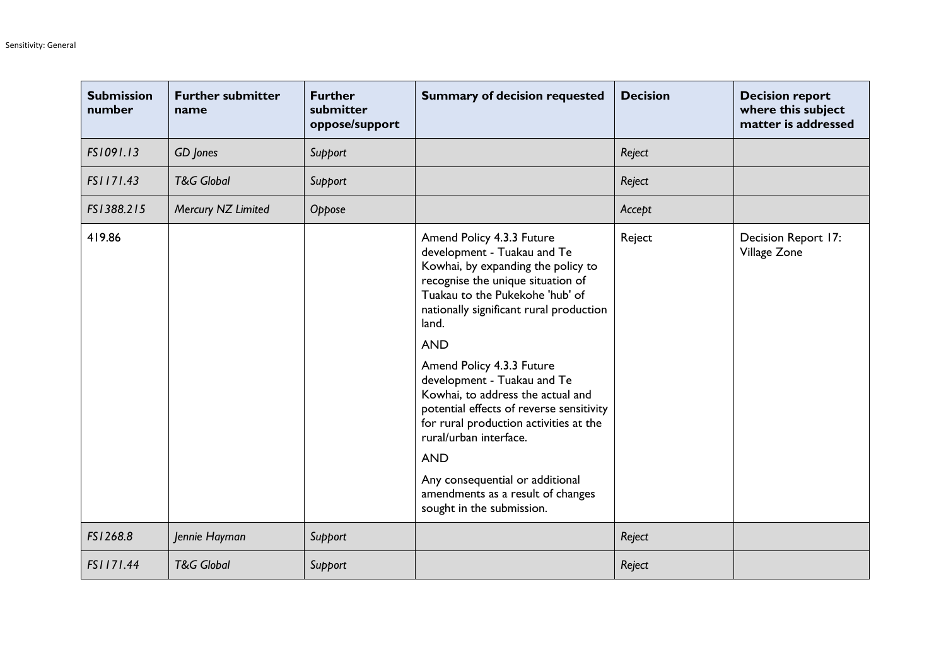| <b>Submission</b><br>number | <b>Further submitter</b><br>name | <b>Further</b><br>submitter<br>oppose/support | <b>Summary of decision requested</b>                                                                                                                                                                                                                                                                                                                                                                                                                                                                                                                                         | <b>Decision</b> | <b>Decision report</b><br>where this subject<br>matter is addressed |
|-----------------------------|----------------------------------|-----------------------------------------------|------------------------------------------------------------------------------------------------------------------------------------------------------------------------------------------------------------------------------------------------------------------------------------------------------------------------------------------------------------------------------------------------------------------------------------------------------------------------------------------------------------------------------------------------------------------------------|-----------------|---------------------------------------------------------------------|
| FS1091.13                   | GD Jones                         | Support                                       |                                                                                                                                                                                                                                                                                                                                                                                                                                                                                                                                                                              | Reject          |                                                                     |
| FS1171.43                   | <b>T&amp;G Global</b>            | Support                                       |                                                                                                                                                                                                                                                                                                                                                                                                                                                                                                                                                                              | Reject          |                                                                     |
| FS1388.215                  | Mercury NZ Limited               | Oppose                                        |                                                                                                                                                                                                                                                                                                                                                                                                                                                                                                                                                                              | Accept          |                                                                     |
| 419.86                      |                                  |                                               | Amend Policy 4.3.3 Future<br>development - Tuakau and Te<br>Kowhai, by expanding the policy to<br>recognise the unique situation of<br>Tuakau to the Pukekohe 'hub' of<br>nationally significant rural production<br>land.<br><b>AND</b><br>Amend Policy 4.3.3 Future<br>development - Tuakau and Te<br>Kowhai, to address the actual and<br>potential effects of reverse sensitivity<br>for rural production activities at the<br>rural/urban interface.<br><b>AND</b><br>Any consequential or additional<br>amendments as a result of changes<br>sought in the submission. | Reject          | Decision Report 17:<br>Village Zone                                 |
| FS1268.8                    | Jennie Hayman                    | Support                                       |                                                                                                                                                                                                                                                                                                                                                                                                                                                                                                                                                                              | Reject          |                                                                     |
| FS1171.44                   | <b>T&amp;G Global</b>            | Support                                       |                                                                                                                                                                                                                                                                                                                                                                                                                                                                                                                                                                              | Reject          |                                                                     |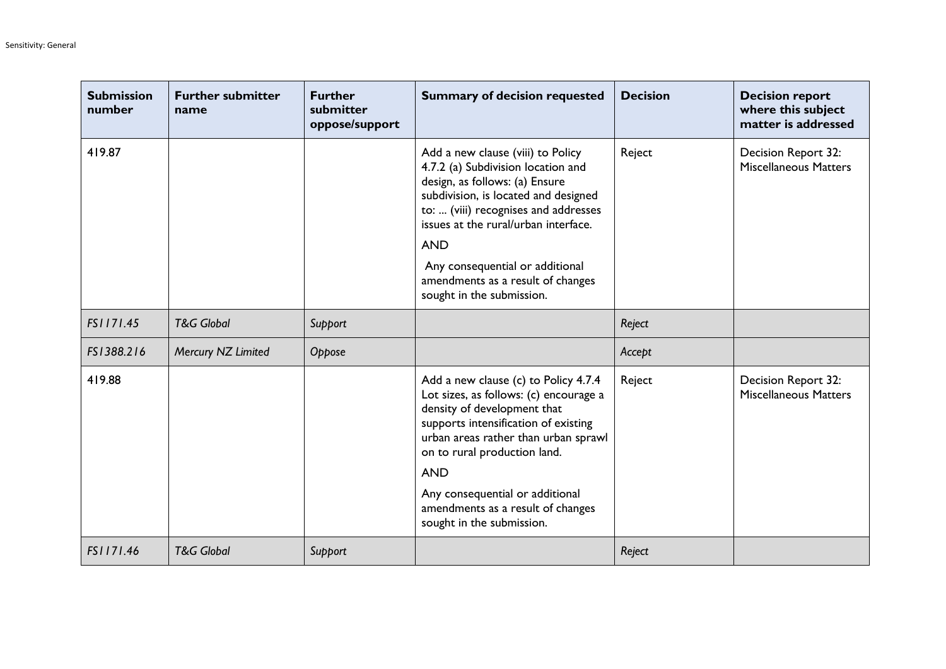| <b>Submission</b><br>number | <b>Further submitter</b><br>name | <b>Further</b><br>submitter<br>oppose/support | <b>Summary of decision requested</b>                                                                                                                                                                                                                                                                                                                 | <b>Decision</b> | <b>Decision report</b><br>where this subject<br>matter is addressed |
|-----------------------------|----------------------------------|-----------------------------------------------|------------------------------------------------------------------------------------------------------------------------------------------------------------------------------------------------------------------------------------------------------------------------------------------------------------------------------------------------------|-----------------|---------------------------------------------------------------------|
| 419.87                      |                                  |                                               | Add a new clause (viii) to Policy<br>4.7.2 (a) Subdivision location and<br>design, as follows: (a) Ensure<br>subdivision, is located and designed<br>to:  (viii) recognises and addresses<br>issues at the rural/urban interface.<br><b>AND</b><br>Any consequential or additional<br>amendments as a result of changes<br>sought in the submission. | Reject          | Decision Report 32:<br><b>Miscellaneous Matters</b>                 |
| FS1171.45                   | <b>T&amp;G Global</b>            | Support                                       |                                                                                                                                                                                                                                                                                                                                                      | Reject          |                                                                     |
| FS1388.216                  | Mercury NZ Limited               | Oppose                                        |                                                                                                                                                                                                                                                                                                                                                      | Accept          |                                                                     |
| 419.88                      |                                  |                                               | Add a new clause (c) to Policy 4.7.4<br>Lot sizes, as follows: (c) encourage a<br>density of development that<br>supports intensification of existing<br>urban areas rather than urban sprawl<br>on to rural production land.<br><b>AND</b><br>Any consequential or additional<br>amendments as a result of changes<br>sought in the submission.     | Reject          | Decision Report 32:<br><b>Miscellaneous Matters</b>                 |
| FS1171.46                   | <b>T&amp;G Global</b>            | Support                                       |                                                                                                                                                                                                                                                                                                                                                      | Reject          |                                                                     |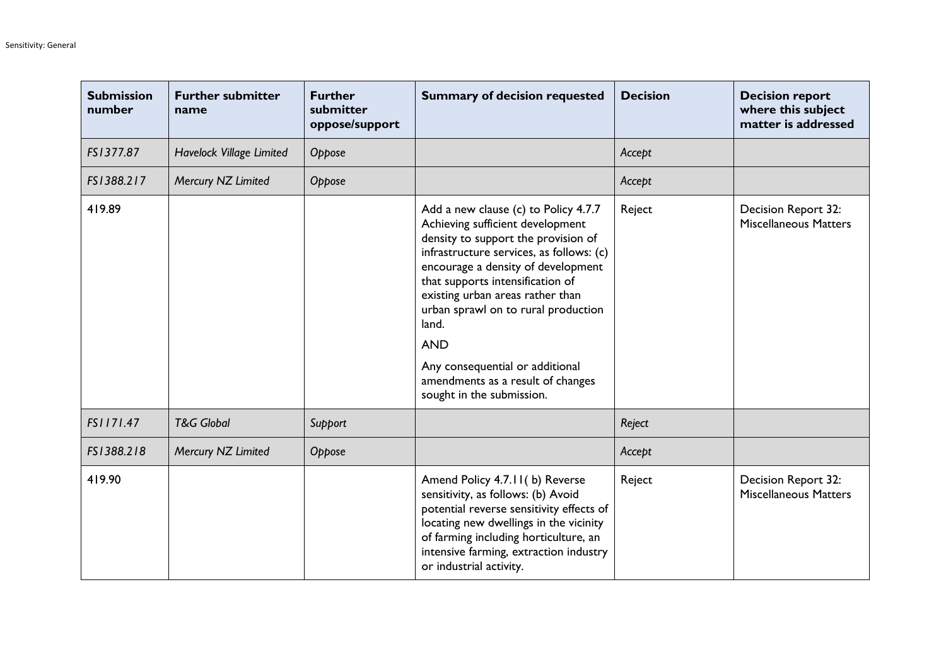| <b>Submission</b><br>number | <b>Further submitter</b><br>name | <b>Further</b><br>submitter<br>oppose/support | <b>Summary of decision requested</b>                                                                                                                                                                                                                                                                                                                                                                                                         | <b>Decision</b> | <b>Decision report</b><br>where this subject<br>matter is addressed |
|-----------------------------|----------------------------------|-----------------------------------------------|----------------------------------------------------------------------------------------------------------------------------------------------------------------------------------------------------------------------------------------------------------------------------------------------------------------------------------------------------------------------------------------------------------------------------------------------|-----------------|---------------------------------------------------------------------|
| FS1377.87                   | Havelock Village Limited         | Oppose                                        |                                                                                                                                                                                                                                                                                                                                                                                                                                              | Accept          |                                                                     |
| FS1388.217                  | Mercury NZ Limited               | Oppose                                        |                                                                                                                                                                                                                                                                                                                                                                                                                                              | Accept          |                                                                     |
| 419.89                      |                                  |                                               | Add a new clause (c) to Policy 4.7.7<br>Achieving sufficient development<br>density to support the provision of<br>infrastructure services, as follows: (c)<br>encourage a density of development<br>that supports intensification of<br>existing urban areas rather than<br>urban sprawl on to rural production<br>land.<br><b>AND</b><br>Any consequential or additional<br>amendments as a result of changes<br>sought in the submission. | Reject          | Decision Report 32:<br><b>Miscellaneous Matters</b>                 |
| FS1171.47                   | <b>T&amp;G Global</b>            | Support                                       |                                                                                                                                                                                                                                                                                                                                                                                                                                              | Reject          |                                                                     |
| FS1388.218                  | Mercury NZ Limited               | Oppose                                        |                                                                                                                                                                                                                                                                                                                                                                                                                                              | Accept          |                                                                     |
| 419.90                      |                                  |                                               | Amend Policy 4.7.11(b) Reverse<br>sensitivity, as follows: (b) Avoid<br>potential reverse sensitivity effects of<br>locating new dwellings in the vicinity<br>of farming including horticulture, an<br>intensive farming, extraction industry<br>or industrial activity.                                                                                                                                                                     | Reject          | Decision Report 32:<br><b>Miscellaneous Matters</b>                 |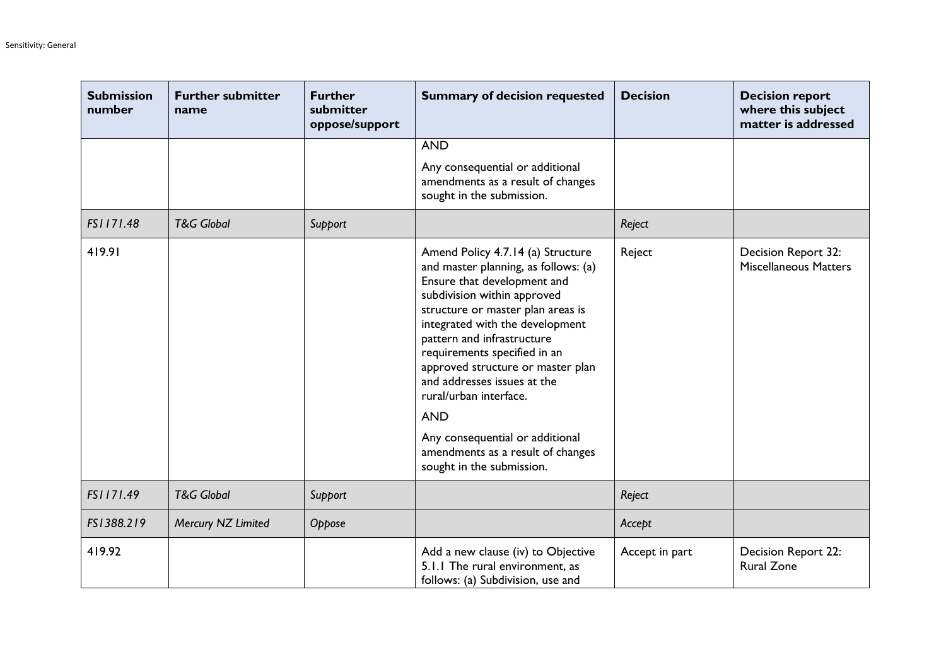| <b>Submission</b><br>number | <b>Further submitter</b><br>name | <b>Further</b><br>submitter<br>oppose/support | <b>Summary of decision requested</b>                                                                                                                                                                                                                                                                                                                                                                                                                                                           | <b>Decision</b> | <b>Decision report</b><br>where this subject<br>matter is addressed |
|-----------------------------|----------------------------------|-----------------------------------------------|------------------------------------------------------------------------------------------------------------------------------------------------------------------------------------------------------------------------------------------------------------------------------------------------------------------------------------------------------------------------------------------------------------------------------------------------------------------------------------------------|-----------------|---------------------------------------------------------------------|
|                             |                                  |                                               | <b>AND</b>                                                                                                                                                                                                                                                                                                                                                                                                                                                                                     |                 |                                                                     |
|                             |                                  |                                               | Any consequential or additional<br>amendments as a result of changes<br>sought in the submission.                                                                                                                                                                                                                                                                                                                                                                                              |                 |                                                                     |
| FS1171.48                   | <b>T&amp;G Global</b>            | Support                                       |                                                                                                                                                                                                                                                                                                                                                                                                                                                                                                | Reject          |                                                                     |
| 419.91                      |                                  |                                               | Amend Policy 4.7.14 (a) Structure<br>and master planning, as follows: (a)<br>Ensure that development and<br>subdivision within approved<br>structure or master plan areas is<br>integrated with the development<br>pattern and infrastructure<br>requirements specified in an<br>approved structure or master plan<br>and addresses issues at the<br>rural/urban interface.<br><b>AND</b><br>Any consequential or additional<br>amendments as a result of changes<br>sought in the submission. | Reject          | Decision Report 32:<br><b>Miscellaneous Matters</b>                 |
| FS1171.49                   | <b>T&amp;G Global</b>            | Support                                       |                                                                                                                                                                                                                                                                                                                                                                                                                                                                                                | Reject          |                                                                     |
| FS1388.219                  | Mercury NZ Limited               | Oppose                                        |                                                                                                                                                                                                                                                                                                                                                                                                                                                                                                | Accept          |                                                                     |
| 419.92                      |                                  |                                               | Add a new clause (iv) to Objective<br>5.1.1 The rural environment, as<br>follows: (a) Subdivision, use and                                                                                                                                                                                                                                                                                                                                                                                     | Accept in part  | Decision Report 22:<br><b>Rural Zone</b>                            |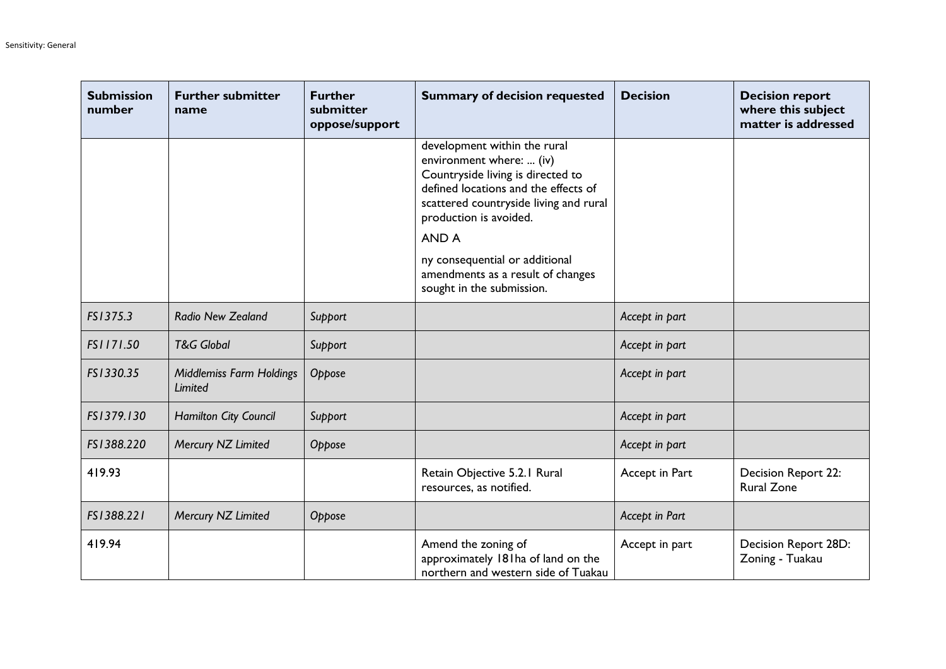| <b>Submission</b><br>number | <b>Further submitter</b><br>name           | <b>Further</b><br>submitter<br>oppose/support | <b>Summary of decision requested</b>                                                                                                                                                                               | <b>Decision</b> | <b>Decision report</b><br>where this subject<br>matter is addressed |
|-----------------------------|--------------------------------------------|-----------------------------------------------|--------------------------------------------------------------------------------------------------------------------------------------------------------------------------------------------------------------------|-----------------|---------------------------------------------------------------------|
|                             |                                            |                                               | development within the rural<br>environment where:  (iv)<br>Countryside living is directed to<br>defined locations and the effects of<br>scattered countryside living and rural<br>production is avoided.<br>AND A |                 |                                                                     |
|                             |                                            |                                               | ny consequential or additional<br>amendments as a result of changes<br>sought in the submission.                                                                                                                   |                 |                                                                     |
| FS1375.3                    | Radio New Zealand                          | Support                                       |                                                                                                                                                                                                                    | Accept in part  |                                                                     |
| FS1171.50                   | <b>T&amp;G Global</b>                      | Support                                       |                                                                                                                                                                                                                    | Accept in part  |                                                                     |
| FS1330.35                   | <b>Middlemiss Farm Holdings</b><br>Limited | Oppose                                        |                                                                                                                                                                                                                    | Accept in part  |                                                                     |
| FS1379.130                  | <b>Hamilton City Council</b>               | Support                                       |                                                                                                                                                                                                                    | Accept in part  |                                                                     |
| FS1388.220                  | Mercury NZ Limited                         | Oppose                                        |                                                                                                                                                                                                                    | Accept in part  |                                                                     |
| 419.93                      |                                            |                                               | Retain Objective 5.2.1 Rural<br>resources, as notified.                                                                                                                                                            | Accept in Part  | Decision Report 22:<br><b>Rural Zone</b>                            |
| FS1388.221                  | Mercury NZ Limited                         | Oppose                                        |                                                                                                                                                                                                                    | Accept in Part  |                                                                     |
| 419.94                      |                                            |                                               | Amend the zoning of<br>approximately 181ha of land on the<br>northern and western side of Tuakau                                                                                                                   | Accept in part  | Decision Report 28D:<br>Zoning - Tuakau                             |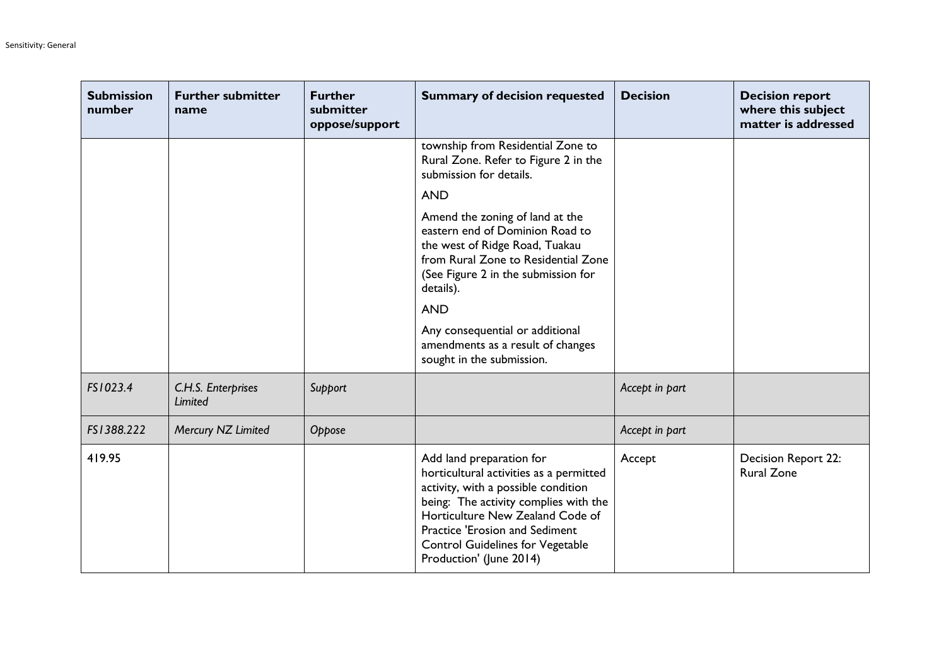| <b>Submission</b><br>number | <b>Further submitter</b><br>name | <b>Further</b><br>submitter<br>oppose/support | <b>Summary of decision requested</b>                                                                                                                                                                                                                                                                   | <b>Decision</b> | <b>Decision report</b><br>where this subject<br>matter is addressed |
|-----------------------------|----------------------------------|-----------------------------------------------|--------------------------------------------------------------------------------------------------------------------------------------------------------------------------------------------------------------------------------------------------------------------------------------------------------|-----------------|---------------------------------------------------------------------|
|                             |                                  |                                               | township from Residential Zone to<br>Rural Zone. Refer to Figure 2 in the<br>submission for details.                                                                                                                                                                                                   |                 |                                                                     |
|                             |                                  |                                               | <b>AND</b>                                                                                                                                                                                                                                                                                             |                 |                                                                     |
|                             |                                  |                                               | Amend the zoning of land at the<br>eastern end of Dominion Road to<br>the west of Ridge Road, Tuakau<br>from Rural Zone to Residential Zone<br>(See Figure 2 in the submission for<br>details).                                                                                                        |                 |                                                                     |
|                             |                                  |                                               | <b>AND</b>                                                                                                                                                                                                                                                                                             |                 |                                                                     |
|                             |                                  |                                               | Any consequential or additional<br>amendments as a result of changes<br>sought in the submission.                                                                                                                                                                                                      |                 |                                                                     |
| FS1023.4                    | C.H.S. Enterprises<br>Limited    | Support                                       |                                                                                                                                                                                                                                                                                                        | Accept in part  |                                                                     |
| FS1388.222                  | Mercury NZ Limited               | Oppose                                        |                                                                                                                                                                                                                                                                                                        | Accept in part  |                                                                     |
| 419.95                      |                                  |                                               | Add land preparation for<br>horticultural activities as a permitted<br>activity, with a possible condition<br>being: The activity complies with the<br>Horticulture New Zealand Code of<br><b>Practice 'Erosion and Sediment</b><br><b>Control Guidelines for Vegetable</b><br>Production' (June 2014) | Accept          | Decision Report 22:<br><b>Rural Zone</b>                            |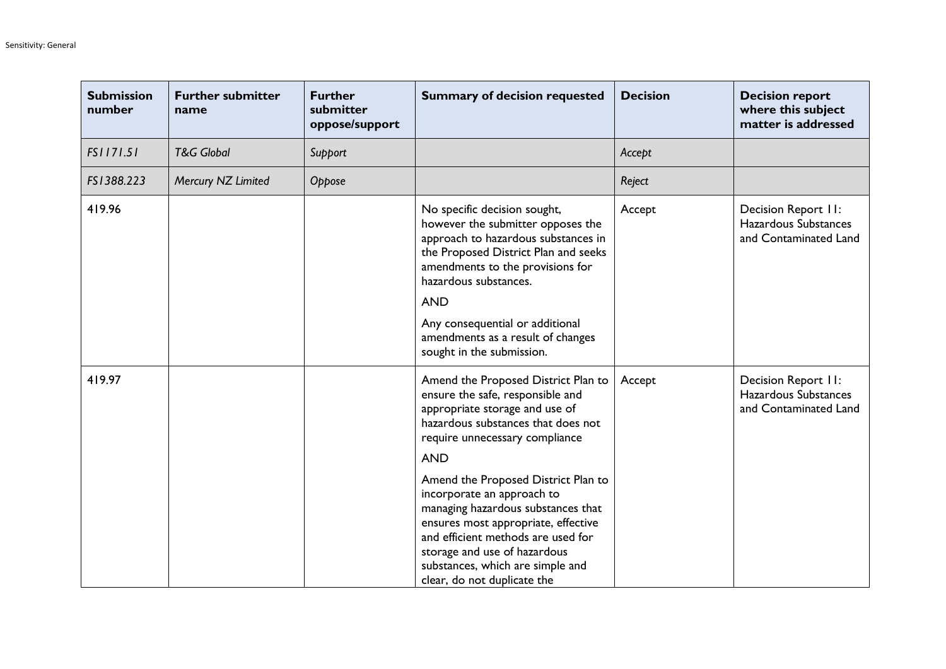| <b>Submission</b><br>number | <b>Further submitter</b><br>name | <b>Further</b><br>submitter<br>oppose/support | <b>Summary of decision requested</b>                                                                                                                                                                                                                                                                                                                                                                                                                                                       | <b>Decision</b> | <b>Decision report</b><br>where this subject<br>matter is addressed  |
|-----------------------------|----------------------------------|-----------------------------------------------|--------------------------------------------------------------------------------------------------------------------------------------------------------------------------------------------------------------------------------------------------------------------------------------------------------------------------------------------------------------------------------------------------------------------------------------------------------------------------------------------|-----------------|----------------------------------------------------------------------|
| FS1171.51                   | <b>T&amp;G Global</b>            | Support                                       |                                                                                                                                                                                                                                                                                                                                                                                                                                                                                            | Accept          |                                                                      |
| FS1388.223                  | Mercury NZ Limited               | Oppose                                        |                                                                                                                                                                                                                                                                                                                                                                                                                                                                                            | Reject          |                                                                      |
| 419.96                      |                                  |                                               | No specific decision sought,<br>however the submitter opposes the<br>approach to hazardous substances in<br>the Proposed District Plan and seeks<br>amendments to the provisions for<br>hazardous substances.<br><b>AND</b><br>Any consequential or additional<br>amendments as a result of changes<br>sought in the submission.                                                                                                                                                           | Accept          | Decision Report II:<br>Hazardous Substances<br>and Contaminated Land |
| 419.97                      |                                  |                                               | Amend the Proposed District Plan to<br>ensure the safe, responsible and<br>appropriate storage and use of<br>hazardous substances that does not<br>require unnecessary compliance<br><b>AND</b><br>Amend the Proposed District Plan to<br>incorporate an approach to<br>managing hazardous substances that<br>ensures most appropriate, effective<br>and efficient methods are used for<br>storage and use of hazardous<br>substances, which are simple and<br>clear, do not duplicate the | Accept          | Decision Report II:<br>Hazardous Substances<br>and Contaminated Land |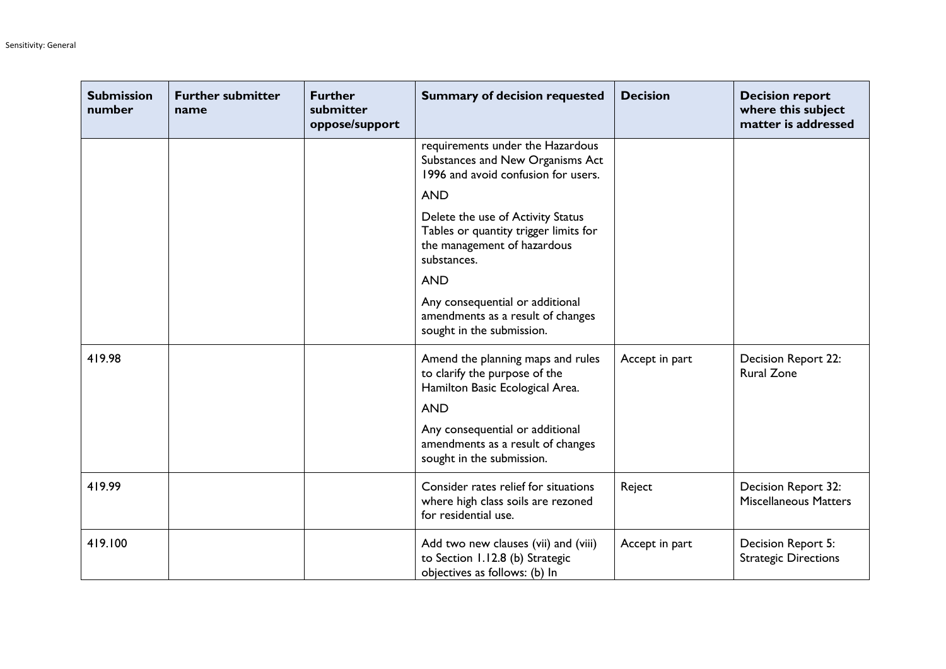| <b>Submission</b><br>number | <b>Further submitter</b><br>name | <b>Further</b><br>submitter<br>oppose/support | <b>Summary of decision requested</b>                                                                                     | <b>Decision</b> | <b>Decision report</b><br>where this subject<br>matter is addressed |
|-----------------------------|----------------------------------|-----------------------------------------------|--------------------------------------------------------------------------------------------------------------------------|-----------------|---------------------------------------------------------------------|
|                             |                                  |                                               | requirements under the Hazardous<br>Substances and New Organisms Act<br>1996 and avoid confusion for users.              |                 |                                                                     |
|                             |                                  |                                               | <b>AND</b>                                                                                                               |                 |                                                                     |
|                             |                                  |                                               | Delete the use of Activity Status<br>Tables or quantity trigger limits for<br>the management of hazardous<br>substances. |                 |                                                                     |
|                             |                                  |                                               | <b>AND</b>                                                                                                               |                 |                                                                     |
|                             |                                  |                                               | Any consequential or additional<br>amendments as a result of changes<br>sought in the submission.                        |                 |                                                                     |
| 419.98                      |                                  |                                               | Amend the planning maps and rules<br>to clarify the purpose of the<br>Hamilton Basic Ecological Area.                    | Accept in part  | Decision Report 22:<br><b>Rural Zone</b>                            |
|                             |                                  |                                               | <b>AND</b>                                                                                                               |                 |                                                                     |
|                             |                                  |                                               | Any consequential or additional<br>amendments as a result of changes<br>sought in the submission.                        |                 |                                                                     |
| 419.99                      |                                  |                                               | Consider rates relief for situations<br>where high class soils are rezoned<br>for residential use.                       | Reject          | Decision Report 32:<br><b>Miscellaneous Matters</b>                 |
| 419.100                     |                                  |                                               | Add two new clauses (vii) and (viii)<br>to Section 1.12.8 (b) Strategic<br>objectives as follows: (b) In                 | Accept in part  | Decision Report 5:<br><b>Strategic Directions</b>                   |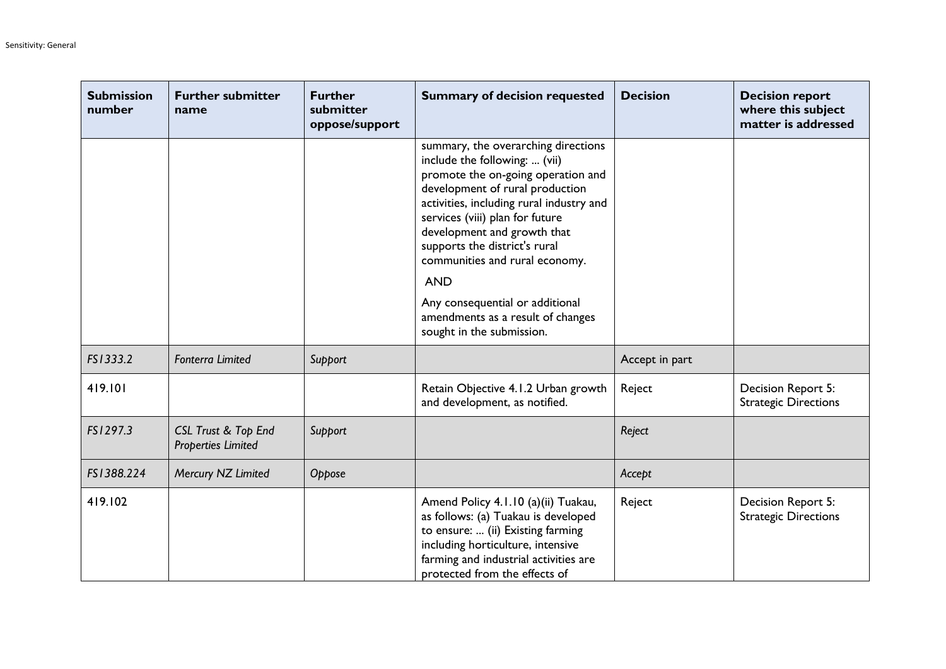| <b>Submission</b><br>number | <b>Further submitter</b><br>name                            | <b>Further</b><br>submitter<br>oppose/support | <b>Summary of decision requested</b>                                                                                                                                                                                                                                                                                                                                                                                 | <b>Decision</b> | <b>Decision report</b><br>where this subject<br>matter is addressed |
|-----------------------------|-------------------------------------------------------------|-----------------------------------------------|----------------------------------------------------------------------------------------------------------------------------------------------------------------------------------------------------------------------------------------------------------------------------------------------------------------------------------------------------------------------------------------------------------------------|-----------------|---------------------------------------------------------------------|
|                             |                                                             |                                               | summary, the overarching directions<br>include the following:  (vii)<br>promote the on-going operation and<br>development of rural production<br>activities, including rural industry and<br>services (viii) plan for future<br>development and growth that<br>supports the district's rural<br>communities and rural economy.<br><b>AND</b><br>Any consequential or additional<br>amendments as a result of changes |                 |                                                                     |
|                             |                                                             |                                               | sought in the submission.                                                                                                                                                                                                                                                                                                                                                                                            |                 |                                                                     |
| FS1333.2                    | <b>Fonterra Limited</b>                                     | Support                                       |                                                                                                                                                                                                                                                                                                                                                                                                                      | Accept in part  |                                                                     |
| 419.101                     |                                                             |                                               | Retain Objective 4.1.2 Urban growth<br>and development, as notified.                                                                                                                                                                                                                                                                                                                                                 | Reject          | Decision Report 5:<br><b>Strategic Directions</b>                   |
| FS1297.3                    | <b>CSL Trust &amp; Top End</b><br><b>Properties Limited</b> | Support                                       |                                                                                                                                                                                                                                                                                                                                                                                                                      | Reject          |                                                                     |
| FS1388.224                  | Mercury NZ Limited                                          | Oppose                                        |                                                                                                                                                                                                                                                                                                                                                                                                                      | Accept          |                                                                     |
| 419.102                     |                                                             |                                               | Amend Policy 4.1.10 (a)(ii) Tuakau,<br>as follows: (a) Tuakau is developed<br>to ensure:  (ii) Existing farming<br>including horticulture, intensive<br>farming and industrial activities are<br>protected from the effects of                                                                                                                                                                                       | Reject          | Decision Report 5:<br><b>Strategic Directions</b>                   |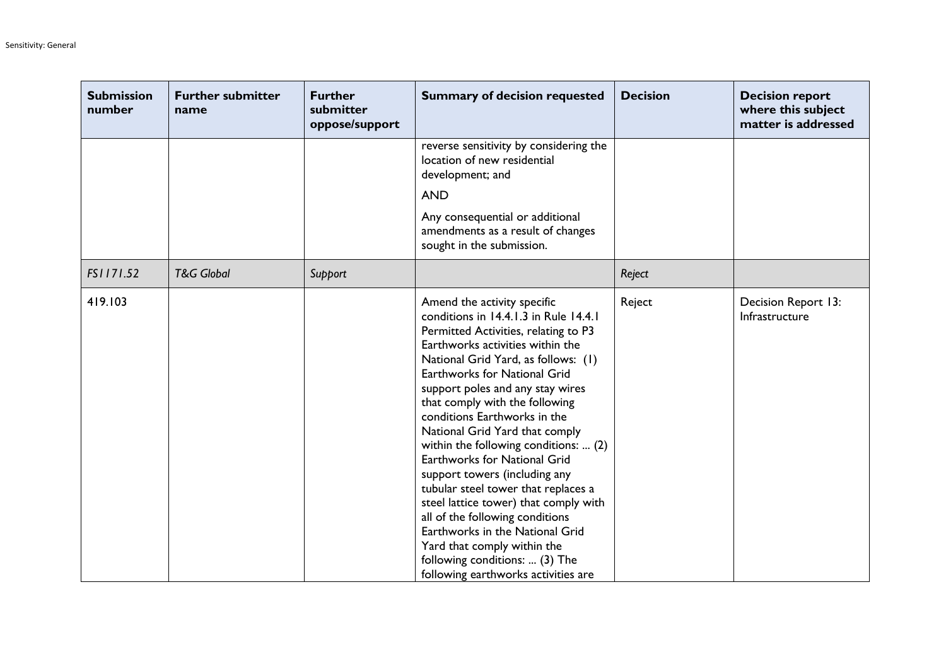| <b>Submission</b><br>number | <b>Further submitter</b><br>name | <b>Further</b><br>submitter<br>oppose/support | <b>Summary of decision requested</b>                                                                                                                                                                                                                                                                                                                                                                                                                                                                                                                                                                                                                                                                                                           | <b>Decision</b> | <b>Decision report</b><br>where this subject<br>matter is addressed |
|-----------------------------|----------------------------------|-----------------------------------------------|------------------------------------------------------------------------------------------------------------------------------------------------------------------------------------------------------------------------------------------------------------------------------------------------------------------------------------------------------------------------------------------------------------------------------------------------------------------------------------------------------------------------------------------------------------------------------------------------------------------------------------------------------------------------------------------------------------------------------------------------|-----------------|---------------------------------------------------------------------|
|                             |                                  |                                               | reverse sensitivity by considering the<br>location of new residential<br>development; and<br><b>AND</b>                                                                                                                                                                                                                                                                                                                                                                                                                                                                                                                                                                                                                                        |                 |                                                                     |
|                             |                                  |                                               | Any consequential or additional<br>amendments as a result of changes<br>sought in the submission.                                                                                                                                                                                                                                                                                                                                                                                                                                                                                                                                                                                                                                              |                 |                                                                     |
| FS1171.52                   | <b>T&amp;G Global</b>            | Support                                       |                                                                                                                                                                                                                                                                                                                                                                                                                                                                                                                                                                                                                                                                                                                                                | Reject          |                                                                     |
| 419.103                     |                                  |                                               | Amend the activity specific<br>conditions in 14.4.1.3 in Rule 14.4.1<br>Permitted Activities, relating to P3<br>Earthworks activities within the<br>National Grid Yard, as follows: (1)<br><b>Earthworks for National Grid</b><br>support poles and any stay wires<br>that comply with the following<br>conditions Earthworks in the<br>National Grid Yard that comply<br>within the following conditions:  (2)<br>Earthworks for National Grid<br>support towers (including any<br>tubular steel tower that replaces a<br>steel lattice tower) that comply with<br>all of the following conditions<br>Earthworks in the National Grid<br>Yard that comply within the<br>following conditions:  (3) The<br>following earthworks activities are | Reject          | Decision Report 13:<br>Infrastructure                               |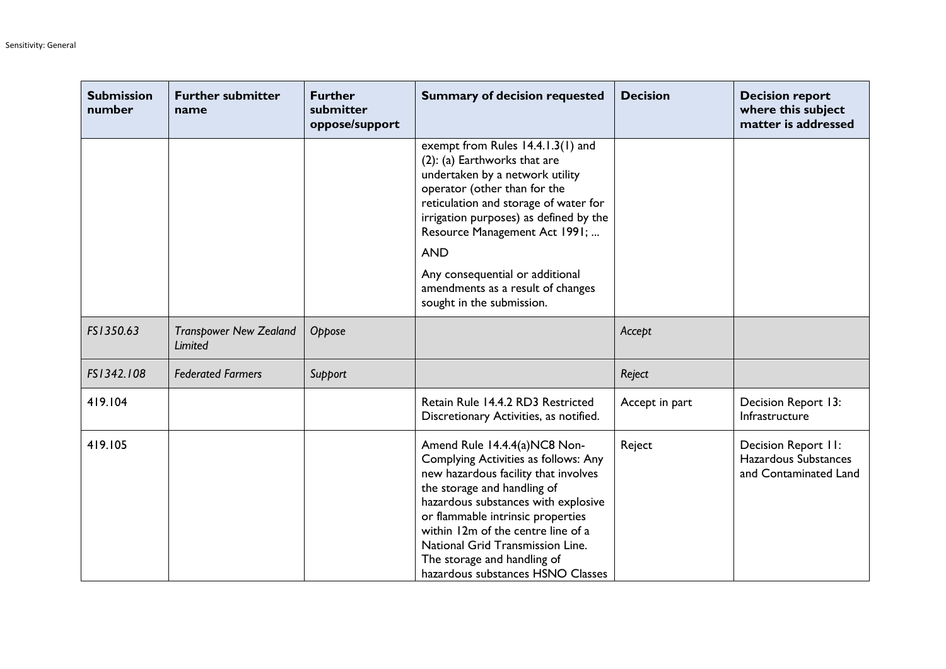| <b>Submission</b><br>number | <b>Further submitter</b><br>name         | <b>Further</b><br>submitter<br>oppose/support | <b>Summary of decision requested</b>                                                                                                                                                                                                                                                                                                                                  | <b>Decision</b> | <b>Decision report</b><br>where this subject<br>matter is addressed  |
|-----------------------------|------------------------------------------|-----------------------------------------------|-----------------------------------------------------------------------------------------------------------------------------------------------------------------------------------------------------------------------------------------------------------------------------------------------------------------------------------------------------------------------|-----------------|----------------------------------------------------------------------|
|                             |                                          |                                               | exempt from Rules 14.4.1.3(1) and<br>(2): (a) Earthworks that are<br>undertaken by a network utility<br>operator (other than for the<br>reticulation and storage of water for<br>irrigation purposes) as defined by the<br>Resource Management Act 1991;<br><b>AND</b>                                                                                                |                 |                                                                      |
|                             |                                          |                                               | Any consequential or additional<br>amendments as a result of changes<br>sought in the submission.                                                                                                                                                                                                                                                                     |                 |                                                                      |
| FS1350.63                   | <b>Transpower New Zealand</b><br>Limited | Oppose                                        |                                                                                                                                                                                                                                                                                                                                                                       | Accept          |                                                                      |
| FS1342.108                  | <b>Federated Farmers</b>                 | Support                                       |                                                                                                                                                                                                                                                                                                                                                                       | Reject          |                                                                      |
| 419.104                     |                                          |                                               | Retain Rule 14.4.2 RD3 Restricted<br>Discretionary Activities, as notified.                                                                                                                                                                                                                                                                                           | Accept in part  | Decision Report 13:<br>Infrastructure                                |
| 419.105                     |                                          |                                               | Amend Rule 14.4.4(a)NC8 Non-<br>Complying Activities as follows: Any<br>new hazardous facility that involves<br>the storage and handling of<br>hazardous substances with explosive<br>or flammable intrinsic properties<br>within 12m of the centre line of a<br>National Grid Transmission Line.<br>The storage and handling of<br>hazardous substances HSNO Classes | Reject          | Decision Report II:<br>Hazardous Substances<br>and Contaminated Land |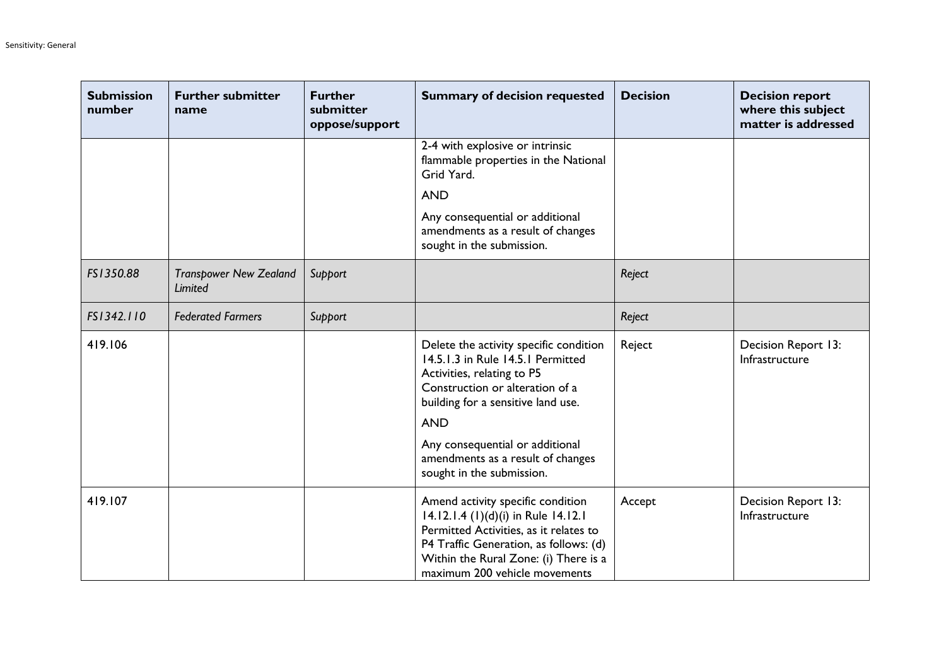| <b>Submission</b><br>number | <b>Further submitter</b><br>name                | <b>Further</b><br>submitter<br>oppose/support | <b>Summary of decision requested</b>                                                                                                                                                                                                   | <b>Decision</b> | <b>Decision report</b><br>where this subject<br>matter is addressed |
|-----------------------------|-------------------------------------------------|-----------------------------------------------|----------------------------------------------------------------------------------------------------------------------------------------------------------------------------------------------------------------------------------------|-----------------|---------------------------------------------------------------------|
|                             |                                                 |                                               | 2-4 with explosive or intrinsic<br>flammable properties in the National<br>Grid Yard.                                                                                                                                                  |                 |                                                                     |
|                             |                                                 |                                               | <b>AND</b>                                                                                                                                                                                                                             |                 |                                                                     |
|                             |                                                 |                                               | Any consequential or additional<br>amendments as a result of changes<br>sought in the submission.                                                                                                                                      |                 |                                                                     |
| FS1350.88                   | <b>Transpower New Zealand</b><br><b>Limited</b> | Support                                       |                                                                                                                                                                                                                                        | Reject          |                                                                     |
| FS1342.110                  | <b>Federated Farmers</b>                        | Support                                       |                                                                                                                                                                                                                                        | Reject          |                                                                     |
| 419.106                     |                                                 |                                               | Delete the activity specific condition<br>14.5.1.3 in Rule 14.5.1 Permitted<br>Activities, relating to P5<br>Construction or alteration of a<br>building for a sensitive land use.<br><b>AND</b>                                       | Reject          | Decision Report 13:<br>Infrastructure                               |
|                             |                                                 |                                               | Any consequential or additional<br>amendments as a result of changes<br>sought in the submission.                                                                                                                                      |                 |                                                                     |
| 419.107                     |                                                 |                                               | Amend activity specific condition<br>14.12.1.4 (1)(d)(i) in Rule 14.12.1<br>Permitted Activities, as it relates to<br>P4 Traffic Generation, as follows: (d)<br>Within the Rural Zone: (i) There is a<br>maximum 200 vehicle movements | Accept          | Decision Report 13:<br>Infrastructure                               |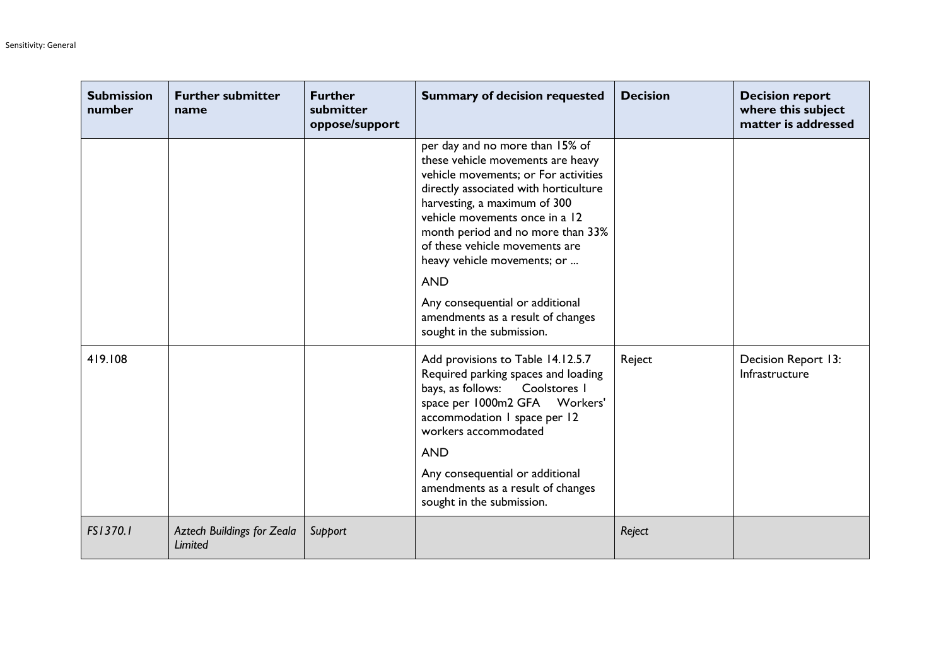| <b>Submission</b><br>number | <b>Further submitter</b><br>name             | <b>Further</b><br>submitter<br>oppose/support | <b>Summary of decision requested</b>                                                                                                                                                                                                                                                                                                                                                                                                             | <b>Decision</b> | <b>Decision report</b><br>where this subject<br>matter is addressed |
|-----------------------------|----------------------------------------------|-----------------------------------------------|--------------------------------------------------------------------------------------------------------------------------------------------------------------------------------------------------------------------------------------------------------------------------------------------------------------------------------------------------------------------------------------------------------------------------------------------------|-----------------|---------------------------------------------------------------------|
|                             |                                              |                                               | per day and no more than 15% of<br>these vehicle movements are heavy<br>vehicle movements; or For activities<br>directly associated with horticulture<br>harvesting, a maximum of 300<br>vehicle movements once in a 12<br>month period and no more than 33%<br>of these vehicle movements are<br>heavy vehicle movements; or<br><b>AND</b><br>Any consequential or additional<br>amendments as a result of changes<br>sought in the submission. |                 |                                                                     |
| 419.108                     |                                              |                                               | Add provisions to Table 14.12.5.7<br>Required parking spaces and loading<br>bays, as follows:<br>Coolstores I<br>space per 1000m2 GFA Workers'<br>accommodation I space per 12<br>workers accommodated<br><b>AND</b><br>Any consequential or additional<br>amendments as a result of changes<br>sought in the submission.                                                                                                                        | Reject          | Decision Report 13:<br>Infrastructure                               |
| FS1370.1                    | <b>Aztech Buildings for Zeala</b><br>Limited | Support                                       |                                                                                                                                                                                                                                                                                                                                                                                                                                                  | Reject          |                                                                     |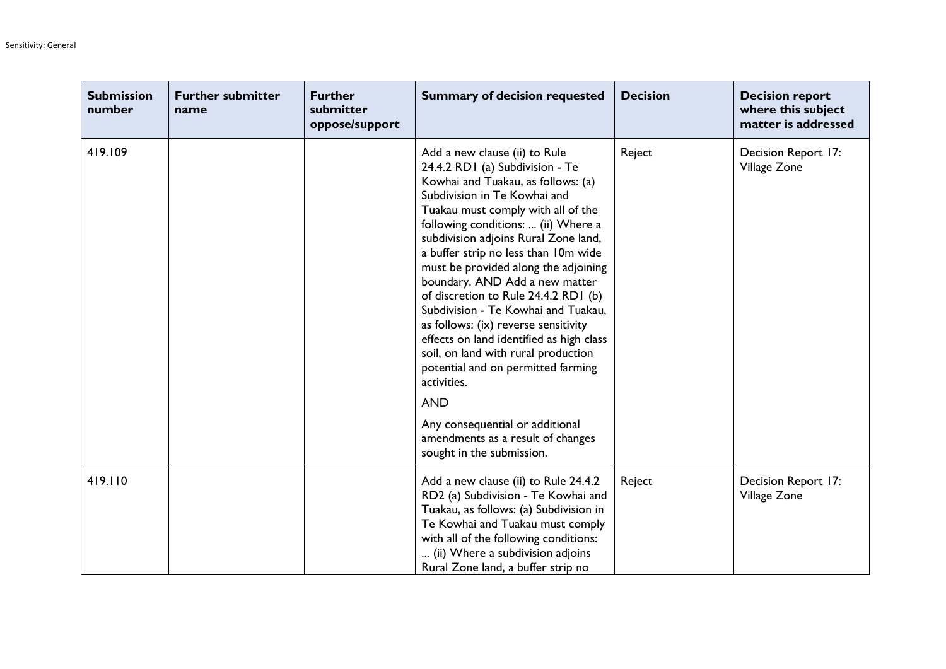| <b>Submission</b><br>number | <b>Further submitter</b><br>name | <b>Further</b><br>submitter<br>oppose/support | <b>Summary of decision requested</b>                                                                                                                                                                                                                                                                                                                                                                                                                                                                                                                                                                                                                                                                                                                            | <b>Decision</b> | <b>Decision report</b><br>where this subject<br>matter is addressed |
|-----------------------------|----------------------------------|-----------------------------------------------|-----------------------------------------------------------------------------------------------------------------------------------------------------------------------------------------------------------------------------------------------------------------------------------------------------------------------------------------------------------------------------------------------------------------------------------------------------------------------------------------------------------------------------------------------------------------------------------------------------------------------------------------------------------------------------------------------------------------------------------------------------------------|-----------------|---------------------------------------------------------------------|
| 419.109                     |                                  |                                               | Add a new clause (ii) to Rule<br>24.4.2 RD1 (a) Subdivision - Te<br>Kowhai and Tuakau, as follows: (a)<br>Subdivision in Te Kowhai and<br>Tuakau must comply with all of the<br>following conditions:  (ii) Where a<br>subdivision adjoins Rural Zone land,<br>a buffer strip no less than 10m wide<br>must be provided along the adjoining<br>boundary. AND Add a new matter<br>of discretion to Rule 24.4.2 RD1 (b)<br>Subdivision - Te Kowhai and Tuakau,<br>as follows: (ix) reverse sensitivity<br>effects on land identified as high class<br>soil, on land with rural production<br>potential and on permitted farming<br>activities.<br><b>AND</b><br>Any consequential or additional<br>amendments as a result of changes<br>sought in the submission. | Reject          | Decision Report 17:<br>Village Zone                                 |
| 419.110                     |                                  |                                               | Add a new clause (ii) to Rule 24.4.2<br>RD2 (a) Subdivision - Te Kowhai and<br>Tuakau, as follows: (a) Subdivision in<br>Te Kowhai and Tuakau must comply<br>with all of the following conditions:<br>(ii) Where a subdivision adjoins<br>Rural Zone land, a buffer strip no                                                                                                                                                                                                                                                                                                                                                                                                                                                                                    | Reject          | Decision Report 17:<br>Village Zone                                 |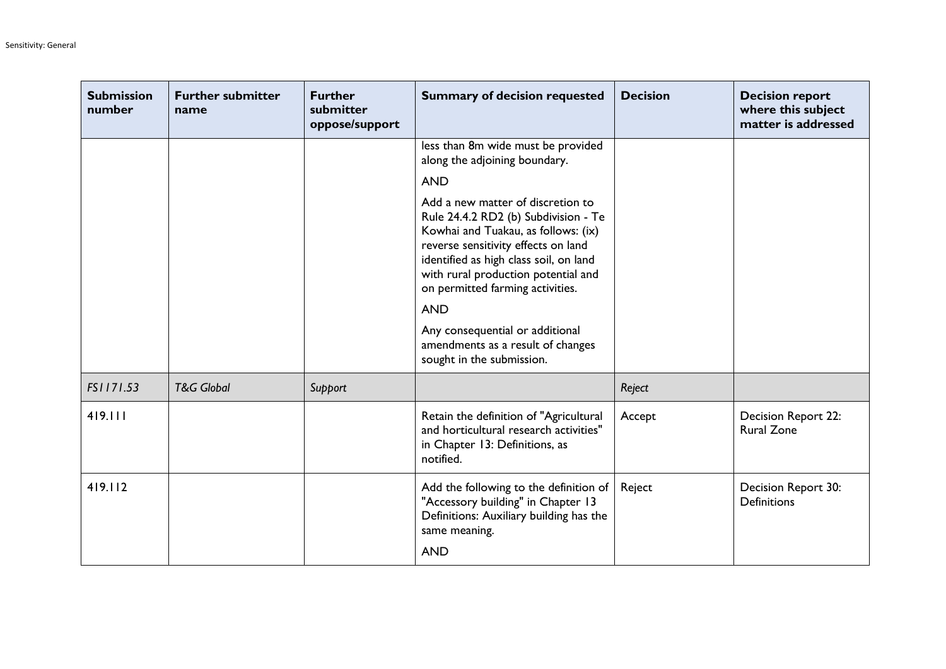| <b>Submission</b><br>number | <b>Further submitter</b><br>name | <b>Further</b><br>submitter<br>oppose/support | <b>Summary of decision requested</b>                                                                                                                                                                                                                                                       | <b>Decision</b> | <b>Decision report</b><br>where this subject<br>matter is addressed |
|-----------------------------|----------------------------------|-----------------------------------------------|--------------------------------------------------------------------------------------------------------------------------------------------------------------------------------------------------------------------------------------------------------------------------------------------|-----------------|---------------------------------------------------------------------|
|                             |                                  |                                               | less than 8m wide must be provided<br>along the adjoining boundary.                                                                                                                                                                                                                        |                 |                                                                     |
|                             |                                  |                                               | <b>AND</b>                                                                                                                                                                                                                                                                                 |                 |                                                                     |
|                             |                                  |                                               | Add a new matter of discretion to<br>Rule 24.4.2 RD2 (b) Subdivision - Te<br>Kowhai and Tuakau, as follows: (ix)<br>reverse sensitivity effects on land<br>identified as high class soil, on land<br>with rural production potential and<br>on permitted farming activities.<br><b>AND</b> |                 |                                                                     |
|                             |                                  |                                               | Any consequential or additional<br>amendments as a result of changes<br>sought in the submission.                                                                                                                                                                                          |                 |                                                                     |
| FS1171.53                   | <b>T&amp;G Global</b>            | Support                                       |                                                                                                                                                                                                                                                                                            | Reject          |                                                                     |
| 419.111                     |                                  |                                               | Retain the definition of "Agricultural<br>and horticultural research activities"<br>in Chapter 13: Definitions, as<br>notified.                                                                                                                                                            | Accept          | Decision Report 22:<br><b>Rural Zone</b>                            |
| 419.112                     |                                  |                                               | Add the following to the definition of<br>"Accessory building" in Chapter 13<br>Definitions: Auxiliary building has the<br>same meaning.<br><b>AND</b>                                                                                                                                     | Reject          | Decision Report 30:<br><b>Definitions</b>                           |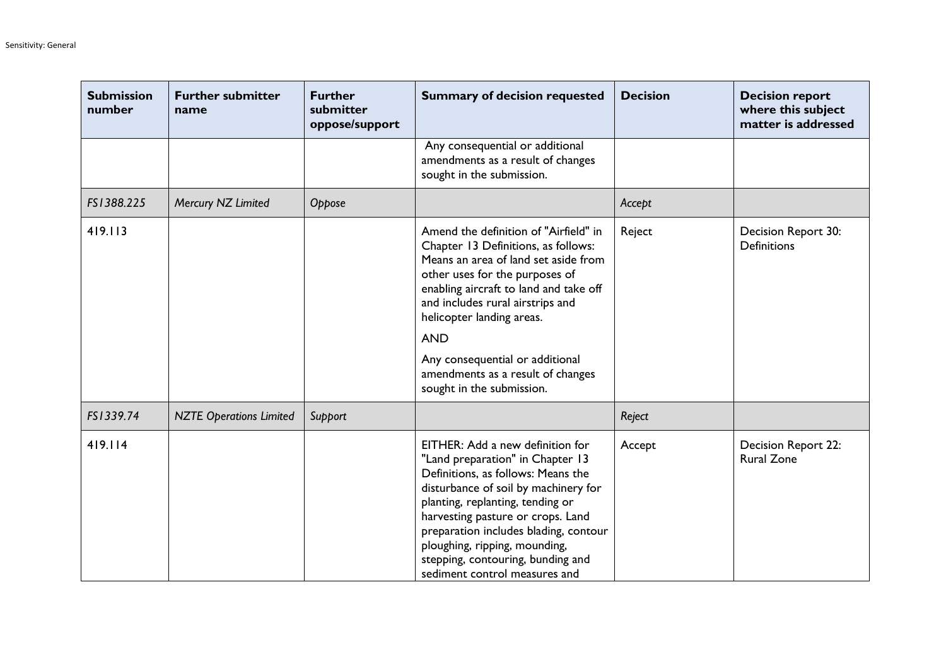| <b>Submission</b><br>number | <b>Further submitter</b><br>name | <b>Further</b><br>submitter<br>oppose/support | <b>Summary of decision requested</b>                                                                                                                                                                                                                                                                                                                                                 | <b>Decision</b> | <b>Decision report</b><br>where this subject<br>matter is addressed |
|-----------------------------|----------------------------------|-----------------------------------------------|--------------------------------------------------------------------------------------------------------------------------------------------------------------------------------------------------------------------------------------------------------------------------------------------------------------------------------------------------------------------------------------|-----------------|---------------------------------------------------------------------|
|                             |                                  |                                               | Any consequential or additional<br>amendments as a result of changes<br>sought in the submission.                                                                                                                                                                                                                                                                                    |                 |                                                                     |
| FS1388.225                  | Mercury NZ Limited               | Oppose                                        |                                                                                                                                                                                                                                                                                                                                                                                      | Accept          |                                                                     |
| 419.113                     |                                  |                                               | Amend the definition of "Airfield" in<br>Chapter 13 Definitions, as follows:<br>Means an area of land set aside from<br>other uses for the purposes of<br>enabling aircraft to land and take off<br>and includes rural airstrips and<br>helicopter landing areas.<br><b>AND</b><br>Any consequential or additional<br>amendments as a result of changes<br>sought in the submission. | Reject          | Decision Report 30:<br><b>Definitions</b>                           |
| FS1339.74                   | <b>NZTE Operations Limited</b>   | Support                                       |                                                                                                                                                                                                                                                                                                                                                                                      | Reject          |                                                                     |
| 419.114                     |                                  |                                               | EITHER: Add a new definition for<br>"Land preparation" in Chapter 13<br>Definitions, as follows: Means the<br>disturbance of soil by machinery for<br>planting, replanting, tending or<br>harvesting pasture or crops. Land<br>preparation includes blading, contour<br>ploughing, ripping, mounding,<br>stepping, contouring, bunding and<br>sediment control measures and          | Accept          | <b>Decision Report 22:</b><br><b>Rural Zone</b>                     |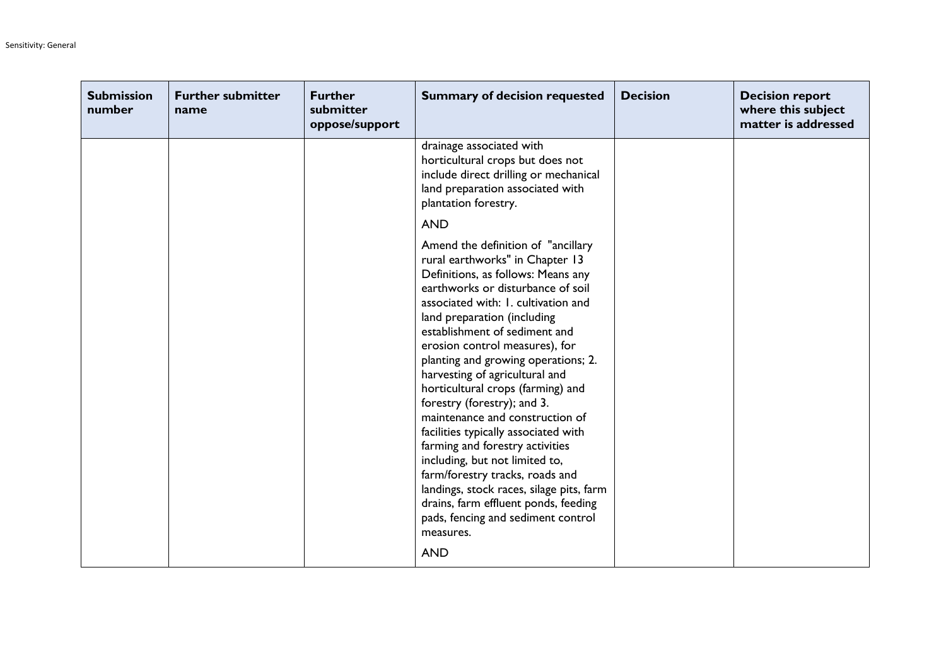| <b>Submission</b><br>number | <b>Further submitter</b><br>name | <b>Further</b><br>submitter<br>oppose/support | <b>Summary of decision requested</b>                                                                                                                                                                                                                                                                                                                                                                                                                                                                                                                                                                                                                                                                                                                                           | <b>Decision</b> | <b>Decision report</b><br>where this subject<br>matter is addressed |
|-----------------------------|----------------------------------|-----------------------------------------------|--------------------------------------------------------------------------------------------------------------------------------------------------------------------------------------------------------------------------------------------------------------------------------------------------------------------------------------------------------------------------------------------------------------------------------------------------------------------------------------------------------------------------------------------------------------------------------------------------------------------------------------------------------------------------------------------------------------------------------------------------------------------------------|-----------------|---------------------------------------------------------------------|
|                             |                                  |                                               | drainage associated with<br>horticultural crops but does not<br>include direct drilling or mechanical<br>land preparation associated with<br>plantation forestry.                                                                                                                                                                                                                                                                                                                                                                                                                                                                                                                                                                                                              |                 |                                                                     |
|                             |                                  |                                               | <b>AND</b>                                                                                                                                                                                                                                                                                                                                                                                                                                                                                                                                                                                                                                                                                                                                                                     |                 |                                                                     |
|                             |                                  |                                               | Amend the definition of "ancillary<br>rural earthworks" in Chapter 13<br>Definitions, as follows: Means any<br>earthworks or disturbance of soil<br>associated with: I. cultivation and<br>land preparation (including<br>establishment of sediment and<br>erosion control measures), for<br>planting and growing operations; 2.<br>harvesting of agricultural and<br>horticultural crops (farming) and<br>forestry (forestry); and 3.<br>maintenance and construction of<br>facilities typically associated with<br>farming and forestry activities<br>including, but not limited to,<br>farm/forestry tracks, roads and<br>landings, stock races, silage pits, farm<br>drains, farm effluent ponds, feeding<br>pads, fencing and sediment control<br>measures.<br><b>AND</b> |                 |                                                                     |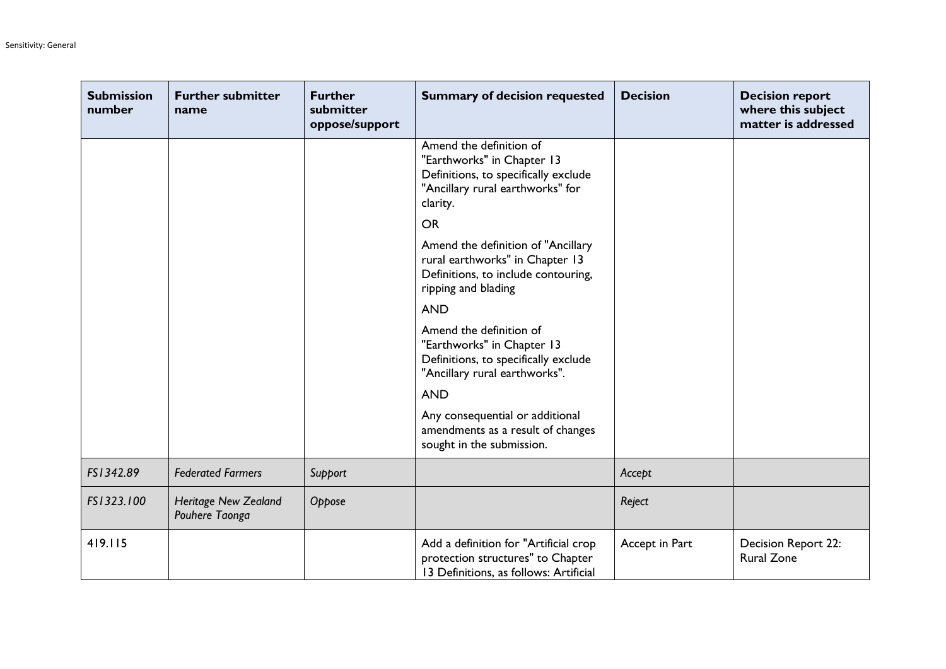| <b>Submission</b><br>number | <b>Further submitter</b><br>name              | <b>Further</b><br>submitter<br>oppose/support | <b>Summary of decision requested</b>                                                                                                          | <b>Decision</b> | <b>Decision report</b><br>where this subject<br>matter is addressed |
|-----------------------------|-----------------------------------------------|-----------------------------------------------|-----------------------------------------------------------------------------------------------------------------------------------------------|-----------------|---------------------------------------------------------------------|
|                             |                                               |                                               | Amend the definition of<br>"Earthworks" in Chapter 13<br>Definitions, to specifically exclude<br>"Ancillary rural earthworks" for<br>clarity. |                 |                                                                     |
|                             |                                               |                                               | <b>OR</b>                                                                                                                                     |                 |                                                                     |
|                             |                                               |                                               | Amend the definition of "Ancillary<br>rural earthworks" in Chapter 13<br>Definitions, to include contouring,<br>ripping and blading           |                 |                                                                     |
|                             |                                               |                                               | <b>AND</b>                                                                                                                                    |                 |                                                                     |
|                             |                                               |                                               | Amend the definition of<br>"Earthworks" in Chapter 13<br>Definitions, to specifically exclude<br>"Ancillary rural earthworks".                |                 |                                                                     |
|                             |                                               |                                               | <b>AND</b>                                                                                                                                    |                 |                                                                     |
|                             |                                               |                                               | Any consequential or additional<br>amendments as a result of changes<br>sought in the submission.                                             |                 |                                                                     |
| FS1342.89                   | <b>Federated Farmers</b>                      | Support                                       |                                                                                                                                               | Accept          |                                                                     |
| FS1323.100                  | <b>Heritage New Zealand</b><br>Pouhere Taonga | Oppose                                        |                                                                                                                                               | Reject          |                                                                     |
| 419.115                     |                                               |                                               | Add a definition for "Artificial crop<br>protection structures" to Chapter<br>13 Definitions, as follows: Artificial                          | Accept in Part  | Decision Report 22:<br><b>Rural Zone</b>                            |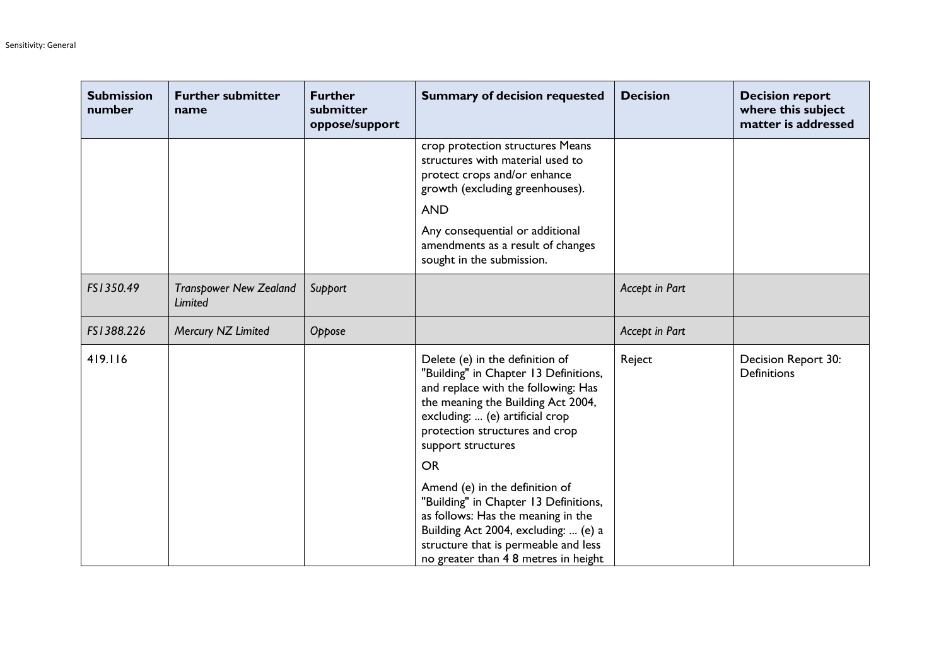| <b>Submission</b><br>number | <b>Further submitter</b><br>name         | <b>Further</b><br>submitter<br>oppose/support | <b>Summary of decision requested</b>                                                                                                                                                                                                                                                            | <b>Decision</b> | <b>Decision report</b><br>where this subject<br>matter is addressed |
|-----------------------------|------------------------------------------|-----------------------------------------------|-------------------------------------------------------------------------------------------------------------------------------------------------------------------------------------------------------------------------------------------------------------------------------------------------|-----------------|---------------------------------------------------------------------|
|                             |                                          |                                               | crop protection structures Means<br>structures with material used to<br>protect crops and/or enhance<br>growth (excluding greenhouses).<br><b>AND</b><br>Any consequential or additional<br>amendments as a result of changes<br>sought in the submission.                                      |                 |                                                                     |
| FS1350.49                   | <b>Transpower New Zealand</b><br>Limited | Support                                       |                                                                                                                                                                                                                                                                                                 | Accept in Part  |                                                                     |
| FS1388.226                  | Mercury NZ Limited                       | Oppose                                        |                                                                                                                                                                                                                                                                                                 | Accept in Part  |                                                                     |
| 419.116                     |                                          |                                               | Delete (e) in the definition of<br>"Building" in Chapter 13 Definitions,<br>and replace with the following: Has<br>the meaning the Building Act 2004,<br>excluding:  (e) artificial crop<br>protection structures and crop<br>support structures<br><b>OR</b><br>Amend (e) in the definition of | Reject          | Decision Report 30:<br><b>Definitions</b>                           |
|                             |                                          |                                               | "Building" in Chapter 13 Definitions,<br>as follows: Has the meaning in the<br>Building Act 2004, excluding:  (e) a<br>structure that is permeable and less<br>no greater than 4 8 metres in height                                                                                             |                 |                                                                     |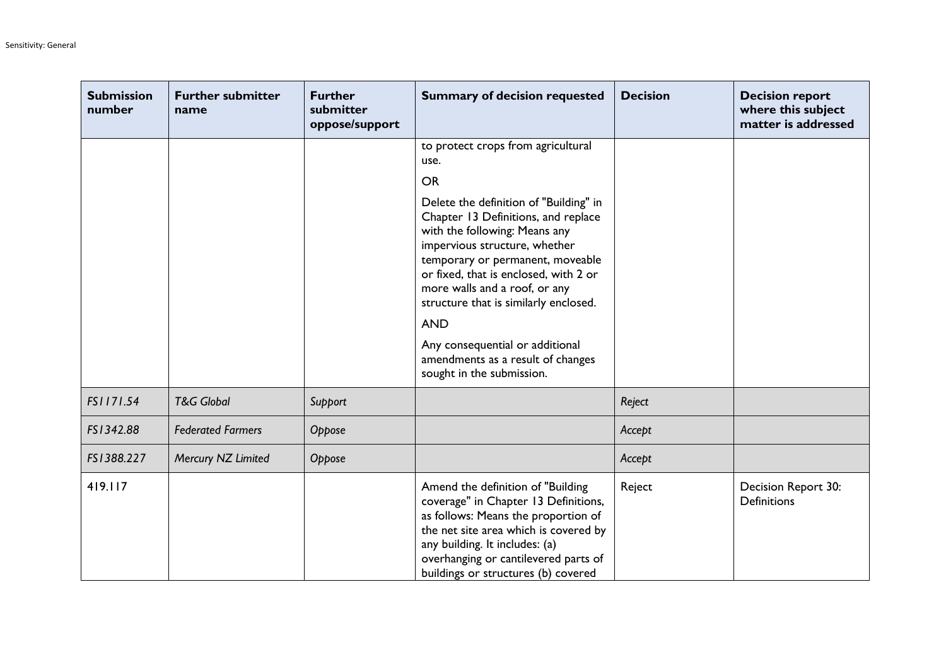| <b>Submission</b><br>number | <b>Further submitter</b><br>name | <b>Further</b><br>submitter<br>oppose/support | <b>Summary of decision requested</b>                                                                                                                                                                                                                                                                                                                                                                                      | <b>Decision</b> | <b>Decision report</b><br>where this subject<br>matter is addressed |
|-----------------------------|----------------------------------|-----------------------------------------------|---------------------------------------------------------------------------------------------------------------------------------------------------------------------------------------------------------------------------------------------------------------------------------------------------------------------------------------------------------------------------------------------------------------------------|-----------------|---------------------------------------------------------------------|
|                             |                                  |                                               | to protect crops from agricultural<br>use.                                                                                                                                                                                                                                                                                                                                                                                |                 |                                                                     |
|                             |                                  |                                               | <b>OR</b>                                                                                                                                                                                                                                                                                                                                                                                                                 |                 |                                                                     |
|                             |                                  |                                               | Delete the definition of "Building" in<br>Chapter 13 Definitions, and replace<br>with the following: Means any<br>impervious structure, whether<br>temporary or permanent, moveable<br>or fixed, that is enclosed, with 2 or<br>more walls and a roof, or any<br>structure that is similarly enclosed.<br><b>AND</b><br>Any consequential or additional<br>amendments as a result of changes<br>sought in the submission. |                 |                                                                     |
| FS1171.54                   | <b>T&amp;G Global</b>            | Support                                       |                                                                                                                                                                                                                                                                                                                                                                                                                           | Reject          |                                                                     |
| FS1342.88                   | <b>Federated Farmers</b>         | Oppose                                        |                                                                                                                                                                                                                                                                                                                                                                                                                           | Accept          |                                                                     |
| FS1388.227                  | Mercury NZ Limited               | Oppose                                        |                                                                                                                                                                                                                                                                                                                                                                                                                           | Accept          |                                                                     |
| 419.117                     |                                  |                                               | Amend the definition of "Building<br>coverage" in Chapter 13 Definitions,<br>as follows: Means the proportion of<br>the net site area which is covered by<br>any building. It includes: (a)<br>overhanging or cantilevered parts of<br>buildings or structures (b) covered                                                                                                                                                | Reject          | Decision Report 30:<br><b>Definitions</b>                           |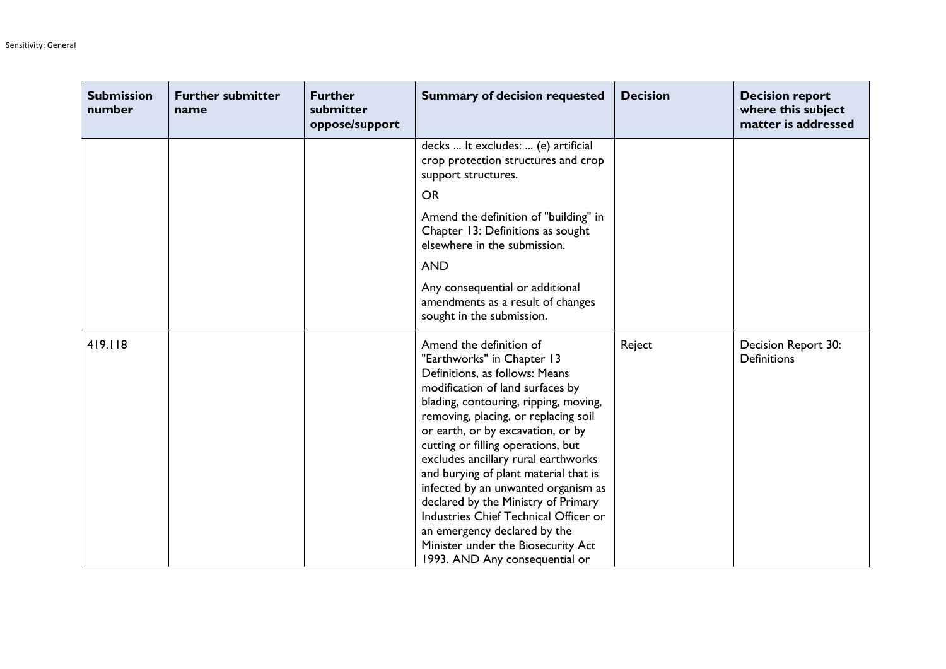| <b>Submission</b><br>number | <b>Further submitter</b><br>name | <b>Further</b><br>submitter<br>oppose/support | <b>Summary of decision requested</b>                                                                                                                                                                                                                                                                                                                                                                                                                                                                                                                                                                   | <b>Decision</b> | <b>Decision report</b><br>where this subject<br>matter is addressed |
|-----------------------------|----------------------------------|-----------------------------------------------|--------------------------------------------------------------------------------------------------------------------------------------------------------------------------------------------------------------------------------------------------------------------------------------------------------------------------------------------------------------------------------------------------------------------------------------------------------------------------------------------------------------------------------------------------------------------------------------------------------|-----------------|---------------------------------------------------------------------|
|                             |                                  |                                               | decks  It excludes:  (e) artificial<br>crop protection structures and crop<br>support structures.<br><b>OR</b><br>Amend the definition of "building" in<br>Chapter 13: Definitions as sought<br>elsewhere in the submission.<br><b>AND</b><br>Any consequential or additional<br>amendments as a result of changes<br>sought in the submission.                                                                                                                                                                                                                                                        |                 |                                                                     |
| 419.118                     |                                  |                                               | Amend the definition of<br>"Earthworks" in Chapter 13<br>Definitions, as follows: Means<br>modification of land surfaces by<br>blading, contouring, ripping, moving,<br>removing, placing, or replacing soil<br>or earth, or by excavation, or by<br>cutting or filling operations, but<br>excludes ancillary rural earthworks<br>and burying of plant material that is<br>infected by an unwanted organism as<br>declared by the Ministry of Primary<br>Industries Chief Technical Officer or<br>an emergency declared by the<br>Minister under the Biosecurity Act<br>1993. AND Any consequential or | Reject          | Decision Report 30:<br><b>Definitions</b>                           |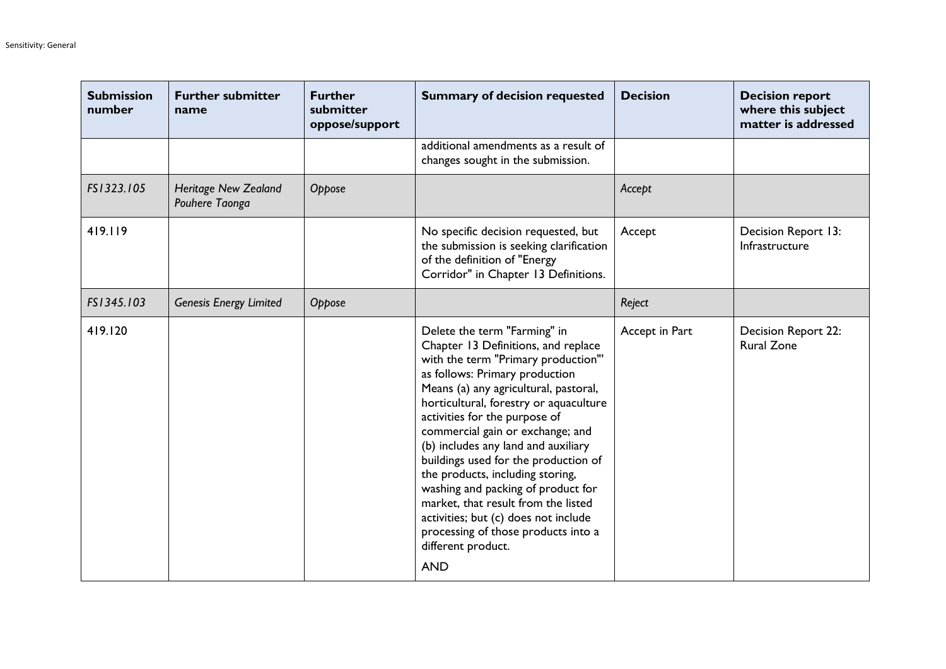| <b>Submission</b><br>number | <b>Further submitter</b><br>name              | <b>Further</b><br>submitter<br>oppose/support | <b>Summary of decision requested</b>                                                                                                                                                                                                                                                                                                                                                                                                                                                                                                                                                                                    | <b>Decision</b> | <b>Decision report</b><br>where this subject<br>matter is addressed |
|-----------------------------|-----------------------------------------------|-----------------------------------------------|-------------------------------------------------------------------------------------------------------------------------------------------------------------------------------------------------------------------------------------------------------------------------------------------------------------------------------------------------------------------------------------------------------------------------------------------------------------------------------------------------------------------------------------------------------------------------------------------------------------------------|-----------------|---------------------------------------------------------------------|
|                             |                                               |                                               | additional amendments as a result of<br>changes sought in the submission.                                                                                                                                                                                                                                                                                                                                                                                                                                                                                                                                               |                 |                                                                     |
| FS1323.105                  | <b>Heritage New Zealand</b><br>Pouhere Taonga | Oppose                                        |                                                                                                                                                                                                                                                                                                                                                                                                                                                                                                                                                                                                                         | Accept          |                                                                     |
| 419.119                     |                                               |                                               | No specific decision requested, but<br>the submission is seeking clarification<br>of the definition of "Energy<br>Corridor" in Chapter 13 Definitions.                                                                                                                                                                                                                                                                                                                                                                                                                                                                  | Accept          | Decision Report 13:<br>Infrastructure                               |
| FS1345.103                  | <b>Genesis Energy Limited</b>                 | Oppose                                        |                                                                                                                                                                                                                                                                                                                                                                                                                                                                                                                                                                                                                         | Reject          |                                                                     |
| 419.120                     |                                               |                                               | Delete the term "Farming" in<br>Chapter 13 Definitions, and replace<br>with the term "Primary production"'<br>as follows: Primary production<br>Means (a) any agricultural, pastoral,<br>horticultural, forestry or aquaculture<br>activities for the purpose of<br>commercial gain or exchange; and<br>(b) includes any land and auxiliary<br>buildings used for the production of<br>the products, including storing,<br>washing and packing of product for<br>market, that result from the listed<br>activities; but (c) does not include<br>processing of those products into a<br>different product.<br><b>AND</b> | Accept in Part  | <b>Decision Report 22:</b><br><b>Rural Zone</b>                     |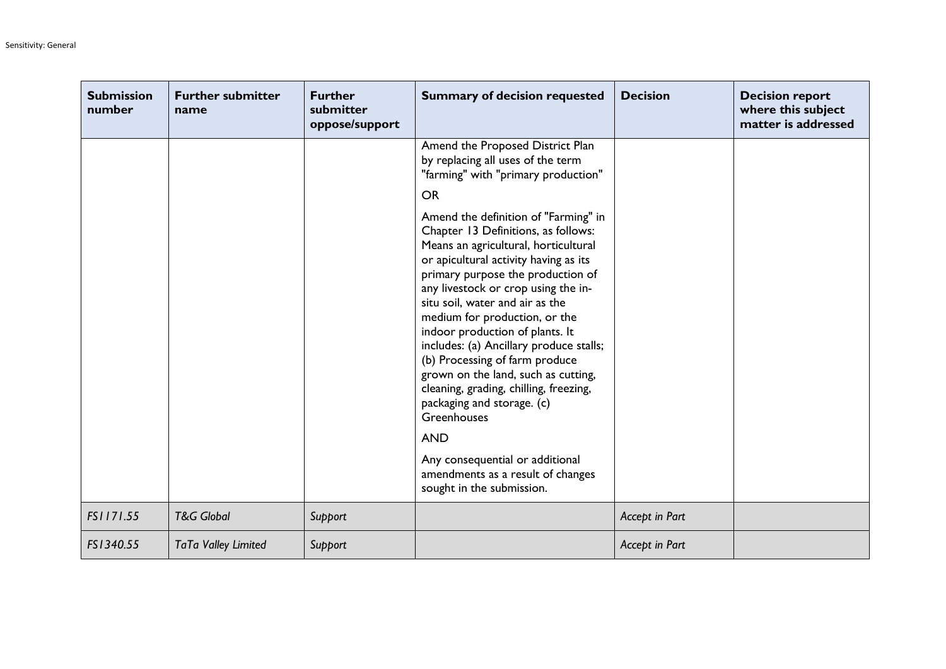| <b>Submission</b><br>number | <b>Further submitter</b><br>name | <b>Further</b><br>submitter<br>oppose/support | <b>Summary of decision requested</b>                                                                                                                                                                                                                                                                                                                                                                                                                                                                                                                       | <b>Decision</b> | <b>Decision report</b><br>where this subject<br>matter is addressed |
|-----------------------------|----------------------------------|-----------------------------------------------|------------------------------------------------------------------------------------------------------------------------------------------------------------------------------------------------------------------------------------------------------------------------------------------------------------------------------------------------------------------------------------------------------------------------------------------------------------------------------------------------------------------------------------------------------------|-----------------|---------------------------------------------------------------------|
|                             |                                  |                                               | Amend the Proposed District Plan<br>by replacing all uses of the term<br>"farming" with "primary production"                                                                                                                                                                                                                                                                                                                                                                                                                                               |                 |                                                                     |
|                             |                                  |                                               | <b>OR</b>                                                                                                                                                                                                                                                                                                                                                                                                                                                                                                                                                  |                 |                                                                     |
|                             |                                  |                                               | Amend the definition of "Farming" in<br>Chapter 13 Definitions, as follows:<br>Means an agricultural, horticultural<br>or apicultural activity having as its<br>primary purpose the production of<br>any livestock or crop using the in-<br>situ soil, water and air as the<br>medium for production, or the<br>indoor production of plants. It<br>includes: (a) Ancillary produce stalls;<br>(b) Processing of farm produce<br>grown on the land, such as cutting,<br>cleaning, grading, chilling, freezing,<br>packaging and storage. (c)<br>Greenhouses |                 |                                                                     |
|                             |                                  |                                               | <b>AND</b>                                                                                                                                                                                                                                                                                                                                                                                                                                                                                                                                                 |                 |                                                                     |
|                             |                                  |                                               | Any consequential or additional<br>amendments as a result of changes<br>sought in the submission.                                                                                                                                                                                                                                                                                                                                                                                                                                                          |                 |                                                                     |
| FS1171.55                   | <b>T&amp;G Global</b>            | Support                                       |                                                                                                                                                                                                                                                                                                                                                                                                                                                                                                                                                            | Accept in Part  |                                                                     |
| FS1340.55                   | <b>TaTa Valley Limited</b>       | Support                                       |                                                                                                                                                                                                                                                                                                                                                                                                                                                                                                                                                            | Accept in Part  |                                                                     |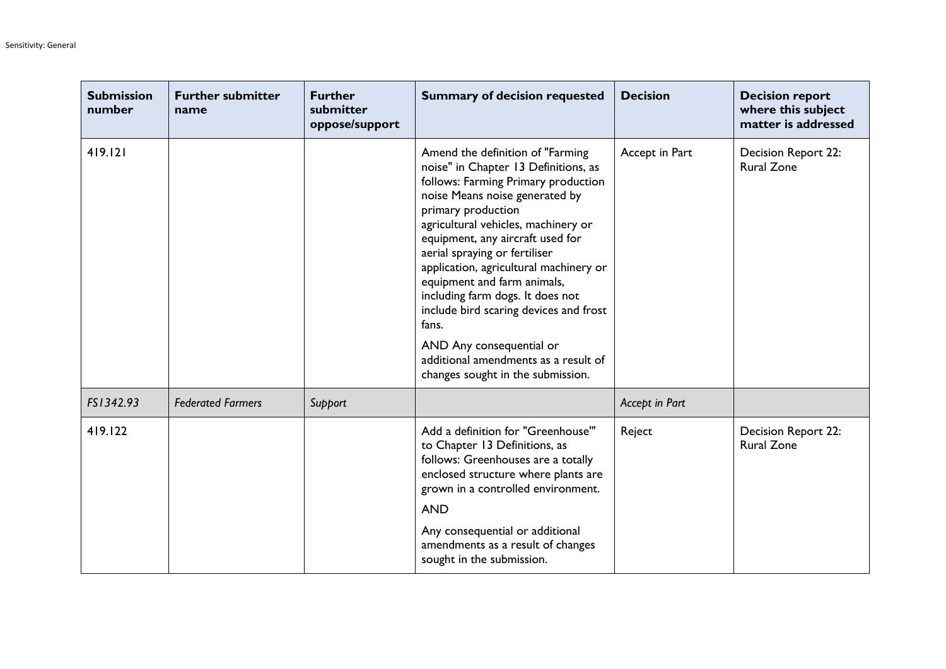| <b>Submission</b><br>number | <b>Further submitter</b><br>name | <b>Further</b><br>submitter<br>oppose/support | <b>Summary of decision requested</b>                                                                                                                                                                                                                                                                                                                                                                                                                                                                                                                          | <b>Decision</b> | <b>Decision report</b><br>where this subject<br>matter is addressed |
|-----------------------------|----------------------------------|-----------------------------------------------|---------------------------------------------------------------------------------------------------------------------------------------------------------------------------------------------------------------------------------------------------------------------------------------------------------------------------------------------------------------------------------------------------------------------------------------------------------------------------------------------------------------------------------------------------------------|-----------------|---------------------------------------------------------------------|
| 419.121                     |                                  |                                               | Amend the definition of "Farming"<br>noise" in Chapter 13 Definitions, as<br>follows: Farming Primary production<br>noise Means noise generated by<br>primary production<br>agricultural vehicles, machinery or<br>equipment, any aircraft used for<br>aerial spraying or fertiliser<br>application, agricultural machinery or<br>equipment and farm animals,<br>including farm dogs. It does not<br>include bird scaring devices and frost<br>fans.<br>AND Any consequential or<br>additional amendments as a result of<br>changes sought in the submission. | Accept in Part  | Decision Report 22:<br><b>Rural Zone</b>                            |
| FS1342.93                   | <b>Federated Farmers</b>         | Support                                       |                                                                                                                                                                                                                                                                                                                                                                                                                                                                                                                                                               | Accept in Part  |                                                                     |
| 419.122                     |                                  |                                               | Add a definition for "Greenhouse"<br>to Chapter 13 Definitions, as<br>follows: Greenhouses are a totally<br>enclosed structure where plants are<br>grown in a controlled environment.<br><b>AND</b><br>Any consequential or additional<br>amendments as a result of changes<br>sought in the submission.                                                                                                                                                                                                                                                      | Reject          | <b>Decision Report 22:</b><br><b>Rural Zone</b>                     |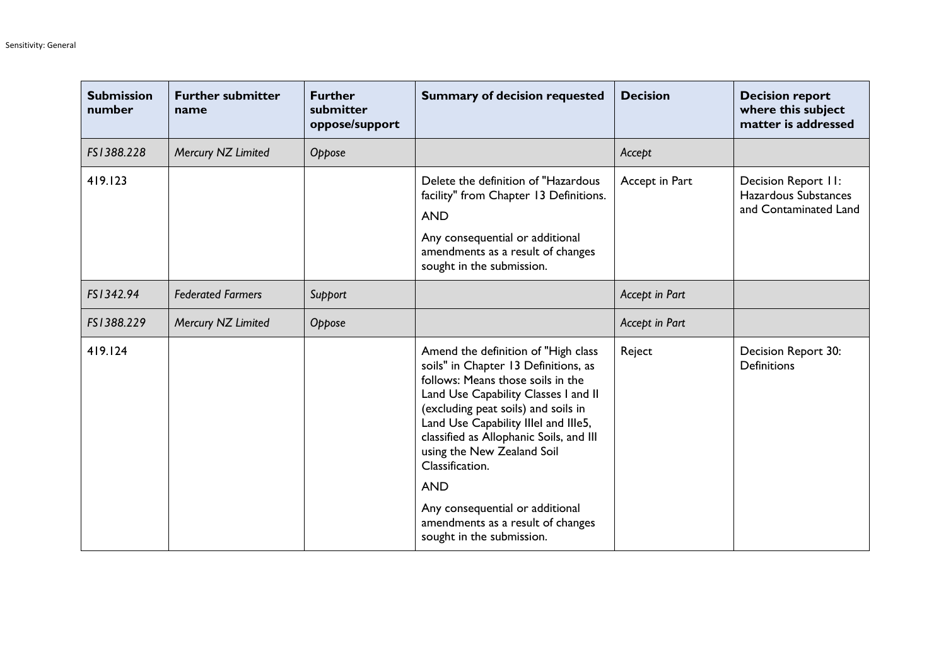| <b>Submission</b><br>number | <b>Further submitter</b><br>name | <b>Further</b><br>submitter<br>oppose/support | <b>Summary of decision requested</b>                                                                                                                                                                                                                                                                                                                                                                                                                   | <b>Decision</b> | <b>Decision report</b><br>where this subject<br>matter is addressed  |
|-----------------------------|----------------------------------|-----------------------------------------------|--------------------------------------------------------------------------------------------------------------------------------------------------------------------------------------------------------------------------------------------------------------------------------------------------------------------------------------------------------------------------------------------------------------------------------------------------------|-----------------|----------------------------------------------------------------------|
| FS1388.228                  | Mercury NZ Limited               | Oppose                                        |                                                                                                                                                                                                                                                                                                                                                                                                                                                        | Accept          |                                                                      |
| 419.123                     |                                  |                                               | Delete the definition of "Hazardous<br>facility" from Chapter 13 Definitions.<br><b>AND</b><br>Any consequential or additional<br>amendments as a result of changes<br>sought in the submission.                                                                                                                                                                                                                                                       | Accept in Part  | Decision Report II:<br>Hazardous Substances<br>and Contaminated Land |
| FS1342.94                   | <b>Federated Farmers</b>         | Support                                       |                                                                                                                                                                                                                                                                                                                                                                                                                                                        | Accept in Part  |                                                                      |
| FS1388.229                  | Mercury NZ Limited               | Oppose                                        |                                                                                                                                                                                                                                                                                                                                                                                                                                                        | Accept in Part  |                                                                      |
| 419.124                     |                                  |                                               | Amend the definition of "High class<br>soils" in Chapter 13 Definitions, as<br>follows: Means those soils in the<br>Land Use Capability Classes I and II<br>(excluding peat soils) and soils in<br>Land Use Capability Illel and Ille5,<br>classified as Allophanic Soils, and III<br>using the New Zealand Soil<br>Classification.<br><b>AND</b><br>Any consequential or additional<br>amendments as a result of changes<br>sought in the submission. | Reject          | Decision Report 30:<br><b>Definitions</b>                            |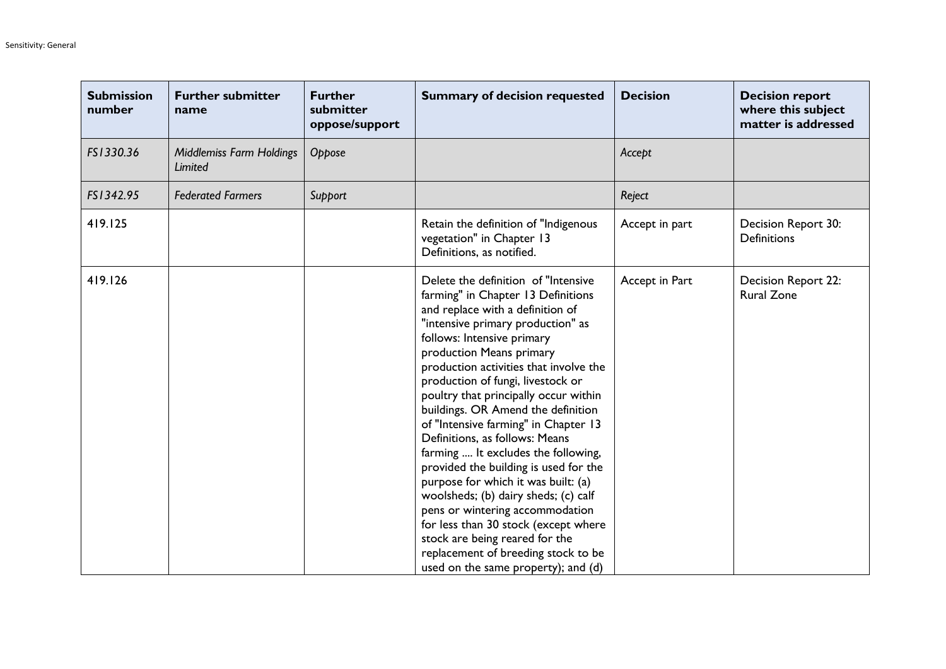| <b>Submission</b><br>number | <b>Further submitter</b><br>name    | <b>Further</b><br>submitter<br>oppose/support | <b>Summary of decision requested</b>                                                                                                                                                                                                                                                                                                                                                                                                                                                                                                                                                                                                                                                                                                                                                                           | <b>Decision</b> | <b>Decision report</b><br>where this subject<br>matter is addressed |
|-----------------------------|-------------------------------------|-----------------------------------------------|----------------------------------------------------------------------------------------------------------------------------------------------------------------------------------------------------------------------------------------------------------------------------------------------------------------------------------------------------------------------------------------------------------------------------------------------------------------------------------------------------------------------------------------------------------------------------------------------------------------------------------------------------------------------------------------------------------------------------------------------------------------------------------------------------------------|-----------------|---------------------------------------------------------------------|
| FS1330.36                   | Middlemiss Farm Holdings<br>Limited | Oppose                                        |                                                                                                                                                                                                                                                                                                                                                                                                                                                                                                                                                                                                                                                                                                                                                                                                                | Accept          |                                                                     |
| FS1342.95                   | <b>Federated Farmers</b>            | Support                                       |                                                                                                                                                                                                                                                                                                                                                                                                                                                                                                                                                                                                                                                                                                                                                                                                                | Reject          |                                                                     |
| 419.125                     |                                     |                                               | Retain the definition of "Indigenous<br>vegetation" in Chapter 13<br>Definitions, as notified.                                                                                                                                                                                                                                                                                                                                                                                                                                                                                                                                                                                                                                                                                                                 | Accept in part  | Decision Report 30:<br><b>Definitions</b>                           |
| 419.126                     |                                     |                                               | Delete the definition of "Intensive<br>farming" in Chapter 13 Definitions<br>and replace with a definition of<br>"intensive primary production" as<br>follows: Intensive primary<br>production Means primary<br>production activities that involve the<br>production of fungi, livestock or<br>poultry that principally occur within<br>buildings. OR Amend the definition<br>of "Intensive farming" in Chapter 13<br>Definitions, as follows: Means<br>farming  It excludes the following,<br>provided the building is used for the<br>purpose for which it was built: (a)<br>woolsheds; (b) dairy sheds; (c) calf<br>pens or wintering accommodation<br>for less than 30 stock (except where<br>stock are being reared for the<br>replacement of breeding stock to be<br>used on the same property); and (d) | Accept in Part  | Decision Report 22:<br><b>Rural Zone</b>                            |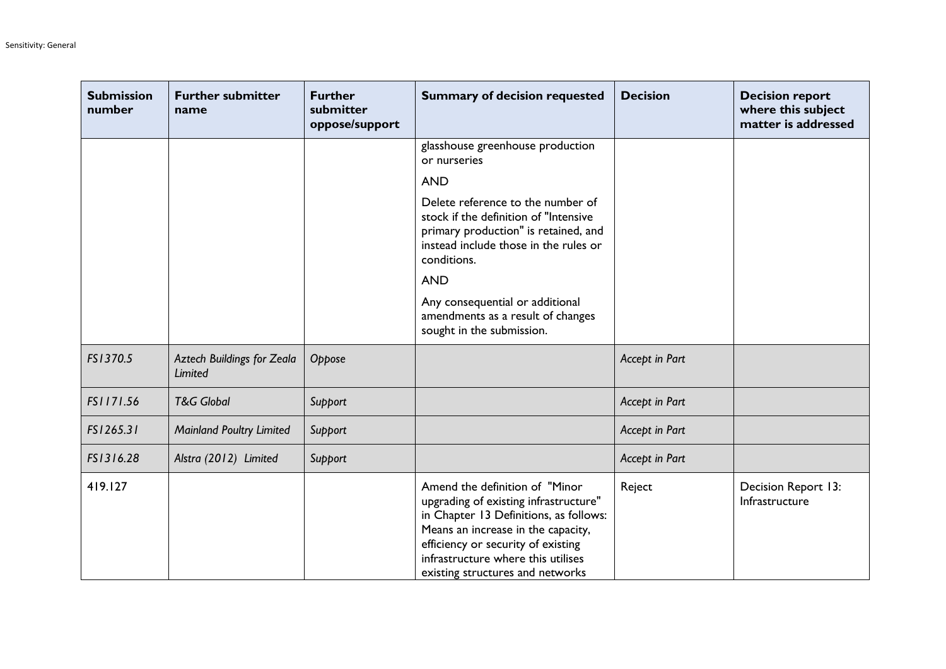| <b>Submission</b><br>number | <b>Further submitter</b><br>name      | <b>Further</b><br>submitter<br>oppose/support | <b>Summary of decision requested</b>                                                                                                                                                                                                                                    | <b>Decision</b> | <b>Decision report</b><br>where this subject<br>matter is addressed |
|-----------------------------|---------------------------------------|-----------------------------------------------|-------------------------------------------------------------------------------------------------------------------------------------------------------------------------------------------------------------------------------------------------------------------------|-----------------|---------------------------------------------------------------------|
|                             |                                       |                                               | glasshouse greenhouse production<br>or nurseries                                                                                                                                                                                                                        |                 |                                                                     |
|                             |                                       |                                               | <b>AND</b>                                                                                                                                                                                                                                                              |                 |                                                                     |
|                             |                                       |                                               | Delete reference to the number of<br>stock if the definition of "Intensive<br>primary production" is retained, and<br>instead include those in the rules or<br>conditions.                                                                                              |                 |                                                                     |
|                             |                                       |                                               | <b>AND</b>                                                                                                                                                                                                                                                              |                 |                                                                     |
|                             |                                       |                                               | Any consequential or additional<br>amendments as a result of changes<br>sought in the submission.                                                                                                                                                                       |                 |                                                                     |
| FS1370.5                    | Aztech Buildings for Zeala<br>Limited | Oppose                                        |                                                                                                                                                                                                                                                                         | Accept in Part  |                                                                     |
| FS1171.56                   | <b>T&amp;G Global</b>                 | Support                                       |                                                                                                                                                                                                                                                                         | Accept in Part  |                                                                     |
| FS1265.31                   | <b>Mainland Poultry Limited</b>       | Support                                       |                                                                                                                                                                                                                                                                         | Accept in Part  |                                                                     |
| FS1316.28                   | Alstra (2012) Limited                 | Support                                       |                                                                                                                                                                                                                                                                         | Accept in Part  |                                                                     |
| 419.127                     |                                       |                                               | Amend the definition of "Minor<br>upgrading of existing infrastructure"<br>in Chapter 13 Definitions, as follows:<br>Means an increase in the capacity,<br>efficiency or security of existing<br>infrastructure where this utilises<br>existing structures and networks | Reject          | Decision Report 13:<br>Infrastructure                               |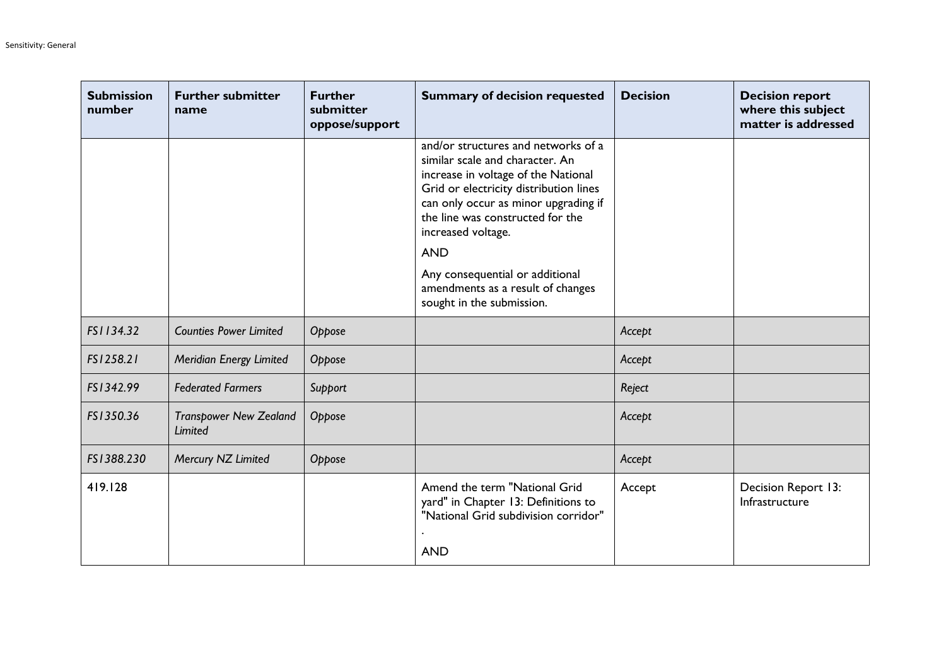| <b>Submission</b><br>number | <b>Further submitter</b><br>name         | <b>Further</b><br>submitter<br>oppose/support | <b>Summary of decision requested</b>                                                                                                                                                                                                                                                                                                            | <b>Decision</b> | <b>Decision report</b><br>where this subject<br>matter is addressed |
|-----------------------------|------------------------------------------|-----------------------------------------------|-------------------------------------------------------------------------------------------------------------------------------------------------------------------------------------------------------------------------------------------------------------------------------------------------------------------------------------------------|-----------------|---------------------------------------------------------------------|
|                             |                                          |                                               | and/or structures and networks of a<br>similar scale and character. An<br>increase in voltage of the National<br>Grid or electricity distribution lines<br>can only occur as minor upgrading if<br>the line was constructed for the<br>increased voltage.<br><b>AND</b><br>Any consequential or additional<br>amendments as a result of changes |                 |                                                                     |
|                             |                                          |                                               | sought in the submission.                                                                                                                                                                                                                                                                                                                       |                 |                                                                     |
| FS1134.32                   | <b>Counties Power Limited</b>            | Oppose                                        |                                                                                                                                                                                                                                                                                                                                                 | Accept          |                                                                     |
| FS1258.21                   | Meridian Energy Limited                  | Oppose                                        |                                                                                                                                                                                                                                                                                                                                                 | Accept          |                                                                     |
| FS1342.99                   | <b>Federated Farmers</b>                 | Support                                       |                                                                                                                                                                                                                                                                                                                                                 | Reject          |                                                                     |
| FS1350.36                   | <b>Transpower New Zealand</b><br>Limited | Oppose                                        |                                                                                                                                                                                                                                                                                                                                                 | Accept          |                                                                     |
| FS1388.230                  | Mercury NZ Limited                       | Oppose                                        |                                                                                                                                                                                                                                                                                                                                                 | Accept          |                                                                     |
| 419.128                     |                                          |                                               | Amend the term "National Grid<br>yard" in Chapter 13: Definitions to<br>"National Grid subdivision corridor"<br><b>AND</b>                                                                                                                                                                                                                      | Accept          | Decision Report 13:<br>Infrastructure                               |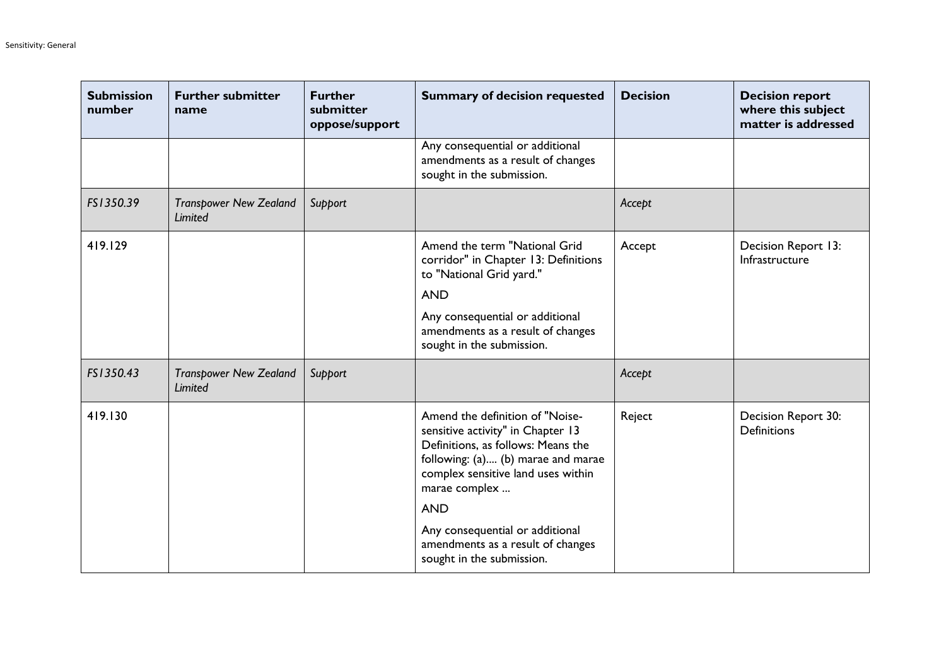| <b>Submission</b><br>number | <b>Further submitter</b><br>name                | <b>Further</b><br>submitter<br>oppose/support | <b>Summary of decision requested</b>                                                                                                                                                                                                                                                                                       | <b>Decision</b> | <b>Decision report</b><br>where this subject<br>matter is addressed |
|-----------------------------|-------------------------------------------------|-----------------------------------------------|----------------------------------------------------------------------------------------------------------------------------------------------------------------------------------------------------------------------------------------------------------------------------------------------------------------------------|-----------------|---------------------------------------------------------------------|
|                             |                                                 |                                               | Any consequential or additional<br>amendments as a result of changes<br>sought in the submission.                                                                                                                                                                                                                          |                 |                                                                     |
| FS1350.39                   | <b>Transpower New Zealand</b><br><b>Limited</b> | Support                                       |                                                                                                                                                                                                                                                                                                                            | Accept          |                                                                     |
| 419.129                     |                                                 |                                               | Amend the term "National Grid<br>corridor" in Chapter 13: Definitions<br>to "National Grid yard."<br><b>AND</b><br>Any consequential or additional<br>amendments as a result of changes<br>sought in the submission.                                                                                                       | Accept          | Decision Report 13:<br>Infrastructure                               |
| FS1350.43                   | <b>Transpower New Zealand</b><br><b>Limited</b> | Support                                       |                                                                                                                                                                                                                                                                                                                            | Accept          |                                                                     |
| 419.130                     |                                                 |                                               | Amend the definition of "Noise-<br>sensitive activity" in Chapter 13<br>Definitions, as follows: Means the<br>following: (a) (b) marae and marae<br>complex sensitive land uses within<br>marae complex<br><b>AND</b><br>Any consequential or additional<br>amendments as a result of changes<br>sought in the submission. | Reject          | Decision Report 30:<br><b>Definitions</b>                           |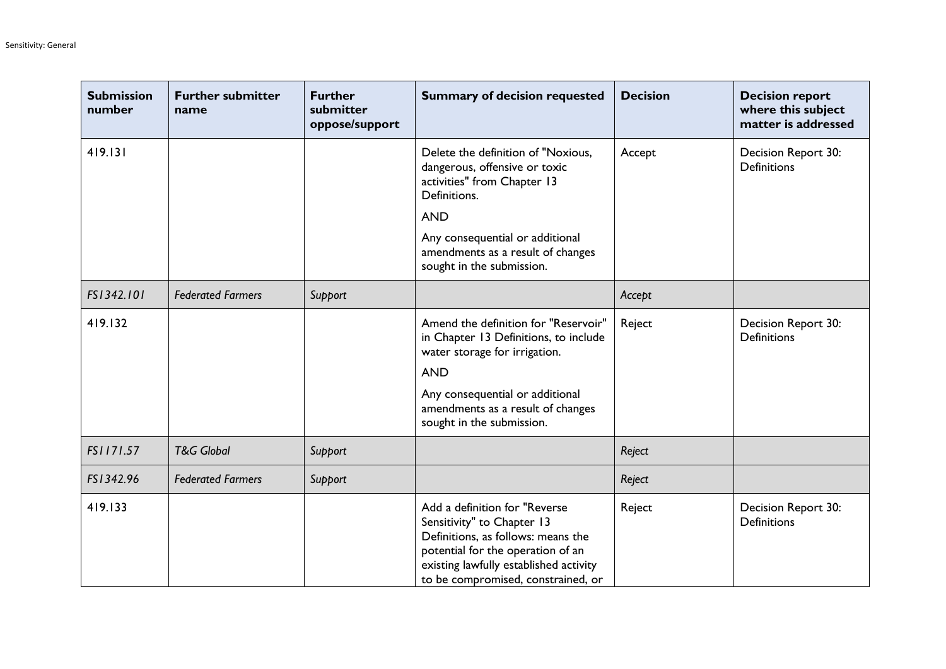| <b>Submission</b><br>number | <b>Further submitter</b><br>name | <b>Further</b><br>submitter<br>oppose/support | <b>Summary of decision requested</b>                                                                                                                                                                                                  | <b>Decision</b> | <b>Decision report</b><br>where this subject<br>matter is addressed |
|-----------------------------|----------------------------------|-----------------------------------------------|---------------------------------------------------------------------------------------------------------------------------------------------------------------------------------------------------------------------------------------|-----------------|---------------------------------------------------------------------|
| 419.131                     |                                  |                                               | Delete the definition of "Noxious,<br>dangerous, offensive or toxic<br>activities" from Chapter 13<br>Definitions.<br><b>AND</b><br>Any consequential or additional<br>amendments as a result of changes<br>sought in the submission. | Accept          | Decision Report 30:<br>Definitions                                  |
| FS1342.101                  | <b>Federated Farmers</b>         | Support                                       |                                                                                                                                                                                                                                       | Accept          |                                                                     |
| 419.132                     |                                  |                                               | Amend the definition for "Reservoir"<br>in Chapter 13 Definitions, to include<br>water storage for irrigation.<br><b>AND</b><br>Any consequential or additional<br>amendments as a result of changes<br>sought in the submission.     | Reject          | Decision Report 30:<br><b>Definitions</b>                           |
| FS1171.57                   | <b>T&amp;G Global</b>            | Support                                       |                                                                                                                                                                                                                                       | Reject          |                                                                     |
| FS1342.96                   | <b>Federated Farmers</b>         | Support                                       |                                                                                                                                                                                                                                       | Reject          |                                                                     |
| 419.133                     |                                  |                                               | Add a definition for "Reverse<br>Sensitivity" to Chapter 13<br>Definitions, as follows: means the<br>potential for the operation of an<br>existing lawfully established activity<br>to be compromised, constrained, or                | Reject          | Decision Report 30:<br><b>Definitions</b>                           |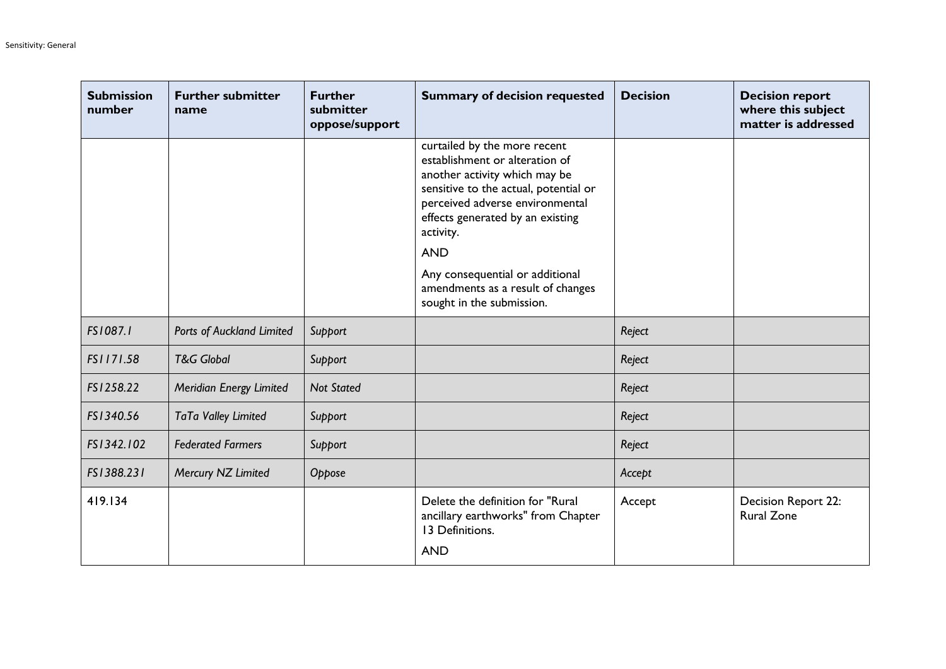| <b>Submission</b><br>number | <b>Further submitter</b><br>name | <b>Further</b><br>submitter<br>oppose/support | <b>Summary of decision requested</b>                                                                                                                                                                                                       | <b>Decision</b> | <b>Decision report</b><br>where this subject<br>matter is addressed |
|-----------------------------|----------------------------------|-----------------------------------------------|--------------------------------------------------------------------------------------------------------------------------------------------------------------------------------------------------------------------------------------------|-----------------|---------------------------------------------------------------------|
|                             |                                  |                                               | curtailed by the more recent<br>establishment or alteration of<br>another activity which may be<br>sensitive to the actual, potential or<br>perceived adverse environmental<br>effects generated by an existing<br>activity.<br><b>AND</b> |                 |                                                                     |
|                             |                                  |                                               | Any consequential or additional<br>amendments as a result of changes<br>sought in the submission.                                                                                                                                          |                 |                                                                     |
| FS1087.1                    | Ports of Auckland Limited        | Support                                       |                                                                                                                                                                                                                                            | Reject          |                                                                     |
| FS1171.58                   | <b>T&amp;G Global</b>            | Support                                       |                                                                                                                                                                                                                                            | Reject          |                                                                     |
| FS1258.22                   | Meridian Energy Limited          | <b>Not Stated</b>                             |                                                                                                                                                                                                                                            | Reject          |                                                                     |
| FS1340.56                   | TaTa Valley Limited              | Support                                       |                                                                                                                                                                                                                                            | Reject          |                                                                     |
| FS1342.102                  | <b>Federated Farmers</b>         | Support                                       |                                                                                                                                                                                                                                            | Reject          |                                                                     |
| FS1388.231                  | Mercury NZ Limited               | Oppose                                        |                                                                                                                                                                                                                                            | Accept          |                                                                     |
| 419.134                     |                                  |                                               | Delete the definition for "Rural<br>ancillary earthworks" from Chapter<br>13 Definitions.<br><b>AND</b>                                                                                                                                    | Accept          | Decision Report 22:<br><b>Rural Zone</b>                            |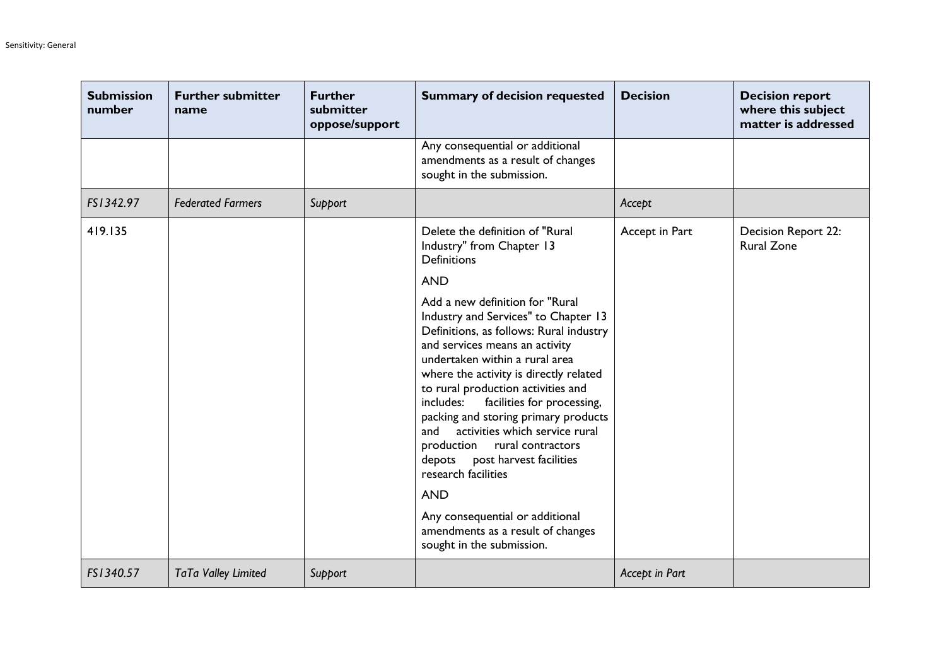| <b>Submission</b><br>number | <b>Further submitter</b><br>name | <b>Further</b><br>submitter<br>oppose/support | <b>Summary of decision requested</b>                                                                                                                                                                                                                                                                                                                                                                                                                                                                         | <b>Decision</b> | <b>Decision report</b><br>where this subject<br>matter is addressed |
|-----------------------------|----------------------------------|-----------------------------------------------|--------------------------------------------------------------------------------------------------------------------------------------------------------------------------------------------------------------------------------------------------------------------------------------------------------------------------------------------------------------------------------------------------------------------------------------------------------------------------------------------------------------|-----------------|---------------------------------------------------------------------|
|                             |                                  |                                               | Any consequential or additional<br>amendments as a result of changes<br>sought in the submission.                                                                                                                                                                                                                                                                                                                                                                                                            |                 |                                                                     |
| FS1342.97                   | <b>Federated Farmers</b>         | Support                                       |                                                                                                                                                                                                                                                                                                                                                                                                                                                                                                              | Accept          |                                                                     |
| 419.135                     |                                  |                                               | Delete the definition of "Rural<br>Industry" from Chapter 13<br><b>Definitions</b><br><b>AND</b>                                                                                                                                                                                                                                                                                                                                                                                                             | Accept in Part  | Decision Report 22:<br><b>Rural Zone</b>                            |
|                             |                                  |                                               | Add a new definition for "Rural<br>Industry and Services" to Chapter 13<br>Definitions, as follows: Rural industry<br>and services means an activity<br>undertaken within a rural area<br>where the activity is directly related<br>to rural production activities and<br>facilities for processing,<br>includes:<br>packing and storing primary products<br>activities which service rural<br>and<br>production rural contractors<br>post harvest facilities<br>depots<br>research facilities<br><b>AND</b> |                 |                                                                     |
|                             |                                  |                                               | Any consequential or additional<br>amendments as a result of changes<br>sought in the submission.                                                                                                                                                                                                                                                                                                                                                                                                            |                 |                                                                     |
| FS1340.57                   | TaTa Valley Limited              | Support                                       |                                                                                                                                                                                                                                                                                                                                                                                                                                                                                                              | Accept in Part  |                                                                     |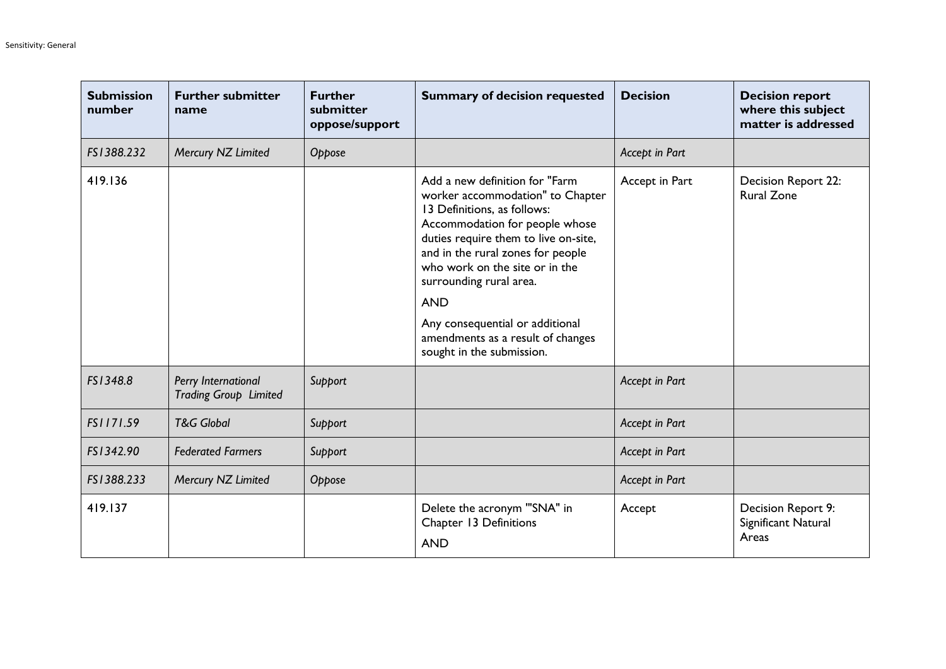| <b>Submission</b><br>number | <b>Further submitter</b><br>name             | <b>Further</b><br>submitter<br>oppose/support | <b>Summary of decision requested</b>                                                                                                                                                                                                                                                                                                                                                             | <b>Decision</b> | <b>Decision report</b><br>where this subject<br>matter is addressed |
|-----------------------------|----------------------------------------------|-----------------------------------------------|--------------------------------------------------------------------------------------------------------------------------------------------------------------------------------------------------------------------------------------------------------------------------------------------------------------------------------------------------------------------------------------------------|-----------------|---------------------------------------------------------------------|
| FS1388.232                  | Mercury NZ Limited                           | Oppose                                        |                                                                                                                                                                                                                                                                                                                                                                                                  | Accept in Part  |                                                                     |
| 419.136                     |                                              |                                               | Add a new definition for "Farm<br>worker accommodation" to Chapter<br>13 Definitions, as follows:<br>Accommodation for people whose<br>duties require them to live on-site,<br>and in the rural zones for people<br>who work on the site or in the<br>surrounding rural area.<br><b>AND</b><br>Any consequential or additional<br>amendments as a result of changes<br>sought in the submission. | Accept in Part  | Decision Report 22:<br><b>Rural Zone</b>                            |
| FS1348.8                    | Perry International<br>Trading Group Limited | Support                                       |                                                                                                                                                                                                                                                                                                                                                                                                  | Accept in Part  |                                                                     |
| FS1171.59                   | <b>T&amp;G Global</b>                        | Support                                       |                                                                                                                                                                                                                                                                                                                                                                                                  | Accept in Part  |                                                                     |
| FS1342.90                   | <b>Federated Farmers</b>                     | Support                                       |                                                                                                                                                                                                                                                                                                                                                                                                  | Accept in Part  |                                                                     |
| FS1388.233                  | Mercury NZ Limited                           | Oppose                                        |                                                                                                                                                                                                                                                                                                                                                                                                  | Accept in Part  |                                                                     |
| 419.137                     |                                              |                                               | Delete the acronym "'SNA" in<br>Chapter 13 Definitions<br><b>AND</b>                                                                                                                                                                                                                                                                                                                             | Accept          | Decision Report 9:<br>Significant Natural<br>Areas                  |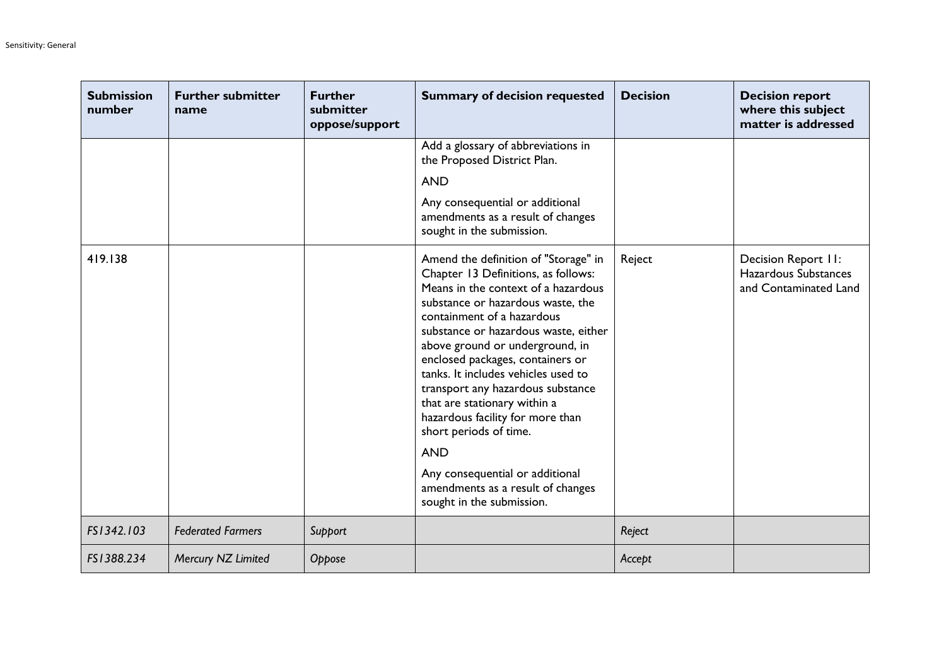| <b>Submission</b><br>number | <b>Further submitter</b><br>name | <b>Further</b><br>submitter<br>oppose/support | <b>Summary of decision requested</b>                                                                                                                                                                                                                                                                                                                                                                                                                                                                                                                                                              | <b>Decision</b> | <b>Decision report</b><br>where this subject<br>matter is addressed  |
|-----------------------------|----------------------------------|-----------------------------------------------|---------------------------------------------------------------------------------------------------------------------------------------------------------------------------------------------------------------------------------------------------------------------------------------------------------------------------------------------------------------------------------------------------------------------------------------------------------------------------------------------------------------------------------------------------------------------------------------------------|-----------------|----------------------------------------------------------------------|
|                             |                                  |                                               | Add a glossary of abbreviations in<br>the Proposed District Plan.<br><b>AND</b><br>Any consequential or additional<br>amendments as a result of changes<br>sought in the submission.                                                                                                                                                                                                                                                                                                                                                                                                              |                 |                                                                      |
| 419.138                     |                                  |                                               | Amend the definition of "Storage" in<br>Chapter 13 Definitions, as follows:<br>Means in the context of a hazardous<br>substance or hazardous waste, the<br>containment of a hazardous<br>substance or hazardous waste, either<br>above ground or underground, in<br>enclosed packages, containers or<br>tanks. It includes vehicles used to<br>transport any hazardous substance<br>that are stationary within a<br>hazardous facility for more than<br>short periods of time.<br><b>AND</b><br>Any consequential or additional<br>amendments as a result of changes<br>sought in the submission. | Reject          | Decision Report II:<br>Hazardous Substances<br>and Contaminated Land |
| FS1342.103                  | <b>Federated Farmers</b>         | Support                                       |                                                                                                                                                                                                                                                                                                                                                                                                                                                                                                                                                                                                   | Reject          |                                                                      |
| FS1388.234                  | Mercury NZ Limited               | Oppose                                        |                                                                                                                                                                                                                                                                                                                                                                                                                                                                                                                                                                                                   | Accept          |                                                                      |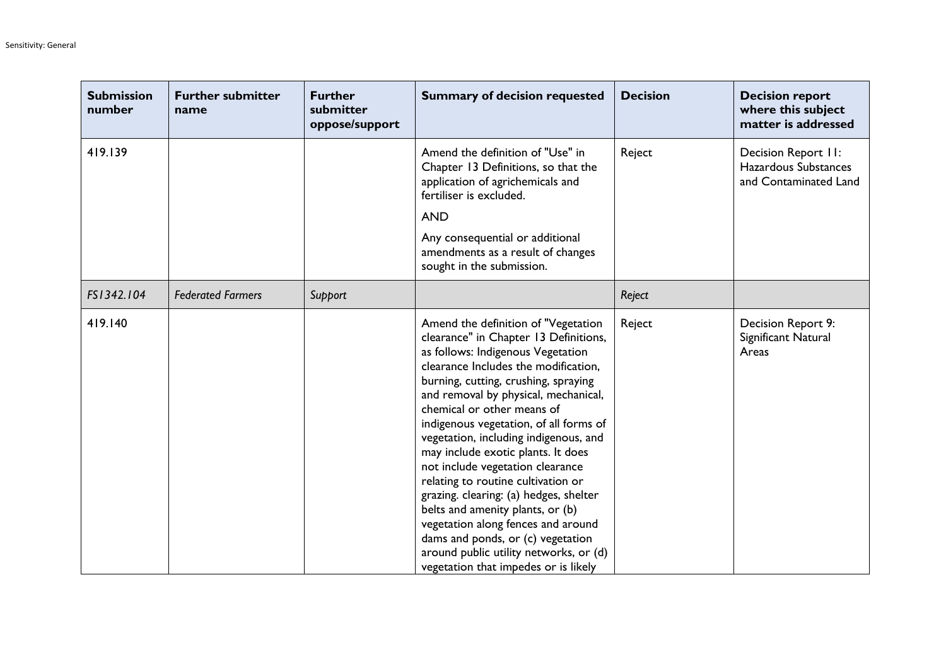| <b>Submission</b><br>number | <b>Further submitter</b><br>name | <b>Further</b><br>submitter<br>oppose/support | <b>Summary of decision requested</b>                                                                                                                                                                                                                                                                                                                                                                                                                                                                                                                                                                                                                                                                                  | <b>Decision</b> | <b>Decision report</b><br>where this subject<br>matter is addressed  |
|-----------------------------|----------------------------------|-----------------------------------------------|-----------------------------------------------------------------------------------------------------------------------------------------------------------------------------------------------------------------------------------------------------------------------------------------------------------------------------------------------------------------------------------------------------------------------------------------------------------------------------------------------------------------------------------------------------------------------------------------------------------------------------------------------------------------------------------------------------------------------|-----------------|----------------------------------------------------------------------|
| 419.139                     |                                  |                                               | Amend the definition of "Use" in<br>Chapter 13 Definitions, so that the<br>application of agrichemicals and<br>fertiliser is excluded.<br><b>AND</b><br>Any consequential or additional<br>amendments as a result of changes<br>sought in the submission.                                                                                                                                                                                                                                                                                                                                                                                                                                                             | Reject          | Decision Report II:<br>Hazardous Substances<br>and Contaminated Land |
| FS1342.104                  | <b>Federated Farmers</b>         | Support                                       |                                                                                                                                                                                                                                                                                                                                                                                                                                                                                                                                                                                                                                                                                                                       | Reject          |                                                                      |
| 419.140                     |                                  |                                               | Amend the definition of "Vegetation<br>clearance" in Chapter 13 Definitions,<br>as follows: Indigenous Vegetation<br>clearance Includes the modification,<br>burning, cutting, crushing, spraying<br>and removal by physical, mechanical,<br>chemical or other means of<br>indigenous vegetation, of all forms of<br>vegetation, including indigenous, and<br>may include exotic plants. It does<br>not include vegetation clearance<br>relating to routine cultivation or<br>grazing. clearing: (a) hedges, shelter<br>belts and amenity plants, or (b)<br>vegetation along fences and around<br>dams and ponds, or (c) vegetation<br>around public utility networks, or (d)<br>vegetation that impedes or is likely | Reject          | Decision Report 9:<br>Significant Natural<br>Areas                   |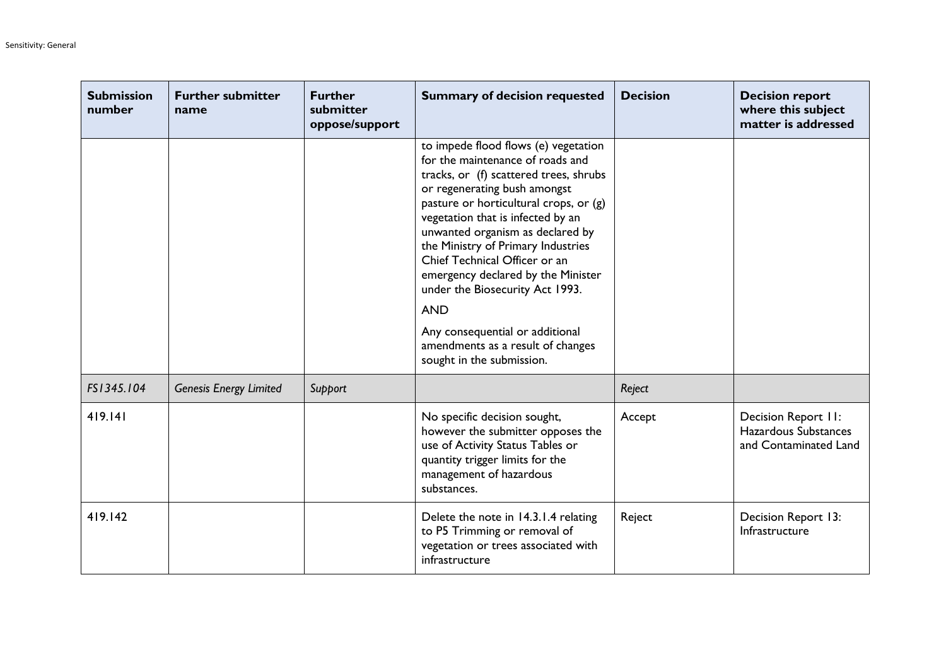| <b>Submission</b><br>number | <b>Further submitter</b><br>name | <b>Further</b><br>submitter<br>oppose/support | <b>Summary of decision requested</b>                                                                                                                                                                                                                                                                                                                                                                                                                                                                                                     | <b>Decision</b> | <b>Decision report</b><br>where this subject<br>matter is addressed  |
|-----------------------------|----------------------------------|-----------------------------------------------|------------------------------------------------------------------------------------------------------------------------------------------------------------------------------------------------------------------------------------------------------------------------------------------------------------------------------------------------------------------------------------------------------------------------------------------------------------------------------------------------------------------------------------------|-----------------|----------------------------------------------------------------------|
|                             |                                  |                                               | to impede flood flows (e) vegetation<br>for the maintenance of roads and<br>tracks, or (f) scattered trees, shrubs<br>or regenerating bush amongst<br>pasture or horticultural crops, or (g)<br>vegetation that is infected by an<br>unwanted organism as declared by<br>the Ministry of Primary Industries<br>Chief Technical Officer or an<br>emergency declared by the Minister<br>under the Biosecurity Act 1993.<br><b>AND</b><br>Any consequential or additional<br>amendments as a result of changes<br>sought in the submission. |                 |                                                                      |
| FS1345.104                  | <b>Genesis Energy Limited</b>    | Support                                       |                                                                                                                                                                                                                                                                                                                                                                                                                                                                                                                                          | Reject          |                                                                      |
| 419.141                     |                                  |                                               | No specific decision sought,<br>however the submitter opposes the<br>use of Activity Status Tables or<br>quantity trigger limits for the<br>management of hazardous<br>substances.                                                                                                                                                                                                                                                                                                                                                       | Accept          | Decision Report II:<br>Hazardous Substances<br>and Contaminated Land |
| 419.142                     |                                  |                                               | Delete the note in 14.3.1.4 relating<br>to P5 Trimming or removal of<br>vegetation or trees associated with<br>infrastructure                                                                                                                                                                                                                                                                                                                                                                                                            | Reject          | Decision Report 13:<br>Infrastructure                                |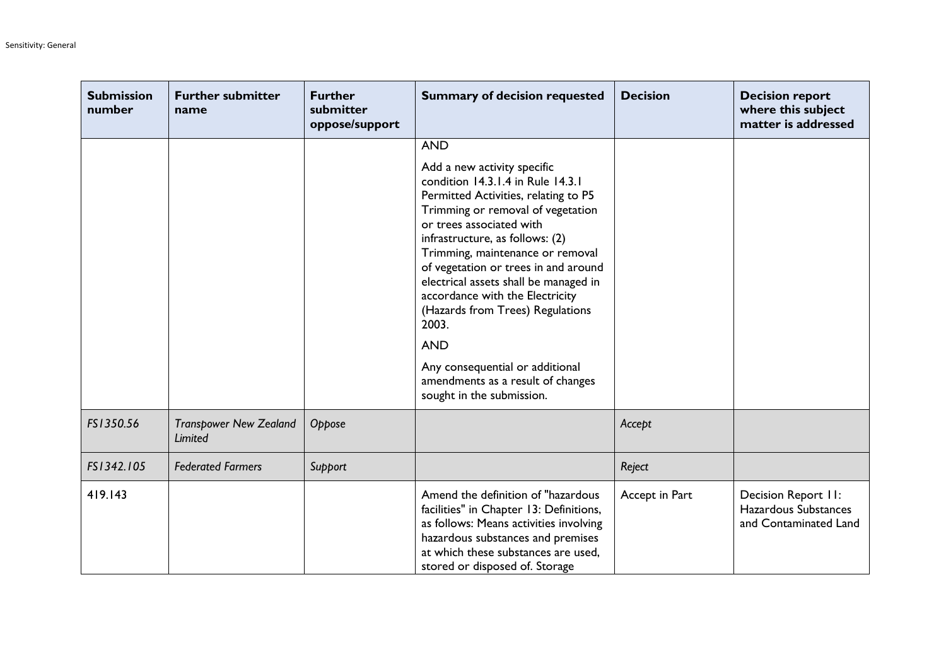| <b>Submission</b><br>number | <b>Further submitter</b><br>name         | <b>Further</b><br>submitter<br>oppose/support | <b>Summary of decision requested</b>                                                                                                                                                                                                                                                                                                                                                                                                                                                                                                 | <b>Decision</b> | <b>Decision report</b><br>where this subject<br>matter is addressed  |
|-----------------------------|------------------------------------------|-----------------------------------------------|--------------------------------------------------------------------------------------------------------------------------------------------------------------------------------------------------------------------------------------------------------------------------------------------------------------------------------------------------------------------------------------------------------------------------------------------------------------------------------------------------------------------------------------|-----------------|----------------------------------------------------------------------|
|                             |                                          |                                               | <b>AND</b>                                                                                                                                                                                                                                                                                                                                                                                                                                                                                                                           |                 |                                                                      |
|                             |                                          |                                               | Add a new activity specific<br>condition 14.3.1.4 in Rule 14.3.1<br>Permitted Activities, relating to P5<br>Trimming or removal of vegetation<br>or trees associated with<br>infrastructure, as follows: (2)<br>Trimming, maintenance or removal<br>of vegetation or trees in and around<br>electrical assets shall be managed in<br>accordance with the Electricity<br>(Hazards from Trees) Regulations<br>2003.<br><b>AND</b><br>Any consequential or additional<br>amendments as a result of changes<br>sought in the submission. |                 |                                                                      |
| FS1350.56                   | <b>Transpower New Zealand</b><br>Limited | Oppose                                        |                                                                                                                                                                                                                                                                                                                                                                                                                                                                                                                                      | Accept          |                                                                      |
| FS1342.105                  | <b>Federated Farmers</b>                 | Support                                       |                                                                                                                                                                                                                                                                                                                                                                                                                                                                                                                                      | Reject          |                                                                      |
| 419.143                     |                                          |                                               | Amend the definition of "hazardous<br>facilities" in Chapter 13: Definitions,<br>as follows: Means activities involving<br>hazardous substances and premises<br>at which these substances are used,<br>stored or disposed of. Storage                                                                                                                                                                                                                                                                                                | Accept in Part  | Decision Report II:<br>Hazardous Substances<br>and Contaminated Land |